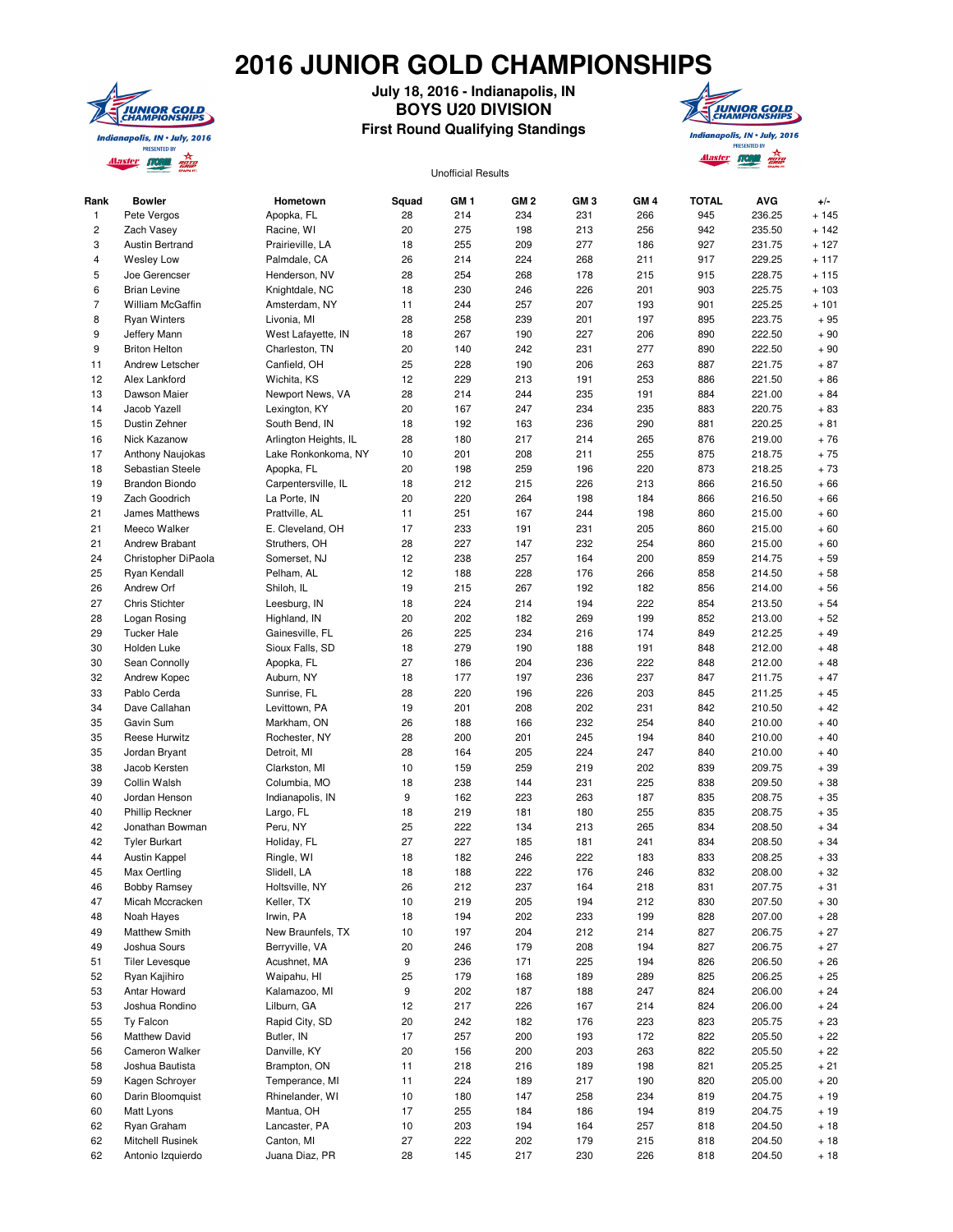## **2016 JUNIOR GOLD CHAMPIONSHIPS**



## **July 18, 2016 - Indianapolis, IN BOYS U20 DIVISION First Round Qualifying Standings**



## Unofficial Results

| Rank           | <b>Bowler</b>          | Hometown              | Squad | GM <sub>1</sub> | GM <sub>2</sub> | GM <sub>3</sub> | GM <sub>4</sub> | <b>TOTAL</b> | <b>AVG</b> | $+/-$   |
|----------------|------------------------|-----------------------|-------|-----------------|-----------------|-----------------|-----------------|--------------|------------|---------|
| 1              | Pete Vergos            | Apopka, FL            | 28    | 214             | 234             | 231             | 266             | 945          | 236.25     | $+145$  |
| 2              | Zach Vasey             | Racine, WI            | 20    | 275             | 198             | 213             | 256             | 942          | 235.50     | $+ 142$ |
| 3              | <b>Austin Bertrand</b> | Prairieville, LA      | 18    | 255             | 209             | 277             | 186             | 927          | 231.75     | $+127$  |
| 4              | <b>Wesley Low</b>      | Palmdale, CA          | 26    | 214             | 224             | 268             | 211             | 917          | 229.25     | $+117$  |
| 5              | Joe Gerencser          | Henderson, NV         | 28    | 254             | 268             | 178             | 215             | 915          | 228.75     | $+115$  |
| 6              | <b>Brian Levine</b>    | Knightdale, NC        | 18    | 230             | 246             | 226             | 201             | 903          | 225.75     | $+103$  |
| $\overline{7}$ | William McGaffin       | Amsterdam, NY         | 11    | 244             | 257             | 207             | 193             | 901          | 225.25     | $+101$  |
| 8              | <b>Ryan Winters</b>    | Livonia, MI           | 28    | 258             | 239             | 201             | 197             | 895          | 223.75     | $+95$   |
| 9              | Jeffery Mann           | West Lafayette, IN    | 18    | 267             | 190             | 227             | 206             | 890          | 222.50     | $+90$   |
| 9              | <b>Briton Helton</b>   | Charleston, TN        | 20    | 140             | 242             | 231             | 277             | 890          | 222.50     | $+90$   |
| 11             | Andrew Letscher        | Canfield, OH          | 25    | 228             | 190             | 206             | 263             | 887          | 221.75     | $+87$   |
| 12             | Alex Lankford          | Wichita, KS           | 12    | 229             | 213             | 191             | 253             | 886          | 221.50     | $+86$   |
| 13             | Dawson Maier           | Newport News, VA      | 28    | 214             | 244             | 235             | 191             | 884          | 221.00     | $+84$   |
| 14             | Jacob Yazell           | Lexington, KY         | 20    | 167             | 247             | 234             | 235             | 883          | 220.75     | $+83$   |
| 15             | Dustin Zehner          | South Bend, IN        | 18    | 192             | 163             | 236             | 290             | 881          | 220.25     | $+81$   |
| 16             | Nick Kazanow           | Arlington Heights, IL | 28    | 180             | 217             | 214             | 265             | 876          | 219.00     | $+76$   |
| 17             | Anthony Naujokas       | Lake Ronkonkoma, NY   | 10    | 201             | 208             | 211             | 255             | 875          | 218.75     | $+75$   |
| 18             | Sebastian Steele       |                       | 20    | 198             | 259             | 196             | 220             | 873          | 218.25     | $+73$   |
|                |                        | Apopka, FL            |       |                 |                 |                 |                 |              |            |         |
| 19             | <b>Brandon Biondo</b>  | Carpentersville, IL   | 18    | 212             | 215             | 226             | 213             | 866          | 216.50     | $+66$   |
| 19             | Zach Goodrich          | La Porte, IN          | 20    | 220             | 264             | 198             | 184             | 866          | 216.50     | $+66$   |
| 21             | James Matthews         | Prattville, AL        | 11    | 251             | 167             | 244             | 198             | 860          | 215.00     | $+60$   |
| 21             | Meeco Walker           | E. Cleveland, OH      | 17    | 233             | 191             | 231             | 205             | 860          | 215.00     | $+60$   |
| 21             | Andrew Brabant         | Struthers, OH         | 28    | 227             | 147             | 232             | 254             | 860          | 215.00     | $+60$   |
| 24             | Christopher DiPaola    | Somerset, NJ          | 12    | 238             | 257             | 164             | 200             | 859          | 214.75     | $+59$   |
| 25             | Ryan Kendall           | Pelham, AL            | 12    | 188             | 228             | 176             | 266             | 858          | 214.50     | $+58$   |
| 26             | Andrew Orf             | Shiloh, IL            | 19    | 215             | 267             | 192             | 182             | 856          | 214.00     | $+56$   |
| 27             | <b>Chris Stichter</b>  | Leesburg, IN          | 18    | 224             | 214             | 194             | 222             | 854          | 213.50     | $+54$   |
| 28             | Logan Rosing           | Highland, IN          | 20    | 202             | 182             | 269             | 199             | 852          | 213.00     | $+52$   |
| 29             | <b>Tucker Hale</b>     | Gainesville, FL       | 26    | 225             | 234             | 216             | 174             | 849          | 212.25     | $+49$   |
| 30             | Holden Luke            | Sioux Falls, SD       | 18    | 279             | 190             | 188             | 191             | 848          | 212.00     | $+48$   |
| 30             | Sean Connolly          | Apopka, FL            | 27    | 186             | 204             | 236             | 222             | 848          | 212.00     | $+48$   |
| 32             | Andrew Kopec           | Auburn, NY            | 18    | 177             | 197             | 236             | 237             | 847          | 211.75     | $+47$   |
| 33             | Pablo Cerda            | Sunrise, FL           | 28    | 220             | 196             | 226             | 203             | 845          | 211.25     | $+45$   |
| 34             | Dave Callahan          | Levittown, PA         | 19    | 201             | 208             | 202             | 231             | 842          | 210.50     | $+42$   |
| 35             | Gavin Sum              | Markham, ON           | 26    | 188             | 166             | 232             | 254             | 840          | 210.00     | $+40$   |
| 35             | Reese Hurwitz          | Rochester, NY         | 28    | 200             | 201             | 245             | 194             | 840          | 210.00     | $+40$   |
| 35             | Jordan Bryant          | Detroit, MI           | 28    | 164             | 205             | 224             | 247             | 840          | 210.00     | $+40$   |
| 38             | Jacob Kersten          | Clarkston, MI         | 10    | 159             | 259             | 219             | 202             | 839          | 209.75     | $+39$   |
| 39             | Collin Walsh           | Columbia, MO          | 18    | 238             | 144             | 231             | 225             | 838          | 209.50     | $+38$   |
| 40             | Jordan Henson          | Indianapolis, IN      | 9     | 162             | 223             | 263             | 187             | 835          | 208.75     | $+35$   |
| 40             | <b>Phillip Reckner</b> | Largo, FL             | 18    | 219             | 181             | 180             | 255             | 835          | 208.75     | $+35$   |
| 42             | Jonathan Bowman        | Peru, NY              | 25    | 222             | 134             | 213             | 265             | 834          | 208.50     | $+34$   |
| 42             | <b>Tyler Burkart</b>   | Holiday, FL           | 27    | 227             | 185             | 181             | 241             | 834          | 208.50     | $+34$   |
| 44             |                        |                       | 18    | 182             | 246             | 222             |                 | 833          | 208.25     | $+33$   |
| 45             | Austin Kappel          | Ringle, WI            | 18    | 188             | 222             | 176             | 183<br>246      | 832          | 208.00     | $+32$   |
|                | Max Oertling           | Slidell, LA           |       |                 |                 |                 |                 |              |            |         |
| 46             | <b>Bobby Ramsey</b>    | Holtsville, NY        | 26    | 212             | 237             | 164             | 218             | 831          | 207.75     | + 31    |
| 47             | Micah Mccracken        | Keller, TX            | 10    | 219             | 205             | 194             | 212             | 830          | 207.50     | $+30$   |
| 48             | Noah Hayes             | Irwin, PA             | 18    | 194             | 202             | 233             | 199             | 828          | 207.00     | $+28$   |
| 49             | Matthew Smith          | New Braunfels, TX     | 10    | 197             | 204             | 212             | 214             | 827          | 206.75     | $+27$   |
| 49             | Joshua Sours           | Berryville, VA        | 20    | 246             | 179             | 208             | 194             | 827          | 206.75     | $+27$   |
| 51             | <b>Tiler Levesque</b>  | Acushnet, MA          | 9     | 236             | 171             | 225             | 194             | 826          | 206.50     | $+26$   |
| 52             | Ryan Kajihiro          | Waipahu, HI           | 25    | 179             | 168             | 189             | 289             | 825          | 206.25     | $+25$   |
| 53             | Antar Howard           | Kalamazoo, MI         | 9     | 202             | 187             | 188             | 247             | 824          | 206.00     | $+24$   |
| 53             | Joshua Rondino         | Lilburn, GA           | 12    | 217             | 226             | 167             | 214             | 824          | 206.00     | $+24$   |
| 55             | Ty Falcon              | Rapid City, SD        | 20    | 242             | 182             | 176             | 223             | 823          | 205.75     | $+23$   |
| 56             | <b>Matthew David</b>   | Butler, IN            | 17    | 257             | 200             | 193             | 172             | 822          | 205.50     | $+22$   |
| 56             | Cameron Walker         | Danville, KY          | 20    | 156             | 200             | 203             | 263             | 822          | 205.50     | $+22$   |
| 58             | Joshua Bautista        | Brampton, ON          | 11    | 218             | 216             | 189             | 198             | 821          | 205.25     | $+21$   |
| 59             | Kagen Schrover         | Temperance, MI        | 11    | 224             | 189             | 217             | 190             | 820          | 205.00     | $+20$   |
| 60             | Darin Bloomquist       | Rhinelander, WI       | $10$  | 180             | 147             | 258             | 234             | 819          | 204.75     | $+19$   |
| 60             | Matt Lyons             | Mantua, OH            | 17    | 255             | 184             | 186             | 194             | 819          | 204.75     | $+19$   |
| 62             | Ryan Graham            | Lancaster, PA         | 10    | 203             | 194             | 164             | 257             | 818          | 204.50     | $+18$   |
| 62             | Mitchell Rusinek       | Canton, MI            | 27    | 222             | 202             | 179             | 215             | 818          | 204.50     | $+18$   |
| 62             | Antonio Izquierdo      | Juana Diaz, PR        | 28    | 145             | 217             | 230             | 226             | 818          | 204.50     | $+18$   |
|                |                        |                       |       |                 |                 |                 |                 |              |            |         |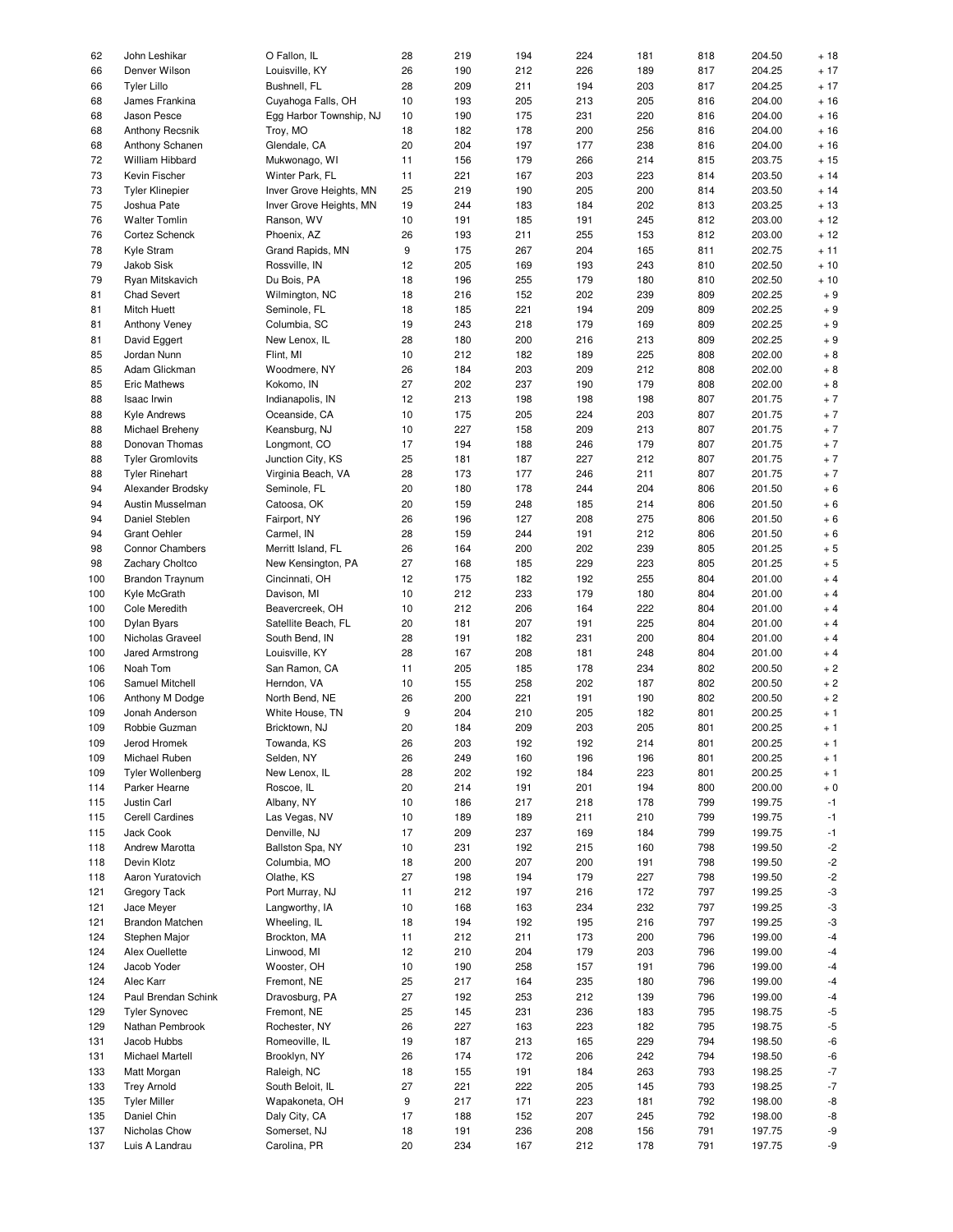| 62  | John Leshikar           | O Fallon, IL            | 28 | 219 | 194 | 224 | 181 | 818 | 204.50 | $+18$       |
|-----|-------------------------|-------------------------|----|-----|-----|-----|-----|-----|--------|-------------|
| 66  | Denver Wilson           | Louisville, KY          | 26 | 190 | 212 | 226 | 189 | 817 | 204.25 | $+17$       |
|     |                         |                         |    |     |     |     |     |     |        |             |
| 66  | <b>Tyler Lillo</b>      | Bushnell, FL            | 28 | 209 | 211 | 194 | 203 | 817 | 204.25 | $+17$       |
| 68  | James Frankina          | Cuyahoga Falls, OH      | 10 | 193 | 205 | 213 | 205 | 816 | 204.00 | $+16$       |
| 68  | Jason Pesce             | Egg Harbor Township, NJ | 10 | 190 | 175 | 231 | 220 | 816 | 204.00 | $+16$       |
| 68  | <b>Anthony Recsnik</b>  | Troy, MO                | 18 | 182 | 178 | 200 | 256 | 816 | 204.00 | $+16$       |
| 68  | Anthony Schanen         | Glendale, CA            | 20 | 204 | 197 | 177 | 238 | 816 | 204.00 | $+16$       |
|     |                         |                         |    |     |     |     |     |     |        |             |
| 72  | William Hibbard         | Mukwonago, WI           | 11 | 156 | 179 | 266 | 214 | 815 | 203.75 | $+15$       |
| 73  | Kevin Fischer           | Winter Park, FL         | 11 | 221 | 167 | 203 | 223 | 814 | 203.50 | $+14$       |
| 73  | <b>Tyler Klinepier</b>  | Inver Grove Heights, MN | 25 | 219 | 190 | 205 | 200 | 814 | 203.50 | $+14$       |
| 75  | Joshua Pate             | Inver Grove Heights, MN | 19 | 244 | 183 | 184 | 202 | 813 | 203.25 | $+13$       |
| 76  | <b>Walter Tomlin</b>    | Ranson, WV              | 10 | 191 | 185 | 191 | 245 | 812 | 203.00 | $+12$       |
|     |                         |                         |    |     |     |     |     |     |        |             |
| 76  | Cortez Schenck          | Phoenix, AZ             | 26 | 193 | 211 | 255 | 153 | 812 | 203.00 | $+12$       |
| 78  | Kyle Stram              | Grand Rapids, MN        | 9  | 175 | 267 | 204 | 165 | 811 | 202.75 | $+11$       |
| 79  | Jakob Sisk              | Rossville, IN           | 12 | 205 | 169 | 193 | 243 | 810 | 202.50 | $+10$       |
| 79  | Ryan Mitskavich         | Du Bois, PA             | 18 | 196 | 255 | 179 | 180 | 810 | 202.50 | $+10$       |
|     |                         |                         |    |     |     |     |     |     |        |             |
| 81  | <b>Chad Severt</b>      | Wilmington, NC          | 18 | 216 | 152 | 202 | 239 | 809 | 202.25 | $+9$        |
| 81  | Mitch Huett             | Seminole, FL            | 18 | 185 | 221 | 194 | 209 | 809 | 202.25 | $+9$        |
| 81  | Anthony Veney           | Columbia, SC            | 19 | 243 | 218 | 179 | 169 | 809 | 202.25 | $+9$        |
| 81  | David Eggert            | New Lenox, IL           | 28 | 180 | 200 | 216 | 213 | 809 | 202.25 | $+9$        |
| 85  | Jordan Nunn             | Flint, MI               | 10 | 212 | 182 | 189 | 225 | 808 | 202.00 | $+8$        |
|     |                         |                         |    |     |     |     |     |     |        |             |
| 85  | Adam Glickman           | Woodmere, NY            | 26 | 184 | 203 | 209 | 212 | 808 | 202.00 | $+8$        |
| 85  | <b>Eric Mathews</b>     | Kokomo, IN              | 27 | 202 | 237 | 190 | 179 | 808 | 202.00 | $+8$        |
| 88  | Isaac Irwin             | Indianapolis, IN        | 12 | 213 | 198 | 198 | 198 | 807 | 201.75 | $+7$        |
| 88  | Kyle Andrews            | Oceanside, CA           | 10 | 175 | 205 | 224 | 203 | 807 | 201.75 | $+7$        |
|     |                         |                         |    |     |     |     |     |     |        |             |
| 88  | Michael Breheny         | Keansburg, NJ           | 10 | 227 | 158 | 209 | 213 | 807 | 201.75 | $+7$        |
| 88  | Donovan Thomas          | Longmont, CO            | 17 | 194 | 188 | 246 | 179 | 807 | 201.75 | $+7$        |
| 88  | <b>Tyler Gromlovits</b> | Junction City, KS       | 25 | 181 | 187 | 227 | 212 | 807 | 201.75 | $+7$        |
| 88  | <b>Tyler Rinehart</b>   | Virginia Beach, VA      | 28 | 173 | 177 | 246 | 211 | 807 | 201.75 | $+7$        |
|     |                         |                         |    |     |     |     |     |     |        |             |
| 94  | Alexander Brodsky       | Seminole, FL            | 20 | 180 | 178 | 244 | 204 | 806 | 201.50 | $+6$        |
| 94  | Austin Musselman        | Catoosa, OK             | 20 | 159 | 248 | 185 | 214 | 806 | 201.50 | $+6$        |
| 94  | Daniel Steblen          | Fairport, NY            | 26 | 196 | 127 | 208 | 275 | 806 | 201.50 | $+6$        |
| 94  | <b>Grant Oehler</b>     | Carmel, IN              | 28 | 159 | 244 | 191 | 212 | 806 | 201.50 | $+6$        |
| 98  | Connor Chambers         | Merritt Island, FL      | 26 | 164 | 200 | 202 | 239 | 805 | 201.25 | $+5$        |
|     |                         |                         |    |     |     |     |     |     |        |             |
| 98  | Zachary Choltco         | New Kensington, PA      | 27 | 168 | 185 | 229 | 223 | 805 | 201.25 | $+5$        |
| 100 | <b>Brandon Traynum</b>  | Cincinnati, OH          | 12 | 175 | 182 | 192 | 255 | 804 | 201.00 | $+4$        |
| 100 | Kyle McGrath            | Davison, MI             | 10 | 212 | 233 | 179 | 180 | 804 | 201.00 | $+4$        |
| 100 | Cole Meredith           | Beavercreek, OH         | 10 | 212 | 206 | 164 | 222 | 804 | 201.00 | $+4$        |
|     |                         |                         |    |     |     |     |     |     |        |             |
| 100 | Dylan Byars             | Satellite Beach, FL     | 20 | 181 | 207 | 191 | 225 | 804 | 201.00 | $+4$        |
| 100 | Nicholas Graveel        | South Bend, IN          | 28 | 191 | 182 | 231 | 200 | 804 | 201.00 | $+4$        |
| 100 | Jared Armstrong         | Louisville, KY          | 28 | 167 | 208 | 181 | 248 | 804 | 201.00 | $+4$        |
| 106 | Noah Tom                | San Ramon, CA           | 11 | 205 | 185 | 178 | 234 | 802 | 200.50 | $+2$        |
| 106 | Samuel Mitchell         | Herndon, VA             | 10 | 155 | 258 | 202 | 187 | 802 | 200.50 | $+2$        |
|     |                         |                         |    |     |     |     |     |     |        |             |
| 106 | Anthony M Dodge         | North Bend, NE          | 26 | 200 | 221 | 191 | 190 | 802 | 200.50 | $+2$        |
| 109 | Jonah Anderson          | White House, TN         | 9  | 204 | 210 | 205 | 182 | 801 | 200.25 | $+1$        |
| 109 | Robbie Guzman           | Bricktown, NJ           | 20 | 184 | 209 | 203 | 205 | 801 | 200.25 | $+1$        |
| 109 | Jerod Hromek            | Towanda, KS             | 26 | 203 | 192 | 192 | 214 | 801 | 200.25 | $+1$        |
|     |                         |                         |    |     |     |     |     |     |        |             |
| 109 | Michael Ruben           | Selden, NY              | 26 | 249 | 160 | 196 | 196 | 801 | 200.25 | $+1$        |
| 109 | <b>Tyler Wollenberg</b> | New Lenox, IL           | 28 | 202 | 192 | 184 | 223 | 801 | 200.25 | $+1$        |
| 114 | Parker Hearne           | Roscoe, IL              | 20 | 214 | 191 | 201 | 194 | 800 | 200.00 | $+0$        |
| 115 | Justin Carl             | Albany, NY              | 10 | 186 | 217 | 218 | 178 | 799 | 199.75 | $-1$        |
|     |                         |                         |    |     |     |     |     |     |        |             |
| 115 | Cerell Cardines         | Las Vegas, NV           | 10 | 189 | 189 | 211 | 210 | 799 | 199.75 | $-1$        |
| 115 | Jack Cook               | Denville, NJ            | 17 | 209 | 237 | 169 | 184 | 799 | 199.75 | $-1$        |
| 118 | Andrew Marotta          | Ballston Spa, NY        | 10 | 231 | 192 | 215 | 160 | 798 | 199.50 | $-2$        |
| 118 | Devin Klotz             | Columbia, MO            | 18 | 200 | 207 | 200 | 191 | 798 | 199.50 | $-2$        |
| 118 | Aaron Yuratovich        | Olathe, KS              | 27 | 198 | 194 | 179 | 227 | 798 | 199.50 | $-2$        |
|     |                         |                         |    |     |     |     |     |     |        |             |
| 121 | Gregory Tack            | Port Murray, NJ         | 11 | 212 | 197 | 216 | 172 | 797 | 199.25 | $-3$        |
| 121 | Jace Meyer              | Langworthy, IA          | 10 | 168 | 163 | 234 | 232 | 797 | 199.25 | $-3$        |
| 121 | <b>Brandon Matchen</b>  | Wheeling, IL            | 18 | 194 | 192 | 195 | 216 | 797 | 199.25 | -3          |
| 124 | Stephen Major           | Brockton, MA            | 11 | 212 | 211 | 173 | 200 | 796 | 199.00 | -4          |
| 124 |                         | Linwood, MI             | 12 | 210 | 204 | 179 |     |     | 199.00 | -4          |
|     | Alex Ouellette          |                         |    |     |     |     | 203 | 796 |        |             |
| 124 | Jacob Yoder             | Wooster, OH             | 10 | 190 | 258 | 157 | 191 | 796 | 199.00 | -4          |
| 124 | Alec Karr               | Fremont, NE             | 25 | 217 | 164 | 235 | 180 | 796 | 199.00 | -4          |
| 124 | Paul Brendan Schink     | Dravosburg, PA          | 27 | 192 | 253 | 212 | 139 | 796 | 199.00 | $-4$        |
| 129 | <b>Tyler Synovec</b>    | Fremont, NE             | 25 | 145 | 231 | 236 | 183 | 795 | 198.75 | -5          |
|     |                         |                         |    |     |     |     |     |     |        |             |
| 129 | Nathan Pembrook         | Rochester, NY           | 26 | 227 | 163 | 223 | 182 | 795 | 198.75 | $-5$        |
| 131 | Jacob Hubbs             | Romeoville, IL          | 19 | 187 | 213 | 165 | 229 | 794 | 198.50 | -6          |
| 131 | Michael Martell         | Brooklyn, NY            | 26 | 174 | 172 | 206 | 242 | 794 | 198.50 | -6          |
| 133 | Matt Morgan             | Raleigh, NC             | 18 | 155 | 191 | 184 | 263 | 793 | 198.25 | $\text{-}7$ |
| 133 | <b>Trey Arnold</b>      | South Beloit, IL        | 27 | 221 | 222 | 205 | 145 | 793 | 198.25 | $\text{-}7$ |
|     |                         |                         |    |     |     |     |     |     |        |             |
| 135 | <b>Tyler Miller</b>     | Wapakoneta, OH          | 9  | 217 | 171 | 223 | 181 | 792 | 198.00 | -8          |
| 135 | Daniel Chin             | Daly City, CA           | 17 | 188 | 152 | 207 | 245 | 792 | 198.00 | -8          |
| 137 | Nicholas Chow           | Somerset, NJ            | 18 | 191 | 236 | 208 | 156 | 791 | 197.75 | -9          |
| 137 | Luis A Landrau          | Carolina, PR            | 20 | 234 | 167 | 212 | 178 | 791 | 197.75 | -9          |
|     |                         |                         |    |     |     |     |     |     |        |             |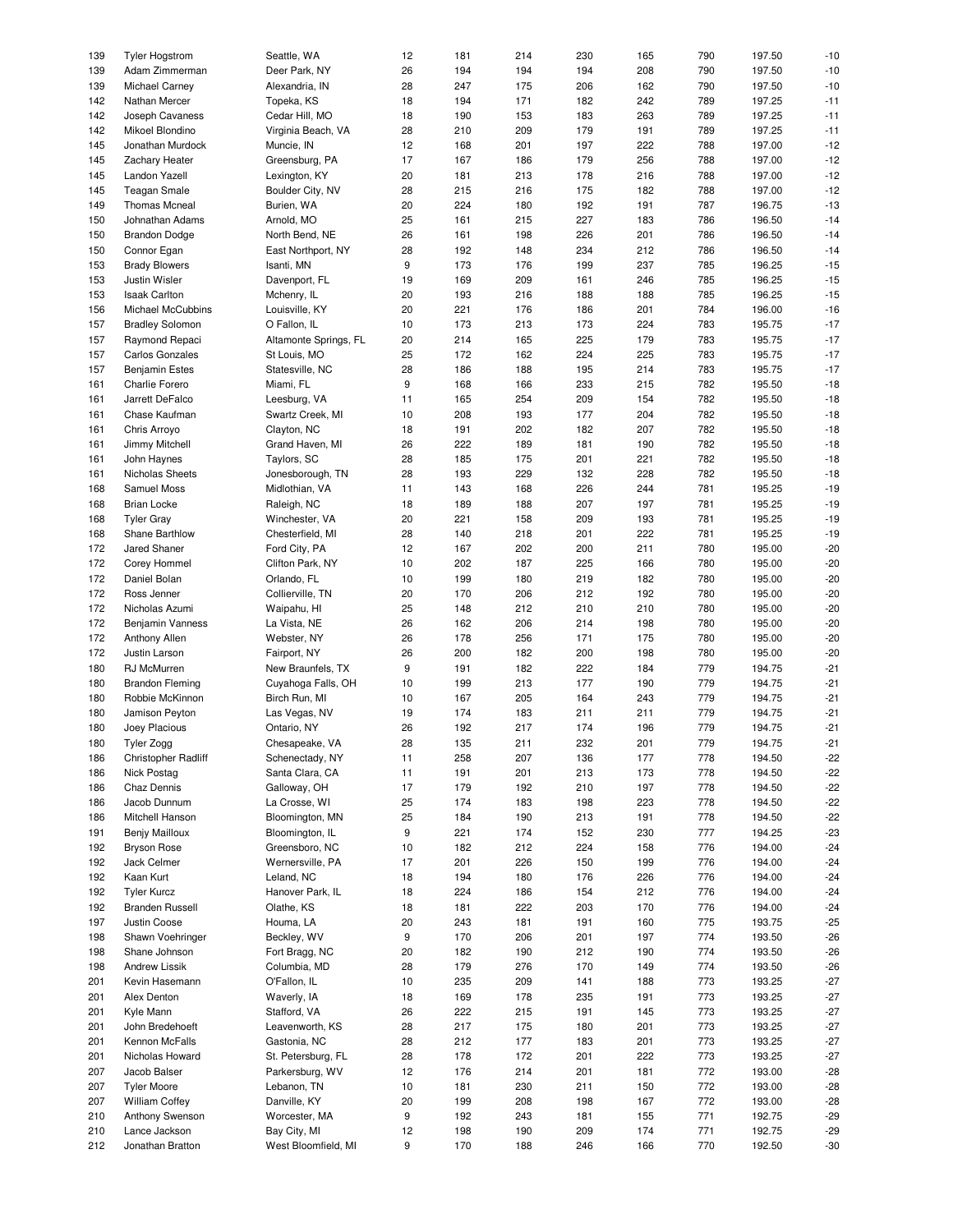| 139 | <b>Tyler Hogstrom</b>   | Seattle, WA           | 12               | 181 | 214 | 230 | 165 | 790 | 197.50 | $-10$ |
|-----|-------------------------|-----------------------|------------------|-----|-----|-----|-----|-----|--------|-------|
| 139 | Adam Zimmerman          | Deer Park, NY         | 26               | 194 | 194 | 194 | 208 | 790 | 197.50 | $-10$ |
| 139 | Michael Carney          | Alexandria, IN        | 28               | 247 | 175 | 206 | 162 | 790 | 197.50 | $-10$ |
|     |                         |                       |                  |     |     |     |     |     |        |       |
| 142 | Nathan Mercer           | Topeka, KS            | 18               | 194 | 171 | 182 | 242 | 789 | 197.25 | $-11$ |
| 142 | Joseph Cavaness         | Cedar Hill, MO        | 18               | 190 | 153 | 183 | 263 | 789 | 197.25 | $-11$ |
| 142 | Mikoel Blondino         | Virginia Beach, VA    | 28               | 210 | 209 | 179 | 191 | 789 | 197.25 | $-11$ |
| 145 | Jonathan Murdock        | Muncie, IN            | 12               | 168 | 201 | 197 | 222 | 788 | 197.00 | $-12$ |
| 145 | Zachary Heater          | Greensburg, PA        | 17               | 167 | 186 | 179 | 256 | 788 | 197.00 | $-12$ |
|     |                         |                       |                  |     |     |     |     |     |        |       |
| 145 | Landon Yazell           | Lexington, KY         | 20               | 181 | 213 | 178 | 216 | 788 | 197.00 | $-12$ |
| 145 | <b>Teagan Smale</b>     | Boulder City, NV      | 28               | 215 | 216 | 175 | 182 | 788 | 197.00 | $-12$ |
| 149 | <b>Thomas Mcneal</b>    | Burien, WA            | 20               | 224 | 180 | 192 | 191 | 787 | 196.75 | $-13$ |
| 150 | Johnathan Adams         | Arnold, MO            | 25               | 161 | 215 | 227 | 183 | 786 | 196.50 | $-14$ |
|     |                         |                       |                  |     |     |     |     |     |        | $-14$ |
| 150 | <b>Brandon Dodge</b>    | North Bend, NE        | 26               | 161 | 198 | 226 | 201 | 786 | 196.50 |       |
| 150 | Connor Egan             | East Northport, NY    | 28               | 192 | 148 | 234 | 212 | 786 | 196.50 | $-14$ |
| 153 | <b>Brady Blowers</b>    | Isanti, MN            | $\boldsymbol{9}$ | 173 | 176 | 199 | 237 | 785 | 196.25 | $-15$ |
| 153 | Justin Wisler           | Davenport, FL         | 19               | 169 | 209 | 161 | 246 | 785 | 196.25 | $-15$ |
| 153 | <b>Isaak Carlton</b>    | Mchenry, IL           | 20               | 193 | 216 | 188 | 188 | 785 | 196.25 | $-15$ |
|     |                         |                       |                  |     |     |     |     |     |        | $-16$ |
| 156 | Michael McCubbins       | Louisville, KY        | 20               | 221 | 176 | 186 | 201 | 784 | 196.00 |       |
| 157 | <b>Bradley Solomon</b>  | O Fallon, IL          | 10               | 173 | 213 | 173 | 224 | 783 | 195.75 | $-17$ |
| 157 | Raymond Repaci          | Altamonte Springs, FL | 20               | 214 | 165 | 225 | 179 | 783 | 195.75 | $-17$ |
| 157 | <b>Carlos Gonzales</b>  | St Louis, MO          | 25               | 172 | 162 | 224 | 225 | 783 | 195.75 | $-17$ |
| 157 | <b>Benjamin Estes</b>   | Statesville, NC       | 28               | 186 | 188 | 195 | 214 | 783 | 195.75 | $-17$ |
|     |                         |                       | 9                |     |     |     |     |     |        |       |
| 161 | Charlie Forero          | Miami, FL             |                  | 168 | 166 | 233 | 215 | 782 | 195.50 | $-18$ |
| 161 | Jarrett DeFalco         | Leesburg, VA          | 11               | 165 | 254 | 209 | 154 | 782 | 195.50 | $-18$ |
| 161 | Chase Kaufman           | Swartz Creek, MI      | 10               | 208 | 193 | 177 | 204 | 782 | 195.50 | $-18$ |
| 161 | Chris Arroyo            | Clayton, NC           | 18               | 191 | 202 | 182 | 207 | 782 | 195.50 | $-18$ |
| 161 | Jimmy Mitchell          | Grand Haven, MI       | 26               | 222 | 189 | 181 | 190 | 782 | 195.50 | $-18$ |
|     |                         |                       |                  |     |     |     |     |     |        |       |
| 161 | John Haynes             | Taylors, SC           | 28               | 185 | 175 | 201 | 221 | 782 | 195.50 | $-18$ |
| 161 | Nicholas Sheets         | Jonesborough, TN      | 28               | 193 | 229 | 132 | 228 | 782 | 195.50 | $-18$ |
| 168 | Samuel Moss             | Midlothian, VA        | 11               | 143 | 168 | 226 | 244 | 781 | 195.25 | $-19$ |
| 168 | <b>Brian Locke</b>      | Raleigh, NC           | 18               | 189 | 188 | 207 | 197 | 781 | 195.25 | $-19$ |
| 168 | <b>Tyler Gray</b>       | Winchester, VA        | 20               | 221 | 158 | 209 | 193 | 781 | 195.25 | $-19$ |
|     |                         |                       |                  |     |     |     |     |     |        |       |
| 168 | Shane Barthlow          | Chesterfield, MI      | 28               | 140 | 218 | 201 | 222 | 781 | 195.25 | $-19$ |
| 172 | Jared Shaner            | Ford City, PA         | 12               | 167 | 202 | 200 | 211 | 780 | 195.00 | $-20$ |
| 172 | Corey Hommel            | Clifton Park, NY      | 10               | 202 | 187 | 225 | 166 | 780 | 195.00 | $-20$ |
| 172 | Daniel Bolan            | Orlando, FL           | 10               | 199 | 180 | 219 | 182 | 780 | 195.00 | $-20$ |
| 172 | Ross Jenner             | Collierville, TN      | 20               | 170 | 206 | 212 | 192 | 780 | 195.00 | $-20$ |
|     |                         |                       |                  |     |     |     |     |     |        |       |
| 172 | Nicholas Azumi          | Waipahu, HI           | 25               | 148 | 212 | 210 | 210 | 780 | 195.00 | $-20$ |
| 172 | <b>Benjamin Vanness</b> | La Vista, NE          | 26               | 162 | 206 | 214 | 198 | 780 | 195.00 | $-20$ |
| 172 | Anthony Allen           | Webster, NY           | 26               | 178 | 256 | 171 | 175 | 780 | 195.00 | $-20$ |
| 172 | Justin Larson           | Fairport, NY          | 26               | 200 | 182 | 200 | 198 | 780 | 195.00 | $-20$ |
| 180 | RJ McMurren             | New Braunfels, TX     | 9                | 191 | 182 | 222 | 184 | 779 | 194.75 | $-21$ |
|     |                         |                       |                  |     |     |     |     |     |        |       |
| 180 | <b>Brandon Fleming</b>  | Cuyahoga Falls, OH    | 10               | 199 | 213 | 177 | 190 | 779 | 194.75 | $-21$ |
| 180 | Robbie McKinnon         | Birch Run, MI         | 10               | 167 | 205 | 164 | 243 | 779 | 194.75 | $-21$ |
| 180 | Jamison Peyton          | Las Vegas, NV         | 19               | 174 | 183 | 211 | 211 | 779 | 194.75 | $-21$ |
| 180 | Joey Placious           | Ontario, NY           | 26               | 192 | 217 | 174 | 196 | 779 | 194.75 | $-21$ |
| 180 | Tyler Zogg              | Chesapeake, VA        | 28               | 135 | 211 | 232 | 201 | 779 | 194.75 | $-21$ |
|     |                         |                       |                  |     |     |     |     |     |        |       |
| 186 | Christopher Radliff     | Schenectady, NY       | 11               | 258 | 207 | 136 | 177 | 778 | 194.50 | $-22$ |
| 186 | Nick Postag             | Santa Clara, CA       | 11               | 191 | 201 | 213 | 173 | 778 | 194.50 | $-22$ |
| 186 | Chaz Dennis             | Galloway, OH          | 17               | 179 | 192 | 210 | 197 | 778 | 194.50 | $-22$ |
| 186 | Jacob Dunnum            | La Crosse, WI         | 25               | 174 | 183 | 198 | 223 | 778 | 194.50 | $-22$ |
| 186 | Mitchell Hanson         | Bloomington, MN       | 25               | 184 | 190 | 213 | 191 | 778 | 194.50 | $-22$ |
| 191 | Benjy Mailloux          | Bloomington, IL       | $\boldsymbol{9}$ | 221 | 174 | 152 | 230 |     | 194.25 | $-23$ |
|     |                         |                       |                  |     |     |     |     | 777 |        |       |
| 192 | <b>Bryson Rose</b>      | Greensboro, NC        | 10               | 182 | 212 | 224 | 158 | 776 | 194.00 | $-24$ |
| 192 | Jack Celmer             | Wernersville, PA      | 17               | 201 | 226 | 150 | 199 | 776 | 194.00 | $-24$ |
| 192 | Kaan Kurt               | Leland, NC            | 18               | 194 | 180 | 176 | 226 | 776 | 194.00 | $-24$ |
| 192 | <b>Tyler Kurcz</b>      | Hanover Park, IL      | 18               | 224 | 186 | 154 | 212 | 776 | 194.00 | $-24$ |
| 192 | <b>Branden Russell</b>  | Olathe, KS            |                  |     | 222 | 203 | 170 |     |        |       |
|     |                         |                       | 18               | 181 |     |     |     | 776 | 194.00 | $-24$ |
| 197 | Justin Coose            | Houma, LA             | 20               | 243 | 181 | 191 | 160 | 775 | 193.75 | $-25$ |
| 198 | Shawn Voehringer        | Beckley, WV           | $\boldsymbol{9}$ | 170 | 206 | 201 | 197 | 774 | 193.50 | $-26$ |
| 198 | Shane Johnson           | Fort Bragg, NC        | 20               | 182 | 190 | 212 | 190 | 774 | 193.50 | $-26$ |
| 198 | <b>Andrew Lissik</b>    | Columbia, MD          | 28               | 179 | 276 | 170 | 149 | 774 | 193.50 | $-26$ |
| 201 | Kevin Hasemann          | O'Fallon, IL          | 10               | 235 | 209 | 141 | 188 | 773 | 193.25 | $-27$ |
|     |                         |                       |                  |     |     |     |     |     |        |       |
| 201 | Alex Denton             | Waverly, IA           | 18               | 169 | 178 | 235 | 191 | 773 | 193.25 | $-27$ |
| 201 | Kyle Mann               | Stafford, VA          | 26               | 222 | 215 | 191 | 145 | 773 | 193.25 | $-27$ |
| 201 | John Bredehoeft         | Leavenworth, KS       | 28               | 217 | 175 | 180 | 201 | 773 | 193.25 | $-27$ |
| 201 | Kennon McFalls          | Gastonia, NC          | 28               | 212 | 177 | 183 | 201 | 773 | 193.25 | $-27$ |
| 201 | Nicholas Howard         | St. Petersburg, FL    | 28               | 178 | 172 | 201 | 222 | 773 | 193.25 | $-27$ |
|     |                         |                       |                  |     |     |     |     |     |        |       |
| 207 | Jacob Balser            | Parkersburg, WV       | 12               | 176 | 214 | 201 | 181 | 772 | 193.00 | $-28$ |
| 207 | <b>Tyler Moore</b>      | Lebanon, TN           | 10               | 181 | 230 | 211 | 150 | 772 | 193.00 | $-28$ |
| 207 | <b>William Coffey</b>   | Danville, KY          | 20               | 199 | 208 | 198 | 167 | 772 | 193.00 | $-28$ |
| 210 | Anthony Swenson         | Worcester, MA         | 9                | 192 | 243 | 181 | 155 | 771 | 192.75 | $-29$ |
| 210 | Lance Jackson           | Bay City, MI          | 12               | 198 | 190 | 209 | 174 | 771 | 192.75 | $-29$ |
|     |                         |                       |                  |     |     |     |     |     |        |       |
| 212 | Jonathan Bratton        | West Bloomfield, MI   | 9                | 170 | 188 | 246 | 166 | 770 | 192.50 | $-30$ |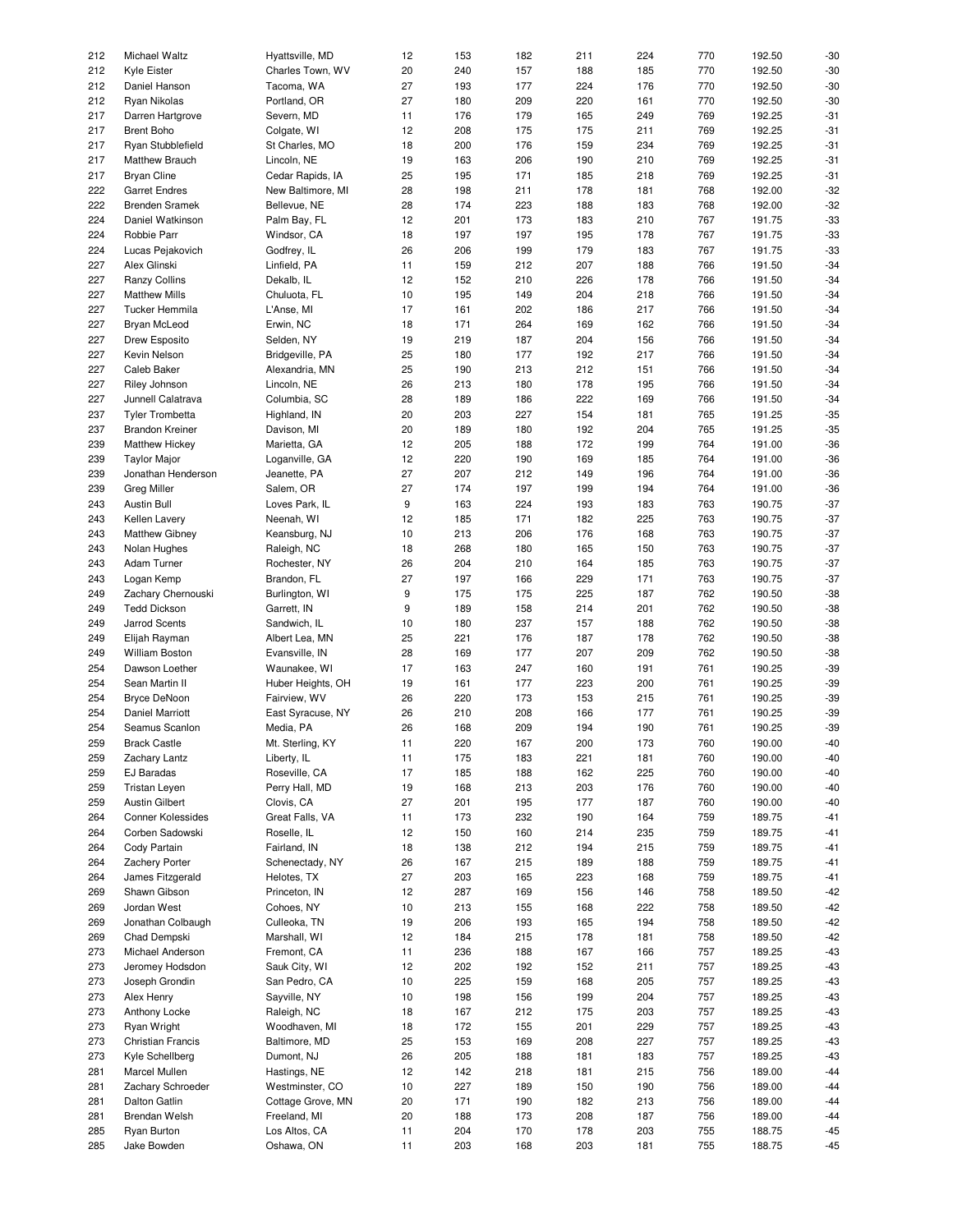| 212<br>Charles Town, WV<br>20<br>240<br>157<br>188<br>185<br>770<br>192.50<br>Kyle Eister<br>212<br>Daniel Hanson<br>Tacoma, WA<br>27<br>193<br>177<br>224<br>176<br>770<br>192.50<br>212<br>Ryan Nikolas<br>Portland, OR<br>27<br>180<br>209<br>220<br>161<br>770<br>192.50<br>192.25<br>217<br>Severn, MD<br>11<br>176<br>179<br>165<br>249<br>769<br>Darren Hartgrove<br>217<br><b>Brent Boho</b><br>Colgate, WI<br>12<br>208<br>175<br>175<br>211<br>769<br>192.25<br>217<br>St Charles, MO<br>18<br>200<br>176<br>159<br>234<br>192.25<br>Ryan Stubblefield<br>769<br>217<br>Lincoln, NE<br>19<br>163<br>206<br>190<br>210<br>769<br>192.25<br>Matthew Brauch<br>217<br><b>Bryan Cline</b><br>25<br>195<br>171<br>218<br>769<br>192.25<br>Cedar Rapids, IA<br>185<br>192.00<br>222<br>New Baltimore, MI<br>28<br>198<br>211<br>178<br>181<br>768<br><b>Garret Endres</b><br>222<br><b>Brenden Sramek</b><br>28<br>174<br>223<br>188<br>183<br>768<br>192.00<br>Bellevue, NE<br>224<br>Daniel Watkinson<br>12<br>201<br>173<br>210<br>191.75<br>Palm Bay, FL<br>183<br>767<br>224<br>Robbie Parr<br>Windsor, CA<br>18<br>197<br>197<br>195<br>178<br>767<br>191.75<br>224<br>Lucas Pejakovich<br>Godfrey, IL<br>26<br>206<br>199<br>179<br>183<br>767<br>191.75<br>227<br>Alex Glinski<br>Linfield, PA<br>11<br>159<br>212<br>207<br>188<br>766<br>191.50<br>227<br><b>Ranzy Collins</b><br>Dekalb, IL<br>12<br>152<br>210<br>226<br>178<br>766<br>191.50<br>227<br><b>Matthew Mills</b><br>10<br>195<br>204<br>218<br>191.50<br>Chuluota, FL<br>149<br>766<br>227<br>Tucker Hemmila<br>L'Anse, MI<br>17<br>161<br>202<br>186<br>217<br>766<br>191.50<br>227<br>Bryan McLeod<br>Erwin, NC<br>18<br>171<br>264<br>162<br>191.50<br>169<br>766<br>19<br>227<br>219<br>187<br>204<br>156<br>766<br>191.50<br>Drew Esposito<br>Selden, NY<br>227<br>Kevin Nelson<br>25<br>180<br>177<br>192<br>217<br>766<br>191.50<br>Bridgeville, PA<br>227<br>Caleb Baker<br>25<br>190<br>213<br>212<br>151<br>191.50<br>Alexandria, MN<br>766<br>227<br>Lincoln, NE<br>26<br>213<br>180<br>178<br>195<br>766<br>191.50<br>Riley Johnson<br>227<br>Junnell Calatrava<br>Columbia, SC<br>28<br>189<br>222<br>169<br>191.50<br>186<br>766<br>237<br><b>Tyler Trombetta</b><br>Highland, IN<br>20<br>203<br>227<br>154<br>181<br>765<br>191.25<br>237<br><b>Brandon Kreiner</b><br>Davison, MI<br>20<br>189<br>180<br>192<br>204<br>765<br>191.25<br>239<br>12<br>205<br>172<br>199<br>764<br>191.00<br><b>Matthew Hickey</b><br>Marietta, GA<br>188<br>239<br>Loganville, GA<br>12<br>220<br>190<br>169<br>185<br>764<br>191.00<br><b>Taylor Major</b><br>27<br>239<br>Jonathan Henderson<br>Jeanette, PA<br>207<br>212<br>149<br>196<br>764<br>191.00<br>27<br>239<br>Salem, OR<br>174<br>197<br>199<br>194<br>764<br>191.00<br><b>Greg Miller</b><br>$\boldsymbol{9}$<br>243<br>Austin Bull<br>Loves Park, IL<br>163<br>224<br>193<br>183<br>763<br>190.75<br>12<br>185<br>171<br>182<br>225<br>763<br>190.75<br>243<br>Kellen Lavery<br>Neenah, WI<br>243<br>Matthew Gibney<br>10<br>213<br>206<br>176<br>168<br>763<br>190.75<br>Keansburg, NJ<br>243<br>Raleigh, NC<br>18<br>268<br>180<br>165<br>150<br>763<br>190.75<br>Nolan Hughes<br>190.75<br>243<br>Adam Turner<br>26<br>204<br>210<br>164<br>185<br>763<br>Rochester, NY<br>190.75<br>243<br>27<br>197<br>229<br>171<br>763<br>Logan Kemp<br>Brandon, FL<br>166<br>$\boldsymbol{9}$<br>249<br>175<br>175<br>225<br>187<br>762<br>190.50<br>Zachary Chernouski<br>Burlington, WI<br>249<br><b>Tedd Dickson</b><br>Garrett, IN<br>9<br>189<br>158<br>214<br>201<br>762<br>190.50<br>249<br>Jarrod Scents<br>10<br>180<br>237<br>157<br>188<br>762<br>190.50<br>Sandwich, IL<br>249<br>25<br>221<br>176<br>187<br>178<br>762<br>190.50<br>Elijah Rayman<br>Albert Lea, MN<br>249<br><b>William Boston</b><br>Evansville, IN<br>28<br>169<br>177<br>207<br>209<br>762<br>190.50<br>254<br>17<br>163<br>191<br>761<br>190.25<br>Dawson Loether<br>Waunakee, WI<br>247<br>160<br>254<br>19<br>161<br>177<br>223<br>200<br>761<br>190.25<br>Sean Martin II<br>Huber Heights, OH<br>254<br>26<br>220<br>173<br>153<br>215<br>761<br>190.25<br>Bryce DeNoon<br>Fairview, WV<br>254<br><b>Daniel Marriott</b><br>26<br>210<br>208<br>166<br>177<br>761<br>190.25<br>East Syracuse, NY<br>254<br>Seamus Scanlon<br>Media, PA<br>26<br>168<br>209<br>194<br>190<br>761<br>190.25<br>220<br>259<br><b>Brack Castle</b><br>Mt. Sterling, KY<br>167<br>200<br>173<br>760<br>190.00<br>11<br>259<br>Zachary Lantz<br>Liberty, IL<br>11<br>175<br>183<br>221<br>181<br>760<br>190.00<br>225<br>259<br><b>EJ Baradas</b><br>Roseville, CA<br>17<br>185<br>162<br>760<br>190.00<br>188<br>259<br>Tristan Leyen<br>Perry Hall, MD<br>19<br>168<br>203<br>176<br>190.00<br>213<br>760<br>259<br>Austin Gilbert<br>Clovis, CA<br>27<br>201<br>177<br>187<br>190.00<br>195<br>760<br>Conner Kolessides<br>Great Falls, VA<br>173<br>164<br>759<br>189.75<br>264<br>11<br>232<br>190<br>264<br>Corben Sadowski<br>Roselle, IL<br>12<br>150<br>160<br>214<br>235<br>759<br>189.75<br>264<br>Cody Partain<br>Fairland, IN<br>215<br>189.75<br>18<br>138<br>212<br>194<br>759<br>167<br>189.75<br>264<br>Zachery Porter<br>Schenectady, NY<br>26<br>215<br>189<br>188<br>759<br>264<br>27<br>203<br>223<br>759<br>189.75<br>James Fitzgerald<br>Helotes, TX<br>165<br>168<br>Shawn Gibson<br>12<br>287<br>758<br>189.50<br>269<br>Princeton, IN<br>169<br>156<br>146<br>269<br>Jordan West<br>Cohoes, NY<br>10<br>213<br>222<br>758<br>189.50<br>155<br>168<br>Jonathan Colbaugh<br>Culleoka, TN<br>19<br>206<br>194<br>189.50<br>269<br>193<br>165<br>758<br>Marshall, WI<br>12<br>184<br>189.50<br>269<br>Chad Dempski<br>215<br>178<br>181<br>758<br>273<br>Fremont, CA<br>236<br>189.25<br>Michael Anderson<br>11<br>188<br>167<br>166<br>757<br>12<br>202<br>152<br>757<br>189.25<br>273<br>Jeromey Hodsdon<br>Sauk City, WI<br>192<br>211<br>273<br>Joseph Grondin<br>San Pedro, CA<br>10<br>225<br>159<br>168<br>205<br>757<br>189.25<br>273<br>Alex Henry<br>Sayville, NY<br>10<br>204<br>757<br>189.25<br>198<br>156<br>199<br>273<br>Raleigh, NC<br>18<br>167<br>175<br>757<br>189.25<br>Anthony Locke<br>212<br>203<br>273<br>Ryan Wright<br>Woodhaven, MI<br>18<br>172<br>201<br>229<br>757<br>189.25<br>155<br>Christian Francis<br>25<br>153<br>208<br>227<br>757<br>189.25<br>273<br>Baltimore, MD<br>169<br>273<br>Kyle Schellberg<br>Dumont, NJ<br>26<br>205<br>181<br>183<br>757<br>189.25<br>188<br>281<br>Marcel Mullen<br>12<br>142<br>215<br>189.00<br>Hastings, NE<br>218<br>181<br>756<br>Westminster, CO<br>10<br>227<br>189.00<br>281<br>Zachary Schroeder<br>189<br>150<br>190<br>756<br>281<br>Cottage Grove, MN<br>20<br>171<br>182<br>189.00<br>Dalton Gatlin<br>190<br>213<br>756<br>281<br>Brendan Welsh<br>Freeland, MI<br>20<br>188<br>208<br>187<br>756<br>189.00<br>173<br>285<br>Ryan Burton<br>Los Altos, CA<br>11<br>204<br>170<br>178<br>203<br>755<br>188.75<br>285<br>Jake Bowden<br>Oshawa, ON<br>203<br>188.75<br>168 | 212 | Michael Waltz | Hyattsville, MD | 12 | 153 | 182 | 211 | 224 | 770 | 192.50 | $-30$ |
|--------------------------------------------------------------------------------------------------------------------------------------------------------------------------------------------------------------------------------------------------------------------------------------------------------------------------------------------------------------------------------------------------------------------------------------------------------------------------------------------------------------------------------------------------------------------------------------------------------------------------------------------------------------------------------------------------------------------------------------------------------------------------------------------------------------------------------------------------------------------------------------------------------------------------------------------------------------------------------------------------------------------------------------------------------------------------------------------------------------------------------------------------------------------------------------------------------------------------------------------------------------------------------------------------------------------------------------------------------------------------------------------------------------------------------------------------------------------------------------------------------------------------------------------------------------------------------------------------------------------------------------------------------------------------------------------------------------------------------------------------------------------------------------------------------------------------------------------------------------------------------------------------------------------------------------------------------------------------------------------------------------------------------------------------------------------------------------------------------------------------------------------------------------------------------------------------------------------------------------------------------------------------------------------------------------------------------------------------------------------------------------------------------------------------------------------------------------------------------------------------------------------------------------------------------------------------------------------------------------------------------------------------------------------------------------------------------------------------------------------------------------------------------------------------------------------------------------------------------------------------------------------------------------------------------------------------------------------------------------------------------------------------------------------------------------------------------------------------------------------------------------------------------------------------------------------------------------------------------------------------------------------------------------------------------------------------------------------------------------------------------------------------------------------------------------------------------------------------------------------------------------------------------------------------------------------------------------------------------------------------------------------------------------------------------------------------------------------------------------------------------------------------------------------------------------------------------------------------------------------------------------------------------------------------------------------------------------------------------------------------------------------------------------------------------------------------------------------------------------------------------------------------------------------------------------------------------------------------------------------------------------------------------------------------------------------------------------------------------------------------------------------------------------------------------------------------------------------------------------------------------------------------------------------------------------------------------------------------------------------------------------------------------------------------------------------------------------------------------------------------------------------------------------------------------------------------------------------------------------------------------------------------------------------------------------------------------------------------------------------------------------------------------------------------------------------------------------------------------------------------------------------------------------------------------------------------------------------------------------------------------------------------------------------------------------------------------------------------------------------------------------------------------------------------------------------------------------------------------------------------------------------------------------------------------------------------------------------------------------------------------------------------------------------------------------------------------------------------------------------------------------------------------------------------------------------------------------------------------------------------------------------------------------------------------------------------------------------------------------------------------------------------------------------------------------------------------------------------------------------------------------------------------------------------------------------------------------------------------------------------------------------------------------------------------------------------------------------------------------------------------------------------------------------------------------------------------------------------------------------------------------------------------------------------------------------------------------------------------------------------------------------------------------------------------------------------------------------------------------------------------------------------------------------------------------------------------------------------------------------------------------------------------------------------------------------------------------------------------------------------------------------------------------------------------------------------------------|-----|---------------|-----------------|----|-----|-----|-----|-----|-----|--------|-------|
|                                                                                                                                                                                                                                                                                                                                                                                                                                                                                                                                                                                                                                                                                                                                                                                                                                                                                                                                                                                                                                                                                                                                                                                                                                                                                                                                                                                                                                                                                                                                                                                                                                                                                                                                                                                                                                                                                                                                                                                                                                                                                                                                                                                                                                                                                                                                                                                                                                                                                                                                                                                                                                                                                                                                                                                                                                                                                                                                                                                                                                                                                                                                                                                                                                                                                                                                                                                                                                                                                                                                                                                                                                                                                                                                                                                                                                                                                                                                                                                                                                                                                                                                                                                                                                                                                                                                                                                                                                                                                                                                                                                                                                                                                                                                                                                                                                                                                                                                                                                                                                                                                                                                                                                                                                                                                                                                                                                                                                                                                                                                                                                                                                                                                                                                                                                                                                                                                                                                                                                                                                                                                                                                                                                                                                                                                                                                                                                                                                                                                                                                                                                                                                                                                                                                                                                                                                                                                                                                                                                                                                                                                      |     |               |                 |    |     |     |     |     |     |        |       |
|                                                                                                                                                                                                                                                                                                                                                                                                                                                                                                                                                                                                                                                                                                                                                                                                                                                                                                                                                                                                                                                                                                                                                                                                                                                                                                                                                                                                                                                                                                                                                                                                                                                                                                                                                                                                                                                                                                                                                                                                                                                                                                                                                                                                                                                                                                                                                                                                                                                                                                                                                                                                                                                                                                                                                                                                                                                                                                                                                                                                                                                                                                                                                                                                                                                                                                                                                                                                                                                                                                                                                                                                                                                                                                                                                                                                                                                                                                                                                                                                                                                                                                                                                                                                                                                                                                                                                                                                                                                                                                                                                                                                                                                                                                                                                                                                                                                                                                                                                                                                                                                                                                                                                                                                                                                                                                                                                                                                                                                                                                                                                                                                                                                                                                                                                                                                                                                                                                                                                                                                                                                                                                                                                                                                                                                                                                                                                                                                                                                                                                                                                                                                                                                                                                                                                                                                                                                                                                                                                                                                                                                                                      |     |               |                 |    |     |     |     |     |     |        | $-30$ |
|                                                                                                                                                                                                                                                                                                                                                                                                                                                                                                                                                                                                                                                                                                                                                                                                                                                                                                                                                                                                                                                                                                                                                                                                                                                                                                                                                                                                                                                                                                                                                                                                                                                                                                                                                                                                                                                                                                                                                                                                                                                                                                                                                                                                                                                                                                                                                                                                                                                                                                                                                                                                                                                                                                                                                                                                                                                                                                                                                                                                                                                                                                                                                                                                                                                                                                                                                                                                                                                                                                                                                                                                                                                                                                                                                                                                                                                                                                                                                                                                                                                                                                                                                                                                                                                                                                                                                                                                                                                                                                                                                                                                                                                                                                                                                                                                                                                                                                                                                                                                                                                                                                                                                                                                                                                                                                                                                                                                                                                                                                                                                                                                                                                                                                                                                                                                                                                                                                                                                                                                                                                                                                                                                                                                                                                                                                                                                                                                                                                                                                                                                                                                                                                                                                                                                                                                                                                                                                                                                                                                                                                                                      |     |               |                 |    |     |     |     |     |     |        | $-30$ |
|                                                                                                                                                                                                                                                                                                                                                                                                                                                                                                                                                                                                                                                                                                                                                                                                                                                                                                                                                                                                                                                                                                                                                                                                                                                                                                                                                                                                                                                                                                                                                                                                                                                                                                                                                                                                                                                                                                                                                                                                                                                                                                                                                                                                                                                                                                                                                                                                                                                                                                                                                                                                                                                                                                                                                                                                                                                                                                                                                                                                                                                                                                                                                                                                                                                                                                                                                                                                                                                                                                                                                                                                                                                                                                                                                                                                                                                                                                                                                                                                                                                                                                                                                                                                                                                                                                                                                                                                                                                                                                                                                                                                                                                                                                                                                                                                                                                                                                                                                                                                                                                                                                                                                                                                                                                                                                                                                                                                                                                                                                                                                                                                                                                                                                                                                                                                                                                                                                                                                                                                                                                                                                                                                                                                                                                                                                                                                                                                                                                                                                                                                                                                                                                                                                                                                                                                                                                                                                                                                                                                                                                                                      |     |               |                 |    |     |     |     |     |     |        | $-30$ |
|                                                                                                                                                                                                                                                                                                                                                                                                                                                                                                                                                                                                                                                                                                                                                                                                                                                                                                                                                                                                                                                                                                                                                                                                                                                                                                                                                                                                                                                                                                                                                                                                                                                                                                                                                                                                                                                                                                                                                                                                                                                                                                                                                                                                                                                                                                                                                                                                                                                                                                                                                                                                                                                                                                                                                                                                                                                                                                                                                                                                                                                                                                                                                                                                                                                                                                                                                                                                                                                                                                                                                                                                                                                                                                                                                                                                                                                                                                                                                                                                                                                                                                                                                                                                                                                                                                                                                                                                                                                                                                                                                                                                                                                                                                                                                                                                                                                                                                                                                                                                                                                                                                                                                                                                                                                                                                                                                                                                                                                                                                                                                                                                                                                                                                                                                                                                                                                                                                                                                                                                                                                                                                                                                                                                                                                                                                                                                                                                                                                                                                                                                                                                                                                                                                                                                                                                                                                                                                                                                                                                                                                                                      |     |               |                 |    |     |     |     |     |     |        |       |
|                                                                                                                                                                                                                                                                                                                                                                                                                                                                                                                                                                                                                                                                                                                                                                                                                                                                                                                                                                                                                                                                                                                                                                                                                                                                                                                                                                                                                                                                                                                                                                                                                                                                                                                                                                                                                                                                                                                                                                                                                                                                                                                                                                                                                                                                                                                                                                                                                                                                                                                                                                                                                                                                                                                                                                                                                                                                                                                                                                                                                                                                                                                                                                                                                                                                                                                                                                                                                                                                                                                                                                                                                                                                                                                                                                                                                                                                                                                                                                                                                                                                                                                                                                                                                                                                                                                                                                                                                                                                                                                                                                                                                                                                                                                                                                                                                                                                                                                                                                                                                                                                                                                                                                                                                                                                                                                                                                                                                                                                                                                                                                                                                                                                                                                                                                                                                                                                                                                                                                                                                                                                                                                                                                                                                                                                                                                                                                                                                                                                                                                                                                                                                                                                                                                                                                                                                                                                                                                                                                                                                                                                                      |     |               |                 |    |     |     |     |     |     |        | $-31$ |
|                                                                                                                                                                                                                                                                                                                                                                                                                                                                                                                                                                                                                                                                                                                                                                                                                                                                                                                                                                                                                                                                                                                                                                                                                                                                                                                                                                                                                                                                                                                                                                                                                                                                                                                                                                                                                                                                                                                                                                                                                                                                                                                                                                                                                                                                                                                                                                                                                                                                                                                                                                                                                                                                                                                                                                                                                                                                                                                                                                                                                                                                                                                                                                                                                                                                                                                                                                                                                                                                                                                                                                                                                                                                                                                                                                                                                                                                                                                                                                                                                                                                                                                                                                                                                                                                                                                                                                                                                                                                                                                                                                                                                                                                                                                                                                                                                                                                                                                                                                                                                                                                                                                                                                                                                                                                                                                                                                                                                                                                                                                                                                                                                                                                                                                                                                                                                                                                                                                                                                                                                                                                                                                                                                                                                                                                                                                                                                                                                                                                                                                                                                                                                                                                                                                                                                                                                                                                                                                                                                                                                                                                                      |     |               |                 |    |     |     |     |     |     |        | $-31$ |
|                                                                                                                                                                                                                                                                                                                                                                                                                                                                                                                                                                                                                                                                                                                                                                                                                                                                                                                                                                                                                                                                                                                                                                                                                                                                                                                                                                                                                                                                                                                                                                                                                                                                                                                                                                                                                                                                                                                                                                                                                                                                                                                                                                                                                                                                                                                                                                                                                                                                                                                                                                                                                                                                                                                                                                                                                                                                                                                                                                                                                                                                                                                                                                                                                                                                                                                                                                                                                                                                                                                                                                                                                                                                                                                                                                                                                                                                                                                                                                                                                                                                                                                                                                                                                                                                                                                                                                                                                                                                                                                                                                                                                                                                                                                                                                                                                                                                                                                                                                                                                                                                                                                                                                                                                                                                                                                                                                                                                                                                                                                                                                                                                                                                                                                                                                                                                                                                                                                                                                                                                                                                                                                                                                                                                                                                                                                                                                                                                                                                                                                                                                                                                                                                                                                                                                                                                                                                                                                                                                                                                                                                                      |     |               |                 |    |     |     |     |     |     |        | $-31$ |
|                                                                                                                                                                                                                                                                                                                                                                                                                                                                                                                                                                                                                                                                                                                                                                                                                                                                                                                                                                                                                                                                                                                                                                                                                                                                                                                                                                                                                                                                                                                                                                                                                                                                                                                                                                                                                                                                                                                                                                                                                                                                                                                                                                                                                                                                                                                                                                                                                                                                                                                                                                                                                                                                                                                                                                                                                                                                                                                                                                                                                                                                                                                                                                                                                                                                                                                                                                                                                                                                                                                                                                                                                                                                                                                                                                                                                                                                                                                                                                                                                                                                                                                                                                                                                                                                                                                                                                                                                                                                                                                                                                                                                                                                                                                                                                                                                                                                                                                                                                                                                                                                                                                                                                                                                                                                                                                                                                                                                                                                                                                                                                                                                                                                                                                                                                                                                                                                                                                                                                                                                                                                                                                                                                                                                                                                                                                                                                                                                                                                                                                                                                                                                                                                                                                                                                                                                                                                                                                                                                                                                                                                                      |     |               |                 |    |     |     |     |     |     |        |       |
|                                                                                                                                                                                                                                                                                                                                                                                                                                                                                                                                                                                                                                                                                                                                                                                                                                                                                                                                                                                                                                                                                                                                                                                                                                                                                                                                                                                                                                                                                                                                                                                                                                                                                                                                                                                                                                                                                                                                                                                                                                                                                                                                                                                                                                                                                                                                                                                                                                                                                                                                                                                                                                                                                                                                                                                                                                                                                                                                                                                                                                                                                                                                                                                                                                                                                                                                                                                                                                                                                                                                                                                                                                                                                                                                                                                                                                                                                                                                                                                                                                                                                                                                                                                                                                                                                                                                                                                                                                                                                                                                                                                                                                                                                                                                                                                                                                                                                                                                                                                                                                                                                                                                                                                                                                                                                                                                                                                                                                                                                                                                                                                                                                                                                                                                                                                                                                                                                                                                                                                                                                                                                                                                                                                                                                                                                                                                                                                                                                                                                                                                                                                                                                                                                                                                                                                                                                                                                                                                                                                                                                                                                      |     |               |                 |    |     |     |     |     |     |        | $-31$ |
|                                                                                                                                                                                                                                                                                                                                                                                                                                                                                                                                                                                                                                                                                                                                                                                                                                                                                                                                                                                                                                                                                                                                                                                                                                                                                                                                                                                                                                                                                                                                                                                                                                                                                                                                                                                                                                                                                                                                                                                                                                                                                                                                                                                                                                                                                                                                                                                                                                                                                                                                                                                                                                                                                                                                                                                                                                                                                                                                                                                                                                                                                                                                                                                                                                                                                                                                                                                                                                                                                                                                                                                                                                                                                                                                                                                                                                                                                                                                                                                                                                                                                                                                                                                                                                                                                                                                                                                                                                                                                                                                                                                                                                                                                                                                                                                                                                                                                                                                                                                                                                                                                                                                                                                                                                                                                                                                                                                                                                                                                                                                                                                                                                                                                                                                                                                                                                                                                                                                                                                                                                                                                                                                                                                                                                                                                                                                                                                                                                                                                                                                                                                                                                                                                                                                                                                                                                                                                                                                                                                                                                                                                      |     |               |                 |    |     |     |     |     |     |        | $-31$ |
|                                                                                                                                                                                                                                                                                                                                                                                                                                                                                                                                                                                                                                                                                                                                                                                                                                                                                                                                                                                                                                                                                                                                                                                                                                                                                                                                                                                                                                                                                                                                                                                                                                                                                                                                                                                                                                                                                                                                                                                                                                                                                                                                                                                                                                                                                                                                                                                                                                                                                                                                                                                                                                                                                                                                                                                                                                                                                                                                                                                                                                                                                                                                                                                                                                                                                                                                                                                                                                                                                                                                                                                                                                                                                                                                                                                                                                                                                                                                                                                                                                                                                                                                                                                                                                                                                                                                                                                                                                                                                                                                                                                                                                                                                                                                                                                                                                                                                                                                                                                                                                                                                                                                                                                                                                                                                                                                                                                                                                                                                                                                                                                                                                                                                                                                                                                                                                                                                                                                                                                                                                                                                                                                                                                                                                                                                                                                                                                                                                                                                                                                                                                                                                                                                                                                                                                                                                                                                                                                                                                                                                                                                      |     |               |                 |    |     |     |     |     |     |        | $-32$ |
|                                                                                                                                                                                                                                                                                                                                                                                                                                                                                                                                                                                                                                                                                                                                                                                                                                                                                                                                                                                                                                                                                                                                                                                                                                                                                                                                                                                                                                                                                                                                                                                                                                                                                                                                                                                                                                                                                                                                                                                                                                                                                                                                                                                                                                                                                                                                                                                                                                                                                                                                                                                                                                                                                                                                                                                                                                                                                                                                                                                                                                                                                                                                                                                                                                                                                                                                                                                                                                                                                                                                                                                                                                                                                                                                                                                                                                                                                                                                                                                                                                                                                                                                                                                                                                                                                                                                                                                                                                                                                                                                                                                                                                                                                                                                                                                                                                                                                                                                                                                                                                                                                                                                                                                                                                                                                                                                                                                                                                                                                                                                                                                                                                                                                                                                                                                                                                                                                                                                                                                                                                                                                                                                                                                                                                                                                                                                                                                                                                                                                                                                                                                                                                                                                                                                                                                                                                                                                                                                                                                                                                                                                      |     |               |                 |    |     |     |     |     |     |        |       |
|                                                                                                                                                                                                                                                                                                                                                                                                                                                                                                                                                                                                                                                                                                                                                                                                                                                                                                                                                                                                                                                                                                                                                                                                                                                                                                                                                                                                                                                                                                                                                                                                                                                                                                                                                                                                                                                                                                                                                                                                                                                                                                                                                                                                                                                                                                                                                                                                                                                                                                                                                                                                                                                                                                                                                                                                                                                                                                                                                                                                                                                                                                                                                                                                                                                                                                                                                                                                                                                                                                                                                                                                                                                                                                                                                                                                                                                                                                                                                                                                                                                                                                                                                                                                                                                                                                                                                                                                                                                                                                                                                                                                                                                                                                                                                                                                                                                                                                                                                                                                                                                                                                                                                                                                                                                                                                                                                                                                                                                                                                                                                                                                                                                                                                                                                                                                                                                                                                                                                                                                                                                                                                                                                                                                                                                                                                                                                                                                                                                                                                                                                                                                                                                                                                                                                                                                                                                                                                                                                                                                                                                                                      |     |               |                 |    |     |     |     |     |     |        | $-32$ |
|                                                                                                                                                                                                                                                                                                                                                                                                                                                                                                                                                                                                                                                                                                                                                                                                                                                                                                                                                                                                                                                                                                                                                                                                                                                                                                                                                                                                                                                                                                                                                                                                                                                                                                                                                                                                                                                                                                                                                                                                                                                                                                                                                                                                                                                                                                                                                                                                                                                                                                                                                                                                                                                                                                                                                                                                                                                                                                                                                                                                                                                                                                                                                                                                                                                                                                                                                                                                                                                                                                                                                                                                                                                                                                                                                                                                                                                                                                                                                                                                                                                                                                                                                                                                                                                                                                                                                                                                                                                                                                                                                                                                                                                                                                                                                                                                                                                                                                                                                                                                                                                                                                                                                                                                                                                                                                                                                                                                                                                                                                                                                                                                                                                                                                                                                                                                                                                                                                                                                                                                                                                                                                                                                                                                                                                                                                                                                                                                                                                                                                                                                                                                                                                                                                                                                                                                                                                                                                                                                                                                                                                                                      |     |               |                 |    |     |     |     |     |     |        | $-33$ |
|                                                                                                                                                                                                                                                                                                                                                                                                                                                                                                                                                                                                                                                                                                                                                                                                                                                                                                                                                                                                                                                                                                                                                                                                                                                                                                                                                                                                                                                                                                                                                                                                                                                                                                                                                                                                                                                                                                                                                                                                                                                                                                                                                                                                                                                                                                                                                                                                                                                                                                                                                                                                                                                                                                                                                                                                                                                                                                                                                                                                                                                                                                                                                                                                                                                                                                                                                                                                                                                                                                                                                                                                                                                                                                                                                                                                                                                                                                                                                                                                                                                                                                                                                                                                                                                                                                                                                                                                                                                                                                                                                                                                                                                                                                                                                                                                                                                                                                                                                                                                                                                                                                                                                                                                                                                                                                                                                                                                                                                                                                                                                                                                                                                                                                                                                                                                                                                                                                                                                                                                                                                                                                                                                                                                                                                                                                                                                                                                                                                                                                                                                                                                                                                                                                                                                                                                                                                                                                                                                                                                                                                                                      |     |               |                 |    |     |     |     |     |     |        | $-33$ |
|                                                                                                                                                                                                                                                                                                                                                                                                                                                                                                                                                                                                                                                                                                                                                                                                                                                                                                                                                                                                                                                                                                                                                                                                                                                                                                                                                                                                                                                                                                                                                                                                                                                                                                                                                                                                                                                                                                                                                                                                                                                                                                                                                                                                                                                                                                                                                                                                                                                                                                                                                                                                                                                                                                                                                                                                                                                                                                                                                                                                                                                                                                                                                                                                                                                                                                                                                                                                                                                                                                                                                                                                                                                                                                                                                                                                                                                                                                                                                                                                                                                                                                                                                                                                                                                                                                                                                                                                                                                                                                                                                                                                                                                                                                                                                                                                                                                                                                                                                                                                                                                                                                                                                                                                                                                                                                                                                                                                                                                                                                                                                                                                                                                                                                                                                                                                                                                                                                                                                                                                                                                                                                                                                                                                                                                                                                                                                                                                                                                                                                                                                                                                                                                                                                                                                                                                                                                                                                                                                                                                                                                                                      |     |               |                 |    |     |     |     |     |     |        |       |
|                                                                                                                                                                                                                                                                                                                                                                                                                                                                                                                                                                                                                                                                                                                                                                                                                                                                                                                                                                                                                                                                                                                                                                                                                                                                                                                                                                                                                                                                                                                                                                                                                                                                                                                                                                                                                                                                                                                                                                                                                                                                                                                                                                                                                                                                                                                                                                                                                                                                                                                                                                                                                                                                                                                                                                                                                                                                                                                                                                                                                                                                                                                                                                                                                                                                                                                                                                                                                                                                                                                                                                                                                                                                                                                                                                                                                                                                                                                                                                                                                                                                                                                                                                                                                                                                                                                                                                                                                                                                                                                                                                                                                                                                                                                                                                                                                                                                                                                                                                                                                                                                                                                                                                                                                                                                                                                                                                                                                                                                                                                                                                                                                                                                                                                                                                                                                                                                                                                                                                                                                                                                                                                                                                                                                                                                                                                                                                                                                                                                                                                                                                                                                                                                                                                                                                                                                                                                                                                                                                                                                                                                                      |     |               |                 |    |     |     |     |     |     |        | $-33$ |
|                                                                                                                                                                                                                                                                                                                                                                                                                                                                                                                                                                                                                                                                                                                                                                                                                                                                                                                                                                                                                                                                                                                                                                                                                                                                                                                                                                                                                                                                                                                                                                                                                                                                                                                                                                                                                                                                                                                                                                                                                                                                                                                                                                                                                                                                                                                                                                                                                                                                                                                                                                                                                                                                                                                                                                                                                                                                                                                                                                                                                                                                                                                                                                                                                                                                                                                                                                                                                                                                                                                                                                                                                                                                                                                                                                                                                                                                                                                                                                                                                                                                                                                                                                                                                                                                                                                                                                                                                                                                                                                                                                                                                                                                                                                                                                                                                                                                                                                                                                                                                                                                                                                                                                                                                                                                                                                                                                                                                                                                                                                                                                                                                                                                                                                                                                                                                                                                                                                                                                                                                                                                                                                                                                                                                                                                                                                                                                                                                                                                                                                                                                                                                                                                                                                                                                                                                                                                                                                                                                                                                                                                                      |     |               |                 |    |     |     |     |     |     |        | $-34$ |
|                                                                                                                                                                                                                                                                                                                                                                                                                                                                                                                                                                                                                                                                                                                                                                                                                                                                                                                                                                                                                                                                                                                                                                                                                                                                                                                                                                                                                                                                                                                                                                                                                                                                                                                                                                                                                                                                                                                                                                                                                                                                                                                                                                                                                                                                                                                                                                                                                                                                                                                                                                                                                                                                                                                                                                                                                                                                                                                                                                                                                                                                                                                                                                                                                                                                                                                                                                                                                                                                                                                                                                                                                                                                                                                                                                                                                                                                                                                                                                                                                                                                                                                                                                                                                                                                                                                                                                                                                                                                                                                                                                                                                                                                                                                                                                                                                                                                                                                                                                                                                                                                                                                                                                                                                                                                                                                                                                                                                                                                                                                                                                                                                                                                                                                                                                                                                                                                                                                                                                                                                                                                                                                                                                                                                                                                                                                                                                                                                                                                                                                                                                                                                                                                                                                                                                                                                                                                                                                                                                                                                                                                                      |     |               |                 |    |     |     |     |     |     |        | $-34$ |
|                                                                                                                                                                                                                                                                                                                                                                                                                                                                                                                                                                                                                                                                                                                                                                                                                                                                                                                                                                                                                                                                                                                                                                                                                                                                                                                                                                                                                                                                                                                                                                                                                                                                                                                                                                                                                                                                                                                                                                                                                                                                                                                                                                                                                                                                                                                                                                                                                                                                                                                                                                                                                                                                                                                                                                                                                                                                                                                                                                                                                                                                                                                                                                                                                                                                                                                                                                                                                                                                                                                                                                                                                                                                                                                                                                                                                                                                                                                                                                                                                                                                                                                                                                                                                                                                                                                                                                                                                                                                                                                                                                                                                                                                                                                                                                                                                                                                                                                                                                                                                                                                                                                                                                                                                                                                                                                                                                                                                                                                                                                                                                                                                                                                                                                                                                                                                                                                                                                                                                                                                                                                                                                                                                                                                                                                                                                                                                                                                                                                                                                                                                                                                                                                                                                                                                                                                                                                                                                                                                                                                                                                                      |     |               |                 |    |     |     |     |     |     |        |       |
|                                                                                                                                                                                                                                                                                                                                                                                                                                                                                                                                                                                                                                                                                                                                                                                                                                                                                                                                                                                                                                                                                                                                                                                                                                                                                                                                                                                                                                                                                                                                                                                                                                                                                                                                                                                                                                                                                                                                                                                                                                                                                                                                                                                                                                                                                                                                                                                                                                                                                                                                                                                                                                                                                                                                                                                                                                                                                                                                                                                                                                                                                                                                                                                                                                                                                                                                                                                                                                                                                                                                                                                                                                                                                                                                                                                                                                                                                                                                                                                                                                                                                                                                                                                                                                                                                                                                                                                                                                                                                                                                                                                                                                                                                                                                                                                                                                                                                                                                                                                                                                                                                                                                                                                                                                                                                                                                                                                                                                                                                                                                                                                                                                                                                                                                                                                                                                                                                                                                                                                                                                                                                                                                                                                                                                                                                                                                                                                                                                                                                                                                                                                                                                                                                                                                                                                                                                                                                                                                                                                                                                                                                      |     |               |                 |    |     |     |     |     |     |        | $-34$ |
|                                                                                                                                                                                                                                                                                                                                                                                                                                                                                                                                                                                                                                                                                                                                                                                                                                                                                                                                                                                                                                                                                                                                                                                                                                                                                                                                                                                                                                                                                                                                                                                                                                                                                                                                                                                                                                                                                                                                                                                                                                                                                                                                                                                                                                                                                                                                                                                                                                                                                                                                                                                                                                                                                                                                                                                                                                                                                                                                                                                                                                                                                                                                                                                                                                                                                                                                                                                                                                                                                                                                                                                                                                                                                                                                                                                                                                                                                                                                                                                                                                                                                                                                                                                                                                                                                                                                                                                                                                                                                                                                                                                                                                                                                                                                                                                                                                                                                                                                                                                                                                                                                                                                                                                                                                                                                                                                                                                                                                                                                                                                                                                                                                                                                                                                                                                                                                                                                                                                                                                                                                                                                                                                                                                                                                                                                                                                                                                                                                                                                                                                                                                                                                                                                                                                                                                                                                                                                                                                                                                                                                                                                      |     |               |                 |    |     |     |     |     |     |        | $-34$ |
|                                                                                                                                                                                                                                                                                                                                                                                                                                                                                                                                                                                                                                                                                                                                                                                                                                                                                                                                                                                                                                                                                                                                                                                                                                                                                                                                                                                                                                                                                                                                                                                                                                                                                                                                                                                                                                                                                                                                                                                                                                                                                                                                                                                                                                                                                                                                                                                                                                                                                                                                                                                                                                                                                                                                                                                                                                                                                                                                                                                                                                                                                                                                                                                                                                                                                                                                                                                                                                                                                                                                                                                                                                                                                                                                                                                                                                                                                                                                                                                                                                                                                                                                                                                                                                                                                                                                                                                                                                                                                                                                                                                                                                                                                                                                                                                                                                                                                                                                                                                                                                                                                                                                                                                                                                                                                                                                                                                                                                                                                                                                                                                                                                                                                                                                                                                                                                                                                                                                                                                                                                                                                                                                                                                                                                                                                                                                                                                                                                                                                                                                                                                                                                                                                                                                                                                                                                                                                                                                                                                                                                                                                      |     |               |                 |    |     |     |     |     |     |        | $-34$ |
|                                                                                                                                                                                                                                                                                                                                                                                                                                                                                                                                                                                                                                                                                                                                                                                                                                                                                                                                                                                                                                                                                                                                                                                                                                                                                                                                                                                                                                                                                                                                                                                                                                                                                                                                                                                                                                                                                                                                                                                                                                                                                                                                                                                                                                                                                                                                                                                                                                                                                                                                                                                                                                                                                                                                                                                                                                                                                                                                                                                                                                                                                                                                                                                                                                                                                                                                                                                                                                                                                                                                                                                                                                                                                                                                                                                                                                                                                                                                                                                                                                                                                                                                                                                                                                                                                                                                                                                                                                                                                                                                                                                                                                                                                                                                                                                                                                                                                                                                                                                                                                                                                                                                                                                                                                                                                                                                                                                                                                                                                                                                                                                                                                                                                                                                                                                                                                                                                                                                                                                                                                                                                                                                                                                                                                                                                                                                                                                                                                                                                                                                                                                                                                                                                                                                                                                                                                                                                                                                                                                                                                                                                      |     |               |                 |    |     |     |     |     |     |        |       |
|                                                                                                                                                                                                                                                                                                                                                                                                                                                                                                                                                                                                                                                                                                                                                                                                                                                                                                                                                                                                                                                                                                                                                                                                                                                                                                                                                                                                                                                                                                                                                                                                                                                                                                                                                                                                                                                                                                                                                                                                                                                                                                                                                                                                                                                                                                                                                                                                                                                                                                                                                                                                                                                                                                                                                                                                                                                                                                                                                                                                                                                                                                                                                                                                                                                                                                                                                                                                                                                                                                                                                                                                                                                                                                                                                                                                                                                                                                                                                                                                                                                                                                                                                                                                                                                                                                                                                                                                                                                                                                                                                                                                                                                                                                                                                                                                                                                                                                                                                                                                                                                                                                                                                                                                                                                                                                                                                                                                                                                                                                                                                                                                                                                                                                                                                                                                                                                                                                                                                                                                                                                                                                                                                                                                                                                                                                                                                                                                                                                                                                                                                                                                                                                                                                                                                                                                                                                                                                                                                                                                                                                                                      |     |               |                 |    |     |     |     |     |     |        | $-34$ |
|                                                                                                                                                                                                                                                                                                                                                                                                                                                                                                                                                                                                                                                                                                                                                                                                                                                                                                                                                                                                                                                                                                                                                                                                                                                                                                                                                                                                                                                                                                                                                                                                                                                                                                                                                                                                                                                                                                                                                                                                                                                                                                                                                                                                                                                                                                                                                                                                                                                                                                                                                                                                                                                                                                                                                                                                                                                                                                                                                                                                                                                                                                                                                                                                                                                                                                                                                                                                                                                                                                                                                                                                                                                                                                                                                                                                                                                                                                                                                                                                                                                                                                                                                                                                                                                                                                                                                                                                                                                                                                                                                                                                                                                                                                                                                                                                                                                                                                                                                                                                                                                                                                                                                                                                                                                                                                                                                                                                                                                                                                                                                                                                                                                                                                                                                                                                                                                                                                                                                                                                                                                                                                                                                                                                                                                                                                                                                                                                                                                                                                                                                                                                                                                                                                                                                                                                                                                                                                                                                                                                                                                                                      |     |               |                 |    |     |     |     |     |     |        | $-34$ |
|                                                                                                                                                                                                                                                                                                                                                                                                                                                                                                                                                                                                                                                                                                                                                                                                                                                                                                                                                                                                                                                                                                                                                                                                                                                                                                                                                                                                                                                                                                                                                                                                                                                                                                                                                                                                                                                                                                                                                                                                                                                                                                                                                                                                                                                                                                                                                                                                                                                                                                                                                                                                                                                                                                                                                                                                                                                                                                                                                                                                                                                                                                                                                                                                                                                                                                                                                                                                                                                                                                                                                                                                                                                                                                                                                                                                                                                                                                                                                                                                                                                                                                                                                                                                                                                                                                                                                                                                                                                                                                                                                                                                                                                                                                                                                                                                                                                                                                                                                                                                                                                                                                                                                                                                                                                                                                                                                                                                                                                                                                                                                                                                                                                                                                                                                                                                                                                                                                                                                                                                                                                                                                                                                                                                                                                                                                                                                                                                                                                                                                                                                                                                                                                                                                                                                                                                                                                                                                                                                                                                                                                                                      |     |               |                 |    |     |     |     |     |     |        | $-34$ |
|                                                                                                                                                                                                                                                                                                                                                                                                                                                                                                                                                                                                                                                                                                                                                                                                                                                                                                                                                                                                                                                                                                                                                                                                                                                                                                                                                                                                                                                                                                                                                                                                                                                                                                                                                                                                                                                                                                                                                                                                                                                                                                                                                                                                                                                                                                                                                                                                                                                                                                                                                                                                                                                                                                                                                                                                                                                                                                                                                                                                                                                                                                                                                                                                                                                                                                                                                                                                                                                                                                                                                                                                                                                                                                                                                                                                                                                                                                                                                                                                                                                                                                                                                                                                                                                                                                                                                                                                                                                                                                                                                                                                                                                                                                                                                                                                                                                                                                                                                                                                                                                                                                                                                                                                                                                                                                                                                                                                                                                                                                                                                                                                                                                                                                                                                                                                                                                                                                                                                                                                                                                                                                                                                                                                                                                                                                                                                                                                                                                                                                                                                                                                                                                                                                                                                                                                                                                                                                                                                                                                                                                                                      |     |               |                 |    |     |     |     |     |     |        |       |
|                                                                                                                                                                                                                                                                                                                                                                                                                                                                                                                                                                                                                                                                                                                                                                                                                                                                                                                                                                                                                                                                                                                                                                                                                                                                                                                                                                                                                                                                                                                                                                                                                                                                                                                                                                                                                                                                                                                                                                                                                                                                                                                                                                                                                                                                                                                                                                                                                                                                                                                                                                                                                                                                                                                                                                                                                                                                                                                                                                                                                                                                                                                                                                                                                                                                                                                                                                                                                                                                                                                                                                                                                                                                                                                                                                                                                                                                                                                                                                                                                                                                                                                                                                                                                                                                                                                                                                                                                                                                                                                                                                                                                                                                                                                                                                                                                                                                                                                                                                                                                                                                                                                                                                                                                                                                                                                                                                                                                                                                                                                                                                                                                                                                                                                                                                                                                                                                                                                                                                                                                                                                                                                                                                                                                                                                                                                                                                                                                                                                                                                                                                                                                                                                                                                                                                                                                                                                                                                                                                                                                                                                                      |     |               |                 |    |     |     |     |     |     |        | $-34$ |
|                                                                                                                                                                                                                                                                                                                                                                                                                                                                                                                                                                                                                                                                                                                                                                                                                                                                                                                                                                                                                                                                                                                                                                                                                                                                                                                                                                                                                                                                                                                                                                                                                                                                                                                                                                                                                                                                                                                                                                                                                                                                                                                                                                                                                                                                                                                                                                                                                                                                                                                                                                                                                                                                                                                                                                                                                                                                                                                                                                                                                                                                                                                                                                                                                                                                                                                                                                                                                                                                                                                                                                                                                                                                                                                                                                                                                                                                                                                                                                                                                                                                                                                                                                                                                                                                                                                                                                                                                                                                                                                                                                                                                                                                                                                                                                                                                                                                                                                                                                                                                                                                                                                                                                                                                                                                                                                                                                                                                                                                                                                                                                                                                                                                                                                                                                                                                                                                                                                                                                                                                                                                                                                                                                                                                                                                                                                                                                                                                                                                                                                                                                                                                                                                                                                                                                                                                                                                                                                                                                                                                                                                                      |     |               |                 |    |     |     |     |     |     |        | $-34$ |
|                                                                                                                                                                                                                                                                                                                                                                                                                                                                                                                                                                                                                                                                                                                                                                                                                                                                                                                                                                                                                                                                                                                                                                                                                                                                                                                                                                                                                                                                                                                                                                                                                                                                                                                                                                                                                                                                                                                                                                                                                                                                                                                                                                                                                                                                                                                                                                                                                                                                                                                                                                                                                                                                                                                                                                                                                                                                                                                                                                                                                                                                                                                                                                                                                                                                                                                                                                                                                                                                                                                                                                                                                                                                                                                                                                                                                                                                                                                                                                                                                                                                                                                                                                                                                                                                                                                                                                                                                                                                                                                                                                                                                                                                                                                                                                                                                                                                                                                                                                                                                                                                                                                                                                                                                                                                                                                                                                                                                                                                                                                                                                                                                                                                                                                                                                                                                                                                                                                                                                                                                                                                                                                                                                                                                                                                                                                                                                                                                                                                                                                                                                                                                                                                                                                                                                                                                                                                                                                                                                                                                                                                                      |     |               |                 |    |     |     |     |     |     |        | $-35$ |
|                                                                                                                                                                                                                                                                                                                                                                                                                                                                                                                                                                                                                                                                                                                                                                                                                                                                                                                                                                                                                                                                                                                                                                                                                                                                                                                                                                                                                                                                                                                                                                                                                                                                                                                                                                                                                                                                                                                                                                                                                                                                                                                                                                                                                                                                                                                                                                                                                                                                                                                                                                                                                                                                                                                                                                                                                                                                                                                                                                                                                                                                                                                                                                                                                                                                                                                                                                                                                                                                                                                                                                                                                                                                                                                                                                                                                                                                                                                                                                                                                                                                                                                                                                                                                                                                                                                                                                                                                                                                                                                                                                                                                                                                                                                                                                                                                                                                                                                                                                                                                                                                                                                                                                                                                                                                                                                                                                                                                                                                                                                                                                                                                                                                                                                                                                                                                                                                                                                                                                                                                                                                                                                                                                                                                                                                                                                                                                                                                                                                                                                                                                                                                                                                                                                                                                                                                                                                                                                                                                                                                                                                                      |     |               |                 |    |     |     |     |     |     |        |       |
|                                                                                                                                                                                                                                                                                                                                                                                                                                                                                                                                                                                                                                                                                                                                                                                                                                                                                                                                                                                                                                                                                                                                                                                                                                                                                                                                                                                                                                                                                                                                                                                                                                                                                                                                                                                                                                                                                                                                                                                                                                                                                                                                                                                                                                                                                                                                                                                                                                                                                                                                                                                                                                                                                                                                                                                                                                                                                                                                                                                                                                                                                                                                                                                                                                                                                                                                                                                                                                                                                                                                                                                                                                                                                                                                                                                                                                                                                                                                                                                                                                                                                                                                                                                                                                                                                                                                                                                                                                                                                                                                                                                                                                                                                                                                                                                                                                                                                                                                                                                                                                                                                                                                                                                                                                                                                                                                                                                                                                                                                                                                                                                                                                                                                                                                                                                                                                                                                                                                                                                                                                                                                                                                                                                                                                                                                                                                                                                                                                                                                                                                                                                                                                                                                                                                                                                                                                                                                                                                                                                                                                                                                      |     |               |                 |    |     |     |     |     |     |        | $-35$ |
|                                                                                                                                                                                                                                                                                                                                                                                                                                                                                                                                                                                                                                                                                                                                                                                                                                                                                                                                                                                                                                                                                                                                                                                                                                                                                                                                                                                                                                                                                                                                                                                                                                                                                                                                                                                                                                                                                                                                                                                                                                                                                                                                                                                                                                                                                                                                                                                                                                                                                                                                                                                                                                                                                                                                                                                                                                                                                                                                                                                                                                                                                                                                                                                                                                                                                                                                                                                                                                                                                                                                                                                                                                                                                                                                                                                                                                                                                                                                                                                                                                                                                                                                                                                                                                                                                                                                                                                                                                                                                                                                                                                                                                                                                                                                                                                                                                                                                                                                                                                                                                                                                                                                                                                                                                                                                                                                                                                                                                                                                                                                                                                                                                                                                                                                                                                                                                                                                                                                                                                                                                                                                                                                                                                                                                                                                                                                                                                                                                                                                                                                                                                                                                                                                                                                                                                                                                                                                                                                                                                                                                                                                      |     |               |                 |    |     |     |     |     |     |        | $-36$ |
|                                                                                                                                                                                                                                                                                                                                                                                                                                                                                                                                                                                                                                                                                                                                                                                                                                                                                                                                                                                                                                                                                                                                                                                                                                                                                                                                                                                                                                                                                                                                                                                                                                                                                                                                                                                                                                                                                                                                                                                                                                                                                                                                                                                                                                                                                                                                                                                                                                                                                                                                                                                                                                                                                                                                                                                                                                                                                                                                                                                                                                                                                                                                                                                                                                                                                                                                                                                                                                                                                                                                                                                                                                                                                                                                                                                                                                                                                                                                                                                                                                                                                                                                                                                                                                                                                                                                                                                                                                                                                                                                                                                                                                                                                                                                                                                                                                                                                                                                                                                                                                                                                                                                                                                                                                                                                                                                                                                                                                                                                                                                                                                                                                                                                                                                                                                                                                                                                                                                                                                                                                                                                                                                                                                                                                                                                                                                                                                                                                                                                                                                                                                                                                                                                                                                                                                                                                                                                                                                                                                                                                                                                      |     |               |                 |    |     |     |     |     |     |        | $-36$ |
|                                                                                                                                                                                                                                                                                                                                                                                                                                                                                                                                                                                                                                                                                                                                                                                                                                                                                                                                                                                                                                                                                                                                                                                                                                                                                                                                                                                                                                                                                                                                                                                                                                                                                                                                                                                                                                                                                                                                                                                                                                                                                                                                                                                                                                                                                                                                                                                                                                                                                                                                                                                                                                                                                                                                                                                                                                                                                                                                                                                                                                                                                                                                                                                                                                                                                                                                                                                                                                                                                                                                                                                                                                                                                                                                                                                                                                                                                                                                                                                                                                                                                                                                                                                                                                                                                                                                                                                                                                                                                                                                                                                                                                                                                                                                                                                                                                                                                                                                                                                                                                                                                                                                                                                                                                                                                                                                                                                                                                                                                                                                                                                                                                                                                                                                                                                                                                                                                                                                                                                                                                                                                                                                                                                                                                                                                                                                                                                                                                                                                                                                                                                                                                                                                                                                                                                                                                                                                                                                                                                                                                                                                      |     |               |                 |    |     |     |     |     |     |        |       |
|                                                                                                                                                                                                                                                                                                                                                                                                                                                                                                                                                                                                                                                                                                                                                                                                                                                                                                                                                                                                                                                                                                                                                                                                                                                                                                                                                                                                                                                                                                                                                                                                                                                                                                                                                                                                                                                                                                                                                                                                                                                                                                                                                                                                                                                                                                                                                                                                                                                                                                                                                                                                                                                                                                                                                                                                                                                                                                                                                                                                                                                                                                                                                                                                                                                                                                                                                                                                                                                                                                                                                                                                                                                                                                                                                                                                                                                                                                                                                                                                                                                                                                                                                                                                                                                                                                                                                                                                                                                                                                                                                                                                                                                                                                                                                                                                                                                                                                                                                                                                                                                                                                                                                                                                                                                                                                                                                                                                                                                                                                                                                                                                                                                                                                                                                                                                                                                                                                                                                                                                                                                                                                                                                                                                                                                                                                                                                                                                                                                                                                                                                                                                                                                                                                                                                                                                                                                                                                                                                                                                                                                                                      |     |               |                 |    |     |     |     |     |     |        | $-36$ |
|                                                                                                                                                                                                                                                                                                                                                                                                                                                                                                                                                                                                                                                                                                                                                                                                                                                                                                                                                                                                                                                                                                                                                                                                                                                                                                                                                                                                                                                                                                                                                                                                                                                                                                                                                                                                                                                                                                                                                                                                                                                                                                                                                                                                                                                                                                                                                                                                                                                                                                                                                                                                                                                                                                                                                                                                                                                                                                                                                                                                                                                                                                                                                                                                                                                                                                                                                                                                                                                                                                                                                                                                                                                                                                                                                                                                                                                                                                                                                                                                                                                                                                                                                                                                                                                                                                                                                                                                                                                                                                                                                                                                                                                                                                                                                                                                                                                                                                                                                                                                                                                                                                                                                                                                                                                                                                                                                                                                                                                                                                                                                                                                                                                                                                                                                                                                                                                                                                                                                                                                                                                                                                                                                                                                                                                                                                                                                                                                                                                                                                                                                                                                                                                                                                                                                                                                                                                                                                                                                                                                                                                                                      |     |               |                 |    |     |     |     |     |     |        | $-36$ |
|                                                                                                                                                                                                                                                                                                                                                                                                                                                                                                                                                                                                                                                                                                                                                                                                                                                                                                                                                                                                                                                                                                                                                                                                                                                                                                                                                                                                                                                                                                                                                                                                                                                                                                                                                                                                                                                                                                                                                                                                                                                                                                                                                                                                                                                                                                                                                                                                                                                                                                                                                                                                                                                                                                                                                                                                                                                                                                                                                                                                                                                                                                                                                                                                                                                                                                                                                                                                                                                                                                                                                                                                                                                                                                                                                                                                                                                                                                                                                                                                                                                                                                                                                                                                                                                                                                                                                                                                                                                                                                                                                                                                                                                                                                                                                                                                                                                                                                                                                                                                                                                                                                                                                                                                                                                                                                                                                                                                                                                                                                                                                                                                                                                                                                                                                                                                                                                                                                                                                                                                                                                                                                                                                                                                                                                                                                                                                                                                                                                                                                                                                                                                                                                                                                                                                                                                                                                                                                                                                                                                                                                                                      |     |               |                 |    |     |     |     |     |     |        | $-37$ |
|                                                                                                                                                                                                                                                                                                                                                                                                                                                                                                                                                                                                                                                                                                                                                                                                                                                                                                                                                                                                                                                                                                                                                                                                                                                                                                                                                                                                                                                                                                                                                                                                                                                                                                                                                                                                                                                                                                                                                                                                                                                                                                                                                                                                                                                                                                                                                                                                                                                                                                                                                                                                                                                                                                                                                                                                                                                                                                                                                                                                                                                                                                                                                                                                                                                                                                                                                                                                                                                                                                                                                                                                                                                                                                                                                                                                                                                                                                                                                                                                                                                                                                                                                                                                                                                                                                                                                                                                                                                                                                                                                                                                                                                                                                                                                                                                                                                                                                                                                                                                                                                                                                                                                                                                                                                                                                                                                                                                                                                                                                                                                                                                                                                                                                                                                                                                                                                                                                                                                                                                                                                                                                                                                                                                                                                                                                                                                                                                                                                                                                                                                                                                                                                                                                                                                                                                                                                                                                                                                                                                                                                                                      |     |               |                 |    |     |     |     |     |     |        |       |
|                                                                                                                                                                                                                                                                                                                                                                                                                                                                                                                                                                                                                                                                                                                                                                                                                                                                                                                                                                                                                                                                                                                                                                                                                                                                                                                                                                                                                                                                                                                                                                                                                                                                                                                                                                                                                                                                                                                                                                                                                                                                                                                                                                                                                                                                                                                                                                                                                                                                                                                                                                                                                                                                                                                                                                                                                                                                                                                                                                                                                                                                                                                                                                                                                                                                                                                                                                                                                                                                                                                                                                                                                                                                                                                                                                                                                                                                                                                                                                                                                                                                                                                                                                                                                                                                                                                                                                                                                                                                                                                                                                                                                                                                                                                                                                                                                                                                                                                                                                                                                                                                                                                                                                                                                                                                                                                                                                                                                                                                                                                                                                                                                                                                                                                                                                                                                                                                                                                                                                                                                                                                                                                                                                                                                                                                                                                                                                                                                                                                                                                                                                                                                                                                                                                                                                                                                                                                                                                                                                                                                                                                                      |     |               |                 |    |     |     |     |     |     |        | $-37$ |
|                                                                                                                                                                                                                                                                                                                                                                                                                                                                                                                                                                                                                                                                                                                                                                                                                                                                                                                                                                                                                                                                                                                                                                                                                                                                                                                                                                                                                                                                                                                                                                                                                                                                                                                                                                                                                                                                                                                                                                                                                                                                                                                                                                                                                                                                                                                                                                                                                                                                                                                                                                                                                                                                                                                                                                                                                                                                                                                                                                                                                                                                                                                                                                                                                                                                                                                                                                                                                                                                                                                                                                                                                                                                                                                                                                                                                                                                                                                                                                                                                                                                                                                                                                                                                                                                                                                                                                                                                                                                                                                                                                                                                                                                                                                                                                                                                                                                                                                                                                                                                                                                                                                                                                                                                                                                                                                                                                                                                                                                                                                                                                                                                                                                                                                                                                                                                                                                                                                                                                                                                                                                                                                                                                                                                                                                                                                                                                                                                                                                                                                                                                                                                                                                                                                                                                                                                                                                                                                                                                                                                                                                                      |     |               |                 |    |     |     |     |     |     |        | $-37$ |
|                                                                                                                                                                                                                                                                                                                                                                                                                                                                                                                                                                                                                                                                                                                                                                                                                                                                                                                                                                                                                                                                                                                                                                                                                                                                                                                                                                                                                                                                                                                                                                                                                                                                                                                                                                                                                                                                                                                                                                                                                                                                                                                                                                                                                                                                                                                                                                                                                                                                                                                                                                                                                                                                                                                                                                                                                                                                                                                                                                                                                                                                                                                                                                                                                                                                                                                                                                                                                                                                                                                                                                                                                                                                                                                                                                                                                                                                                                                                                                                                                                                                                                                                                                                                                                                                                                                                                                                                                                                                                                                                                                                                                                                                                                                                                                                                                                                                                                                                                                                                                                                                                                                                                                                                                                                                                                                                                                                                                                                                                                                                                                                                                                                                                                                                                                                                                                                                                                                                                                                                                                                                                                                                                                                                                                                                                                                                                                                                                                                                                                                                                                                                                                                                                                                                                                                                                                                                                                                                                                                                                                                                                      |     |               |                 |    |     |     |     |     |     |        | $-37$ |
|                                                                                                                                                                                                                                                                                                                                                                                                                                                                                                                                                                                                                                                                                                                                                                                                                                                                                                                                                                                                                                                                                                                                                                                                                                                                                                                                                                                                                                                                                                                                                                                                                                                                                                                                                                                                                                                                                                                                                                                                                                                                                                                                                                                                                                                                                                                                                                                                                                                                                                                                                                                                                                                                                                                                                                                                                                                                                                                                                                                                                                                                                                                                                                                                                                                                                                                                                                                                                                                                                                                                                                                                                                                                                                                                                                                                                                                                                                                                                                                                                                                                                                                                                                                                                                                                                                                                                                                                                                                                                                                                                                                                                                                                                                                                                                                                                                                                                                                                                                                                                                                                                                                                                                                                                                                                                                                                                                                                                                                                                                                                                                                                                                                                                                                                                                                                                                                                                                                                                                                                                                                                                                                                                                                                                                                                                                                                                                                                                                                                                                                                                                                                                                                                                                                                                                                                                                                                                                                                                                                                                                                                                      |     |               |                 |    |     |     |     |     |     |        |       |
|                                                                                                                                                                                                                                                                                                                                                                                                                                                                                                                                                                                                                                                                                                                                                                                                                                                                                                                                                                                                                                                                                                                                                                                                                                                                                                                                                                                                                                                                                                                                                                                                                                                                                                                                                                                                                                                                                                                                                                                                                                                                                                                                                                                                                                                                                                                                                                                                                                                                                                                                                                                                                                                                                                                                                                                                                                                                                                                                                                                                                                                                                                                                                                                                                                                                                                                                                                                                                                                                                                                                                                                                                                                                                                                                                                                                                                                                                                                                                                                                                                                                                                                                                                                                                                                                                                                                                                                                                                                                                                                                                                                                                                                                                                                                                                                                                                                                                                                                                                                                                                                                                                                                                                                                                                                                                                                                                                                                                                                                                                                                                                                                                                                                                                                                                                                                                                                                                                                                                                                                                                                                                                                                                                                                                                                                                                                                                                                                                                                                                                                                                                                                                                                                                                                                                                                                                                                                                                                                                                                                                                                                                      |     |               |                 |    |     |     |     |     |     |        | $-37$ |
|                                                                                                                                                                                                                                                                                                                                                                                                                                                                                                                                                                                                                                                                                                                                                                                                                                                                                                                                                                                                                                                                                                                                                                                                                                                                                                                                                                                                                                                                                                                                                                                                                                                                                                                                                                                                                                                                                                                                                                                                                                                                                                                                                                                                                                                                                                                                                                                                                                                                                                                                                                                                                                                                                                                                                                                                                                                                                                                                                                                                                                                                                                                                                                                                                                                                                                                                                                                                                                                                                                                                                                                                                                                                                                                                                                                                                                                                                                                                                                                                                                                                                                                                                                                                                                                                                                                                                                                                                                                                                                                                                                                                                                                                                                                                                                                                                                                                                                                                                                                                                                                                                                                                                                                                                                                                                                                                                                                                                                                                                                                                                                                                                                                                                                                                                                                                                                                                                                                                                                                                                                                                                                                                                                                                                                                                                                                                                                                                                                                                                                                                                                                                                                                                                                                                                                                                                                                                                                                                                                                                                                                                                      |     |               |                 |    |     |     |     |     |     |        | $-37$ |
|                                                                                                                                                                                                                                                                                                                                                                                                                                                                                                                                                                                                                                                                                                                                                                                                                                                                                                                                                                                                                                                                                                                                                                                                                                                                                                                                                                                                                                                                                                                                                                                                                                                                                                                                                                                                                                                                                                                                                                                                                                                                                                                                                                                                                                                                                                                                                                                                                                                                                                                                                                                                                                                                                                                                                                                                                                                                                                                                                                                                                                                                                                                                                                                                                                                                                                                                                                                                                                                                                                                                                                                                                                                                                                                                                                                                                                                                                                                                                                                                                                                                                                                                                                                                                                                                                                                                                                                                                                                                                                                                                                                                                                                                                                                                                                                                                                                                                                                                                                                                                                                                                                                                                                                                                                                                                                                                                                                                                                                                                                                                                                                                                                                                                                                                                                                                                                                                                                                                                                                                                                                                                                                                                                                                                                                                                                                                                                                                                                                                                                                                                                                                                                                                                                                                                                                                                                                                                                                                                                                                                                                                                      |     |               |                 |    |     |     |     |     |     |        | $-38$ |
|                                                                                                                                                                                                                                                                                                                                                                                                                                                                                                                                                                                                                                                                                                                                                                                                                                                                                                                                                                                                                                                                                                                                                                                                                                                                                                                                                                                                                                                                                                                                                                                                                                                                                                                                                                                                                                                                                                                                                                                                                                                                                                                                                                                                                                                                                                                                                                                                                                                                                                                                                                                                                                                                                                                                                                                                                                                                                                                                                                                                                                                                                                                                                                                                                                                                                                                                                                                                                                                                                                                                                                                                                                                                                                                                                                                                                                                                                                                                                                                                                                                                                                                                                                                                                                                                                                                                                                                                                                                                                                                                                                                                                                                                                                                                                                                                                                                                                                                                                                                                                                                                                                                                                                                                                                                                                                                                                                                                                                                                                                                                                                                                                                                                                                                                                                                                                                                                                                                                                                                                                                                                                                                                                                                                                                                                                                                                                                                                                                                                                                                                                                                                                                                                                                                                                                                                                                                                                                                                                                                                                                                                                      |     |               |                 |    |     |     |     |     |     |        |       |
|                                                                                                                                                                                                                                                                                                                                                                                                                                                                                                                                                                                                                                                                                                                                                                                                                                                                                                                                                                                                                                                                                                                                                                                                                                                                                                                                                                                                                                                                                                                                                                                                                                                                                                                                                                                                                                                                                                                                                                                                                                                                                                                                                                                                                                                                                                                                                                                                                                                                                                                                                                                                                                                                                                                                                                                                                                                                                                                                                                                                                                                                                                                                                                                                                                                                                                                                                                                                                                                                                                                                                                                                                                                                                                                                                                                                                                                                                                                                                                                                                                                                                                                                                                                                                                                                                                                                                                                                                                                                                                                                                                                                                                                                                                                                                                                                                                                                                                                                                                                                                                                                                                                                                                                                                                                                                                                                                                                                                                                                                                                                                                                                                                                                                                                                                                                                                                                                                                                                                                                                                                                                                                                                                                                                                                                                                                                                                                                                                                                                                                                                                                                                                                                                                                                                                                                                                                                                                                                                                                                                                                                                                      |     |               |                 |    |     |     |     |     |     |        | $-38$ |
|                                                                                                                                                                                                                                                                                                                                                                                                                                                                                                                                                                                                                                                                                                                                                                                                                                                                                                                                                                                                                                                                                                                                                                                                                                                                                                                                                                                                                                                                                                                                                                                                                                                                                                                                                                                                                                                                                                                                                                                                                                                                                                                                                                                                                                                                                                                                                                                                                                                                                                                                                                                                                                                                                                                                                                                                                                                                                                                                                                                                                                                                                                                                                                                                                                                                                                                                                                                                                                                                                                                                                                                                                                                                                                                                                                                                                                                                                                                                                                                                                                                                                                                                                                                                                                                                                                                                                                                                                                                                                                                                                                                                                                                                                                                                                                                                                                                                                                                                                                                                                                                                                                                                                                                                                                                                                                                                                                                                                                                                                                                                                                                                                                                                                                                                                                                                                                                                                                                                                                                                                                                                                                                                                                                                                                                                                                                                                                                                                                                                                                                                                                                                                                                                                                                                                                                                                                                                                                                                                                                                                                                                                      |     |               |                 |    |     |     |     |     |     |        | $-38$ |
|                                                                                                                                                                                                                                                                                                                                                                                                                                                                                                                                                                                                                                                                                                                                                                                                                                                                                                                                                                                                                                                                                                                                                                                                                                                                                                                                                                                                                                                                                                                                                                                                                                                                                                                                                                                                                                                                                                                                                                                                                                                                                                                                                                                                                                                                                                                                                                                                                                                                                                                                                                                                                                                                                                                                                                                                                                                                                                                                                                                                                                                                                                                                                                                                                                                                                                                                                                                                                                                                                                                                                                                                                                                                                                                                                                                                                                                                                                                                                                                                                                                                                                                                                                                                                                                                                                                                                                                                                                                                                                                                                                                                                                                                                                                                                                                                                                                                                                                                                                                                                                                                                                                                                                                                                                                                                                                                                                                                                                                                                                                                                                                                                                                                                                                                                                                                                                                                                                                                                                                                                                                                                                                                                                                                                                                                                                                                                                                                                                                                                                                                                                                                                                                                                                                                                                                                                                                                                                                                                                                                                                                                                      |     |               |                 |    |     |     |     |     |     |        |       |
|                                                                                                                                                                                                                                                                                                                                                                                                                                                                                                                                                                                                                                                                                                                                                                                                                                                                                                                                                                                                                                                                                                                                                                                                                                                                                                                                                                                                                                                                                                                                                                                                                                                                                                                                                                                                                                                                                                                                                                                                                                                                                                                                                                                                                                                                                                                                                                                                                                                                                                                                                                                                                                                                                                                                                                                                                                                                                                                                                                                                                                                                                                                                                                                                                                                                                                                                                                                                                                                                                                                                                                                                                                                                                                                                                                                                                                                                                                                                                                                                                                                                                                                                                                                                                                                                                                                                                                                                                                                                                                                                                                                                                                                                                                                                                                                                                                                                                                                                                                                                                                                                                                                                                                                                                                                                                                                                                                                                                                                                                                                                                                                                                                                                                                                                                                                                                                                                                                                                                                                                                                                                                                                                                                                                                                                                                                                                                                                                                                                                                                                                                                                                                                                                                                                                                                                                                                                                                                                                                                                                                                                                                      |     |               |                 |    |     |     |     |     |     |        | $-38$ |
|                                                                                                                                                                                                                                                                                                                                                                                                                                                                                                                                                                                                                                                                                                                                                                                                                                                                                                                                                                                                                                                                                                                                                                                                                                                                                                                                                                                                                                                                                                                                                                                                                                                                                                                                                                                                                                                                                                                                                                                                                                                                                                                                                                                                                                                                                                                                                                                                                                                                                                                                                                                                                                                                                                                                                                                                                                                                                                                                                                                                                                                                                                                                                                                                                                                                                                                                                                                                                                                                                                                                                                                                                                                                                                                                                                                                                                                                                                                                                                                                                                                                                                                                                                                                                                                                                                                                                                                                                                                                                                                                                                                                                                                                                                                                                                                                                                                                                                                                                                                                                                                                                                                                                                                                                                                                                                                                                                                                                                                                                                                                                                                                                                                                                                                                                                                                                                                                                                                                                                                                                                                                                                                                                                                                                                                                                                                                                                                                                                                                                                                                                                                                                                                                                                                                                                                                                                                                                                                                                                                                                                                                                      |     |               |                 |    |     |     |     |     |     |        | $-38$ |
|                                                                                                                                                                                                                                                                                                                                                                                                                                                                                                                                                                                                                                                                                                                                                                                                                                                                                                                                                                                                                                                                                                                                                                                                                                                                                                                                                                                                                                                                                                                                                                                                                                                                                                                                                                                                                                                                                                                                                                                                                                                                                                                                                                                                                                                                                                                                                                                                                                                                                                                                                                                                                                                                                                                                                                                                                                                                                                                                                                                                                                                                                                                                                                                                                                                                                                                                                                                                                                                                                                                                                                                                                                                                                                                                                                                                                                                                                                                                                                                                                                                                                                                                                                                                                                                                                                                                                                                                                                                                                                                                                                                                                                                                                                                                                                                                                                                                                                                                                                                                                                                                                                                                                                                                                                                                                                                                                                                                                                                                                                                                                                                                                                                                                                                                                                                                                                                                                                                                                                                                                                                                                                                                                                                                                                                                                                                                                                                                                                                                                                                                                                                                                                                                                                                                                                                                                                                                                                                                                                                                                                                                                      |     |               |                 |    |     |     |     |     |     |        | $-39$ |
|                                                                                                                                                                                                                                                                                                                                                                                                                                                                                                                                                                                                                                                                                                                                                                                                                                                                                                                                                                                                                                                                                                                                                                                                                                                                                                                                                                                                                                                                                                                                                                                                                                                                                                                                                                                                                                                                                                                                                                                                                                                                                                                                                                                                                                                                                                                                                                                                                                                                                                                                                                                                                                                                                                                                                                                                                                                                                                                                                                                                                                                                                                                                                                                                                                                                                                                                                                                                                                                                                                                                                                                                                                                                                                                                                                                                                                                                                                                                                                                                                                                                                                                                                                                                                                                                                                                                                                                                                                                                                                                                                                                                                                                                                                                                                                                                                                                                                                                                                                                                                                                                                                                                                                                                                                                                                                                                                                                                                                                                                                                                                                                                                                                                                                                                                                                                                                                                                                                                                                                                                                                                                                                                                                                                                                                                                                                                                                                                                                                                                                                                                                                                                                                                                                                                                                                                                                                                                                                                                                                                                                                                                      |     |               |                 |    |     |     |     |     |     |        |       |
|                                                                                                                                                                                                                                                                                                                                                                                                                                                                                                                                                                                                                                                                                                                                                                                                                                                                                                                                                                                                                                                                                                                                                                                                                                                                                                                                                                                                                                                                                                                                                                                                                                                                                                                                                                                                                                                                                                                                                                                                                                                                                                                                                                                                                                                                                                                                                                                                                                                                                                                                                                                                                                                                                                                                                                                                                                                                                                                                                                                                                                                                                                                                                                                                                                                                                                                                                                                                                                                                                                                                                                                                                                                                                                                                                                                                                                                                                                                                                                                                                                                                                                                                                                                                                                                                                                                                                                                                                                                                                                                                                                                                                                                                                                                                                                                                                                                                                                                                                                                                                                                                                                                                                                                                                                                                                                                                                                                                                                                                                                                                                                                                                                                                                                                                                                                                                                                                                                                                                                                                                                                                                                                                                                                                                                                                                                                                                                                                                                                                                                                                                                                                                                                                                                                                                                                                                                                                                                                                                                                                                                                                                      |     |               |                 |    |     |     |     |     |     |        | $-39$ |
|                                                                                                                                                                                                                                                                                                                                                                                                                                                                                                                                                                                                                                                                                                                                                                                                                                                                                                                                                                                                                                                                                                                                                                                                                                                                                                                                                                                                                                                                                                                                                                                                                                                                                                                                                                                                                                                                                                                                                                                                                                                                                                                                                                                                                                                                                                                                                                                                                                                                                                                                                                                                                                                                                                                                                                                                                                                                                                                                                                                                                                                                                                                                                                                                                                                                                                                                                                                                                                                                                                                                                                                                                                                                                                                                                                                                                                                                                                                                                                                                                                                                                                                                                                                                                                                                                                                                                                                                                                                                                                                                                                                                                                                                                                                                                                                                                                                                                                                                                                                                                                                                                                                                                                                                                                                                                                                                                                                                                                                                                                                                                                                                                                                                                                                                                                                                                                                                                                                                                                                                                                                                                                                                                                                                                                                                                                                                                                                                                                                                                                                                                                                                                                                                                                                                                                                                                                                                                                                                                                                                                                                                                      |     |               |                 |    |     |     |     |     |     |        | $-39$ |
|                                                                                                                                                                                                                                                                                                                                                                                                                                                                                                                                                                                                                                                                                                                                                                                                                                                                                                                                                                                                                                                                                                                                                                                                                                                                                                                                                                                                                                                                                                                                                                                                                                                                                                                                                                                                                                                                                                                                                                                                                                                                                                                                                                                                                                                                                                                                                                                                                                                                                                                                                                                                                                                                                                                                                                                                                                                                                                                                                                                                                                                                                                                                                                                                                                                                                                                                                                                                                                                                                                                                                                                                                                                                                                                                                                                                                                                                                                                                                                                                                                                                                                                                                                                                                                                                                                                                                                                                                                                                                                                                                                                                                                                                                                                                                                                                                                                                                                                                                                                                                                                                                                                                                                                                                                                                                                                                                                                                                                                                                                                                                                                                                                                                                                                                                                                                                                                                                                                                                                                                                                                                                                                                                                                                                                                                                                                                                                                                                                                                                                                                                                                                                                                                                                                                                                                                                                                                                                                                                                                                                                                                                      |     |               |                 |    |     |     |     |     |     |        | $-39$ |
|                                                                                                                                                                                                                                                                                                                                                                                                                                                                                                                                                                                                                                                                                                                                                                                                                                                                                                                                                                                                                                                                                                                                                                                                                                                                                                                                                                                                                                                                                                                                                                                                                                                                                                                                                                                                                                                                                                                                                                                                                                                                                                                                                                                                                                                                                                                                                                                                                                                                                                                                                                                                                                                                                                                                                                                                                                                                                                                                                                                                                                                                                                                                                                                                                                                                                                                                                                                                                                                                                                                                                                                                                                                                                                                                                                                                                                                                                                                                                                                                                                                                                                                                                                                                                                                                                                                                                                                                                                                                                                                                                                                                                                                                                                                                                                                                                                                                                                                                                                                                                                                                                                                                                                                                                                                                                                                                                                                                                                                                                                                                                                                                                                                                                                                                                                                                                                                                                                                                                                                                                                                                                                                                                                                                                                                                                                                                                                                                                                                                                                                                                                                                                                                                                                                                                                                                                                                                                                                                                                                                                                                                                      |     |               |                 |    |     |     |     |     |     |        |       |
|                                                                                                                                                                                                                                                                                                                                                                                                                                                                                                                                                                                                                                                                                                                                                                                                                                                                                                                                                                                                                                                                                                                                                                                                                                                                                                                                                                                                                                                                                                                                                                                                                                                                                                                                                                                                                                                                                                                                                                                                                                                                                                                                                                                                                                                                                                                                                                                                                                                                                                                                                                                                                                                                                                                                                                                                                                                                                                                                                                                                                                                                                                                                                                                                                                                                                                                                                                                                                                                                                                                                                                                                                                                                                                                                                                                                                                                                                                                                                                                                                                                                                                                                                                                                                                                                                                                                                                                                                                                                                                                                                                                                                                                                                                                                                                                                                                                                                                                                                                                                                                                                                                                                                                                                                                                                                                                                                                                                                                                                                                                                                                                                                                                                                                                                                                                                                                                                                                                                                                                                                                                                                                                                                                                                                                                                                                                                                                                                                                                                                                                                                                                                                                                                                                                                                                                                                                                                                                                                                                                                                                                                                      |     |               |                 |    |     |     |     |     |     |        | $-39$ |
|                                                                                                                                                                                                                                                                                                                                                                                                                                                                                                                                                                                                                                                                                                                                                                                                                                                                                                                                                                                                                                                                                                                                                                                                                                                                                                                                                                                                                                                                                                                                                                                                                                                                                                                                                                                                                                                                                                                                                                                                                                                                                                                                                                                                                                                                                                                                                                                                                                                                                                                                                                                                                                                                                                                                                                                                                                                                                                                                                                                                                                                                                                                                                                                                                                                                                                                                                                                                                                                                                                                                                                                                                                                                                                                                                                                                                                                                                                                                                                                                                                                                                                                                                                                                                                                                                                                                                                                                                                                                                                                                                                                                                                                                                                                                                                                                                                                                                                                                                                                                                                                                                                                                                                                                                                                                                                                                                                                                                                                                                                                                                                                                                                                                                                                                                                                                                                                                                                                                                                                                                                                                                                                                                                                                                                                                                                                                                                                                                                                                                                                                                                                                                                                                                                                                                                                                                                                                                                                                                                                                                                                                                      |     |               |                 |    |     |     |     |     |     |        | $-40$ |
|                                                                                                                                                                                                                                                                                                                                                                                                                                                                                                                                                                                                                                                                                                                                                                                                                                                                                                                                                                                                                                                                                                                                                                                                                                                                                                                                                                                                                                                                                                                                                                                                                                                                                                                                                                                                                                                                                                                                                                                                                                                                                                                                                                                                                                                                                                                                                                                                                                                                                                                                                                                                                                                                                                                                                                                                                                                                                                                                                                                                                                                                                                                                                                                                                                                                                                                                                                                                                                                                                                                                                                                                                                                                                                                                                                                                                                                                                                                                                                                                                                                                                                                                                                                                                                                                                                                                                                                                                                                                                                                                                                                                                                                                                                                                                                                                                                                                                                                                                                                                                                                                                                                                                                                                                                                                                                                                                                                                                                                                                                                                                                                                                                                                                                                                                                                                                                                                                                                                                                                                                                                                                                                                                                                                                                                                                                                                                                                                                                                                                                                                                                                                                                                                                                                                                                                                                                                                                                                                                                                                                                                                                      |     |               |                 |    |     |     |     |     |     |        | $-40$ |
|                                                                                                                                                                                                                                                                                                                                                                                                                                                                                                                                                                                                                                                                                                                                                                                                                                                                                                                                                                                                                                                                                                                                                                                                                                                                                                                                                                                                                                                                                                                                                                                                                                                                                                                                                                                                                                                                                                                                                                                                                                                                                                                                                                                                                                                                                                                                                                                                                                                                                                                                                                                                                                                                                                                                                                                                                                                                                                                                                                                                                                                                                                                                                                                                                                                                                                                                                                                                                                                                                                                                                                                                                                                                                                                                                                                                                                                                                                                                                                                                                                                                                                                                                                                                                                                                                                                                                                                                                                                                                                                                                                                                                                                                                                                                                                                                                                                                                                                                                                                                                                                                                                                                                                                                                                                                                                                                                                                                                                                                                                                                                                                                                                                                                                                                                                                                                                                                                                                                                                                                                                                                                                                                                                                                                                                                                                                                                                                                                                                                                                                                                                                                                                                                                                                                                                                                                                                                                                                                                                                                                                                                                      |     |               |                 |    |     |     |     |     |     |        |       |
|                                                                                                                                                                                                                                                                                                                                                                                                                                                                                                                                                                                                                                                                                                                                                                                                                                                                                                                                                                                                                                                                                                                                                                                                                                                                                                                                                                                                                                                                                                                                                                                                                                                                                                                                                                                                                                                                                                                                                                                                                                                                                                                                                                                                                                                                                                                                                                                                                                                                                                                                                                                                                                                                                                                                                                                                                                                                                                                                                                                                                                                                                                                                                                                                                                                                                                                                                                                                                                                                                                                                                                                                                                                                                                                                                                                                                                                                                                                                                                                                                                                                                                                                                                                                                                                                                                                                                                                                                                                                                                                                                                                                                                                                                                                                                                                                                                                                                                                                                                                                                                                                                                                                                                                                                                                                                                                                                                                                                                                                                                                                                                                                                                                                                                                                                                                                                                                                                                                                                                                                                                                                                                                                                                                                                                                                                                                                                                                                                                                                                                                                                                                                                                                                                                                                                                                                                                                                                                                                                                                                                                                                                      |     |               |                 |    |     |     |     |     |     |        | $-40$ |
|                                                                                                                                                                                                                                                                                                                                                                                                                                                                                                                                                                                                                                                                                                                                                                                                                                                                                                                                                                                                                                                                                                                                                                                                                                                                                                                                                                                                                                                                                                                                                                                                                                                                                                                                                                                                                                                                                                                                                                                                                                                                                                                                                                                                                                                                                                                                                                                                                                                                                                                                                                                                                                                                                                                                                                                                                                                                                                                                                                                                                                                                                                                                                                                                                                                                                                                                                                                                                                                                                                                                                                                                                                                                                                                                                                                                                                                                                                                                                                                                                                                                                                                                                                                                                                                                                                                                                                                                                                                                                                                                                                                                                                                                                                                                                                                                                                                                                                                                                                                                                                                                                                                                                                                                                                                                                                                                                                                                                                                                                                                                                                                                                                                                                                                                                                                                                                                                                                                                                                                                                                                                                                                                                                                                                                                                                                                                                                                                                                                                                                                                                                                                                                                                                                                                                                                                                                                                                                                                                                                                                                                                                      |     |               |                 |    |     |     |     |     |     |        | $-40$ |
|                                                                                                                                                                                                                                                                                                                                                                                                                                                                                                                                                                                                                                                                                                                                                                                                                                                                                                                                                                                                                                                                                                                                                                                                                                                                                                                                                                                                                                                                                                                                                                                                                                                                                                                                                                                                                                                                                                                                                                                                                                                                                                                                                                                                                                                                                                                                                                                                                                                                                                                                                                                                                                                                                                                                                                                                                                                                                                                                                                                                                                                                                                                                                                                                                                                                                                                                                                                                                                                                                                                                                                                                                                                                                                                                                                                                                                                                                                                                                                                                                                                                                                                                                                                                                                                                                                                                                                                                                                                                                                                                                                                                                                                                                                                                                                                                                                                                                                                                                                                                                                                                                                                                                                                                                                                                                                                                                                                                                                                                                                                                                                                                                                                                                                                                                                                                                                                                                                                                                                                                                                                                                                                                                                                                                                                                                                                                                                                                                                                                                                                                                                                                                                                                                                                                                                                                                                                                                                                                                                                                                                                                                      |     |               |                 |    |     |     |     |     |     |        | $-40$ |
|                                                                                                                                                                                                                                                                                                                                                                                                                                                                                                                                                                                                                                                                                                                                                                                                                                                                                                                                                                                                                                                                                                                                                                                                                                                                                                                                                                                                                                                                                                                                                                                                                                                                                                                                                                                                                                                                                                                                                                                                                                                                                                                                                                                                                                                                                                                                                                                                                                                                                                                                                                                                                                                                                                                                                                                                                                                                                                                                                                                                                                                                                                                                                                                                                                                                                                                                                                                                                                                                                                                                                                                                                                                                                                                                                                                                                                                                                                                                                                                                                                                                                                                                                                                                                                                                                                                                                                                                                                                                                                                                                                                                                                                                                                                                                                                                                                                                                                                                                                                                                                                                                                                                                                                                                                                                                                                                                                                                                                                                                                                                                                                                                                                                                                                                                                                                                                                                                                                                                                                                                                                                                                                                                                                                                                                                                                                                                                                                                                                                                                                                                                                                                                                                                                                                                                                                                                                                                                                                                                                                                                                                                      |     |               |                 |    |     |     |     |     |     |        |       |
|                                                                                                                                                                                                                                                                                                                                                                                                                                                                                                                                                                                                                                                                                                                                                                                                                                                                                                                                                                                                                                                                                                                                                                                                                                                                                                                                                                                                                                                                                                                                                                                                                                                                                                                                                                                                                                                                                                                                                                                                                                                                                                                                                                                                                                                                                                                                                                                                                                                                                                                                                                                                                                                                                                                                                                                                                                                                                                                                                                                                                                                                                                                                                                                                                                                                                                                                                                                                                                                                                                                                                                                                                                                                                                                                                                                                                                                                                                                                                                                                                                                                                                                                                                                                                                                                                                                                                                                                                                                                                                                                                                                                                                                                                                                                                                                                                                                                                                                                                                                                                                                                                                                                                                                                                                                                                                                                                                                                                                                                                                                                                                                                                                                                                                                                                                                                                                                                                                                                                                                                                                                                                                                                                                                                                                                                                                                                                                                                                                                                                                                                                                                                                                                                                                                                                                                                                                                                                                                                                                                                                                                                                      |     |               |                 |    |     |     |     |     |     |        | $-41$ |
|                                                                                                                                                                                                                                                                                                                                                                                                                                                                                                                                                                                                                                                                                                                                                                                                                                                                                                                                                                                                                                                                                                                                                                                                                                                                                                                                                                                                                                                                                                                                                                                                                                                                                                                                                                                                                                                                                                                                                                                                                                                                                                                                                                                                                                                                                                                                                                                                                                                                                                                                                                                                                                                                                                                                                                                                                                                                                                                                                                                                                                                                                                                                                                                                                                                                                                                                                                                                                                                                                                                                                                                                                                                                                                                                                                                                                                                                                                                                                                                                                                                                                                                                                                                                                                                                                                                                                                                                                                                                                                                                                                                                                                                                                                                                                                                                                                                                                                                                                                                                                                                                                                                                                                                                                                                                                                                                                                                                                                                                                                                                                                                                                                                                                                                                                                                                                                                                                                                                                                                                                                                                                                                                                                                                                                                                                                                                                                                                                                                                                                                                                                                                                                                                                                                                                                                                                                                                                                                                                                                                                                                                                      |     |               |                 |    |     |     |     |     |     |        | $-41$ |
|                                                                                                                                                                                                                                                                                                                                                                                                                                                                                                                                                                                                                                                                                                                                                                                                                                                                                                                                                                                                                                                                                                                                                                                                                                                                                                                                                                                                                                                                                                                                                                                                                                                                                                                                                                                                                                                                                                                                                                                                                                                                                                                                                                                                                                                                                                                                                                                                                                                                                                                                                                                                                                                                                                                                                                                                                                                                                                                                                                                                                                                                                                                                                                                                                                                                                                                                                                                                                                                                                                                                                                                                                                                                                                                                                                                                                                                                                                                                                                                                                                                                                                                                                                                                                                                                                                                                                                                                                                                                                                                                                                                                                                                                                                                                                                                                                                                                                                                                                                                                                                                                                                                                                                                                                                                                                                                                                                                                                                                                                                                                                                                                                                                                                                                                                                                                                                                                                                                                                                                                                                                                                                                                                                                                                                                                                                                                                                                                                                                                                                                                                                                                                                                                                                                                                                                                                                                                                                                                                                                                                                                                                      |     |               |                 |    |     |     |     |     |     |        | $-41$ |
|                                                                                                                                                                                                                                                                                                                                                                                                                                                                                                                                                                                                                                                                                                                                                                                                                                                                                                                                                                                                                                                                                                                                                                                                                                                                                                                                                                                                                                                                                                                                                                                                                                                                                                                                                                                                                                                                                                                                                                                                                                                                                                                                                                                                                                                                                                                                                                                                                                                                                                                                                                                                                                                                                                                                                                                                                                                                                                                                                                                                                                                                                                                                                                                                                                                                                                                                                                                                                                                                                                                                                                                                                                                                                                                                                                                                                                                                                                                                                                                                                                                                                                                                                                                                                                                                                                                                                                                                                                                                                                                                                                                                                                                                                                                                                                                                                                                                                                                                                                                                                                                                                                                                                                                                                                                                                                                                                                                                                                                                                                                                                                                                                                                                                                                                                                                                                                                                                                                                                                                                                                                                                                                                                                                                                                                                                                                                                                                                                                                                                                                                                                                                                                                                                                                                                                                                                                                                                                                                                                                                                                                                                      |     |               |                 |    |     |     |     |     |     |        |       |
|                                                                                                                                                                                                                                                                                                                                                                                                                                                                                                                                                                                                                                                                                                                                                                                                                                                                                                                                                                                                                                                                                                                                                                                                                                                                                                                                                                                                                                                                                                                                                                                                                                                                                                                                                                                                                                                                                                                                                                                                                                                                                                                                                                                                                                                                                                                                                                                                                                                                                                                                                                                                                                                                                                                                                                                                                                                                                                                                                                                                                                                                                                                                                                                                                                                                                                                                                                                                                                                                                                                                                                                                                                                                                                                                                                                                                                                                                                                                                                                                                                                                                                                                                                                                                                                                                                                                                                                                                                                                                                                                                                                                                                                                                                                                                                                                                                                                                                                                                                                                                                                                                                                                                                                                                                                                                                                                                                                                                                                                                                                                                                                                                                                                                                                                                                                                                                                                                                                                                                                                                                                                                                                                                                                                                                                                                                                                                                                                                                                                                                                                                                                                                                                                                                                                                                                                                                                                                                                                                                                                                                                                                      |     |               |                 |    |     |     |     |     |     |        | $-41$ |
|                                                                                                                                                                                                                                                                                                                                                                                                                                                                                                                                                                                                                                                                                                                                                                                                                                                                                                                                                                                                                                                                                                                                                                                                                                                                                                                                                                                                                                                                                                                                                                                                                                                                                                                                                                                                                                                                                                                                                                                                                                                                                                                                                                                                                                                                                                                                                                                                                                                                                                                                                                                                                                                                                                                                                                                                                                                                                                                                                                                                                                                                                                                                                                                                                                                                                                                                                                                                                                                                                                                                                                                                                                                                                                                                                                                                                                                                                                                                                                                                                                                                                                                                                                                                                                                                                                                                                                                                                                                                                                                                                                                                                                                                                                                                                                                                                                                                                                                                                                                                                                                                                                                                                                                                                                                                                                                                                                                                                                                                                                                                                                                                                                                                                                                                                                                                                                                                                                                                                                                                                                                                                                                                                                                                                                                                                                                                                                                                                                                                                                                                                                                                                                                                                                                                                                                                                                                                                                                                                                                                                                                                                      |     |               |                 |    |     |     |     |     |     |        | $-41$ |
|                                                                                                                                                                                                                                                                                                                                                                                                                                                                                                                                                                                                                                                                                                                                                                                                                                                                                                                                                                                                                                                                                                                                                                                                                                                                                                                                                                                                                                                                                                                                                                                                                                                                                                                                                                                                                                                                                                                                                                                                                                                                                                                                                                                                                                                                                                                                                                                                                                                                                                                                                                                                                                                                                                                                                                                                                                                                                                                                                                                                                                                                                                                                                                                                                                                                                                                                                                                                                                                                                                                                                                                                                                                                                                                                                                                                                                                                                                                                                                                                                                                                                                                                                                                                                                                                                                                                                                                                                                                                                                                                                                                                                                                                                                                                                                                                                                                                                                                                                                                                                                                                                                                                                                                                                                                                                                                                                                                                                                                                                                                                                                                                                                                                                                                                                                                                                                                                                                                                                                                                                                                                                                                                                                                                                                                                                                                                                                                                                                                                                                                                                                                                                                                                                                                                                                                                                                                                                                                                                                                                                                                                                      |     |               |                 |    |     |     |     |     |     |        | $-42$ |
|                                                                                                                                                                                                                                                                                                                                                                                                                                                                                                                                                                                                                                                                                                                                                                                                                                                                                                                                                                                                                                                                                                                                                                                                                                                                                                                                                                                                                                                                                                                                                                                                                                                                                                                                                                                                                                                                                                                                                                                                                                                                                                                                                                                                                                                                                                                                                                                                                                                                                                                                                                                                                                                                                                                                                                                                                                                                                                                                                                                                                                                                                                                                                                                                                                                                                                                                                                                                                                                                                                                                                                                                                                                                                                                                                                                                                                                                                                                                                                                                                                                                                                                                                                                                                                                                                                                                                                                                                                                                                                                                                                                                                                                                                                                                                                                                                                                                                                                                                                                                                                                                                                                                                                                                                                                                                                                                                                                                                                                                                                                                                                                                                                                                                                                                                                                                                                                                                                                                                                                                                                                                                                                                                                                                                                                                                                                                                                                                                                                                                                                                                                                                                                                                                                                                                                                                                                                                                                                                                                                                                                                                                      |     |               |                 |    |     |     |     |     |     |        |       |
|                                                                                                                                                                                                                                                                                                                                                                                                                                                                                                                                                                                                                                                                                                                                                                                                                                                                                                                                                                                                                                                                                                                                                                                                                                                                                                                                                                                                                                                                                                                                                                                                                                                                                                                                                                                                                                                                                                                                                                                                                                                                                                                                                                                                                                                                                                                                                                                                                                                                                                                                                                                                                                                                                                                                                                                                                                                                                                                                                                                                                                                                                                                                                                                                                                                                                                                                                                                                                                                                                                                                                                                                                                                                                                                                                                                                                                                                                                                                                                                                                                                                                                                                                                                                                                                                                                                                                                                                                                                                                                                                                                                                                                                                                                                                                                                                                                                                                                                                                                                                                                                                                                                                                                                                                                                                                                                                                                                                                                                                                                                                                                                                                                                                                                                                                                                                                                                                                                                                                                                                                                                                                                                                                                                                                                                                                                                                                                                                                                                                                                                                                                                                                                                                                                                                                                                                                                                                                                                                                                                                                                                                                      |     |               |                 |    |     |     |     |     |     |        | $-42$ |
|                                                                                                                                                                                                                                                                                                                                                                                                                                                                                                                                                                                                                                                                                                                                                                                                                                                                                                                                                                                                                                                                                                                                                                                                                                                                                                                                                                                                                                                                                                                                                                                                                                                                                                                                                                                                                                                                                                                                                                                                                                                                                                                                                                                                                                                                                                                                                                                                                                                                                                                                                                                                                                                                                                                                                                                                                                                                                                                                                                                                                                                                                                                                                                                                                                                                                                                                                                                                                                                                                                                                                                                                                                                                                                                                                                                                                                                                                                                                                                                                                                                                                                                                                                                                                                                                                                                                                                                                                                                                                                                                                                                                                                                                                                                                                                                                                                                                                                                                                                                                                                                                                                                                                                                                                                                                                                                                                                                                                                                                                                                                                                                                                                                                                                                                                                                                                                                                                                                                                                                                                                                                                                                                                                                                                                                                                                                                                                                                                                                                                                                                                                                                                                                                                                                                                                                                                                                                                                                                                                                                                                                                                      |     |               |                 |    |     |     |     |     |     |        | $-42$ |
|                                                                                                                                                                                                                                                                                                                                                                                                                                                                                                                                                                                                                                                                                                                                                                                                                                                                                                                                                                                                                                                                                                                                                                                                                                                                                                                                                                                                                                                                                                                                                                                                                                                                                                                                                                                                                                                                                                                                                                                                                                                                                                                                                                                                                                                                                                                                                                                                                                                                                                                                                                                                                                                                                                                                                                                                                                                                                                                                                                                                                                                                                                                                                                                                                                                                                                                                                                                                                                                                                                                                                                                                                                                                                                                                                                                                                                                                                                                                                                                                                                                                                                                                                                                                                                                                                                                                                                                                                                                                                                                                                                                                                                                                                                                                                                                                                                                                                                                                                                                                                                                                                                                                                                                                                                                                                                                                                                                                                                                                                                                                                                                                                                                                                                                                                                                                                                                                                                                                                                                                                                                                                                                                                                                                                                                                                                                                                                                                                                                                                                                                                                                                                                                                                                                                                                                                                                                                                                                                                                                                                                                                                      |     |               |                 |    |     |     |     |     |     |        | $-42$ |
|                                                                                                                                                                                                                                                                                                                                                                                                                                                                                                                                                                                                                                                                                                                                                                                                                                                                                                                                                                                                                                                                                                                                                                                                                                                                                                                                                                                                                                                                                                                                                                                                                                                                                                                                                                                                                                                                                                                                                                                                                                                                                                                                                                                                                                                                                                                                                                                                                                                                                                                                                                                                                                                                                                                                                                                                                                                                                                                                                                                                                                                                                                                                                                                                                                                                                                                                                                                                                                                                                                                                                                                                                                                                                                                                                                                                                                                                                                                                                                                                                                                                                                                                                                                                                                                                                                                                                                                                                                                                                                                                                                                                                                                                                                                                                                                                                                                                                                                                                                                                                                                                                                                                                                                                                                                                                                                                                                                                                                                                                                                                                                                                                                                                                                                                                                                                                                                                                                                                                                                                                                                                                                                                                                                                                                                                                                                                                                                                                                                                                                                                                                                                                                                                                                                                                                                                                                                                                                                                                                                                                                                                                      |     |               |                 |    |     |     |     |     |     |        |       |
|                                                                                                                                                                                                                                                                                                                                                                                                                                                                                                                                                                                                                                                                                                                                                                                                                                                                                                                                                                                                                                                                                                                                                                                                                                                                                                                                                                                                                                                                                                                                                                                                                                                                                                                                                                                                                                                                                                                                                                                                                                                                                                                                                                                                                                                                                                                                                                                                                                                                                                                                                                                                                                                                                                                                                                                                                                                                                                                                                                                                                                                                                                                                                                                                                                                                                                                                                                                                                                                                                                                                                                                                                                                                                                                                                                                                                                                                                                                                                                                                                                                                                                                                                                                                                                                                                                                                                                                                                                                                                                                                                                                                                                                                                                                                                                                                                                                                                                                                                                                                                                                                                                                                                                                                                                                                                                                                                                                                                                                                                                                                                                                                                                                                                                                                                                                                                                                                                                                                                                                                                                                                                                                                                                                                                                                                                                                                                                                                                                                                                                                                                                                                                                                                                                                                                                                                                                                                                                                                                                                                                                                                                      |     |               |                 |    |     |     |     |     |     |        | $-43$ |
|                                                                                                                                                                                                                                                                                                                                                                                                                                                                                                                                                                                                                                                                                                                                                                                                                                                                                                                                                                                                                                                                                                                                                                                                                                                                                                                                                                                                                                                                                                                                                                                                                                                                                                                                                                                                                                                                                                                                                                                                                                                                                                                                                                                                                                                                                                                                                                                                                                                                                                                                                                                                                                                                                                                                                                                                                                                                                                                                                                                                                                                                                                                                                                                                                                                                                                                                                                                                                                                                                                                                                                                                                                                                                                                                                                                                                                                                                                                                                                                                                                                                                                                                                                                                                                                                                                                                                                                                                                                                                                                                                                                                                                                                                                                                                                                                                                                                                                                                                                                                                                                                                                                                                                                                                                                                                                                                                                                                                                                                                                                                                                                                                                                                                                                                                                                                                                                                                                                                                                                                                                                                                                                                                                                                                                                                                                                                                                                                                                                                                                                                                                                                                                                                                                                                                                                                                                                                                                                                                                                                                                                                                      |     |               |                 |    |     |     |     |     |     |        | $-43$ |
|                                                                                                                                                                                                                                                                                                                                                                                                                                                                                                                                                                                                                                                                                                                                                                                                                                                                                                                                                                                                                                                                                                                                                                                                                                                                                                                                                                                                                                                                                                                                                                                                                                                                                                                                                                                                                                                                                                                                                                                                                                                                                                                                                                                                                                                                                                                                                                                                                                                                                                                                                                                                                                                                                                                                                                                                                                                                                                                                                                                                                                                                                                                                                                                                                                                                                                                                                                                                                                                                                                                                                                                                                                                                                                                                                                                                                                                                                                                                                                                                                                                                                                                                                                                                                                                                                                                                                                                                                                                                                                                                                                                                                                                                                                                                                                                                                                                                                                                                                                                                                                                                                                                                                                                                                                                                                                                                                                                                                                                                                                                                                                                                                                                                                                                                                                                                                                                                                                                                                                                                                                                                                                                                                                                                                                                                                                                                                                                                                                                                                                                                                                                                                                                                                                                                                                                                                                                                                                                                                                                                                                                                                      |     |               |                 |    |     |     |     |     |     |        | $-43$ |
|                                                                                                                                                                                                                                                                                                                                                                                                                                                                                                                                                                                                                                                                                                                                                                                                                                                                                                                                                                                                                                                                                                                                                                                                                                                                                                                                                                                                                                                                                                                                                                                                                                                                                                                                                                                                                                                                                                                                                                                                                                                                                                                                                                                                                                                                                                                                                                                                                                                                                                                                                                                                                                                                                                                                                                                                                                                                                                                                                                                                                                                                                                                                                                                                                                                                                                                                                                                                                                                                                                                                                                                                                                                                                                                                                                                                                                                                                                                                                                                                                                                                                                                                                                                                                                                                                                                                                                                                                                                                                                                                                                                                                                                                                                                                                                                                                                                                                                                                                                                                                                                                                                                                                                                                                                                                                                                                                                                                                                                                                                                                                                                                                                                                                                                                                                                                                                                                                                                                                                                                                                                                                                                                                                                                                                                                                                                                                                                                                                                                                                                                                                                                                                                                                                                                                                                                                                                                                                                                                                                                                                                                                      |     |               |                 |    |     |     |     |     |     |        |       |
|                                                                                                                                                                                                                                                                                                                                                                                                                                                                                                                                                                                                                                                                                                                                                                                                                                                                                                                                                                                                                                                                                                                                                                                                                                                                                                                                                                                                                                                                                                                                                                                                                                                                                                                                                                                                                                                                                                                                                                                                                                                                                                                                                                                                                                                                                                                                                                                                                                                                                                                                                                                                                                                                                                                                                                                                                                                                                                                                                                                                                                                                                                                                                                                                                                                                                                                                                                                                                                                                                                                                                                                                                                                                                                                                                                                                                                                                                                                                                                                                                                                                                                                                                                                                                                                                                                                                                                                                                                                                                                                                                                                                                                                                                                                                                                                                                                                                                                                                                                                                                                                                                                                                                                                                                                                                                                                                                                                                                                                                                                                                                                                                                                                                                                                                                                                                                                                                                                                                                                                                                                                                                                                                                                                                                                                                                                                                                                                                                                                                                                                                                                                                                                                                                                                                                                                                                                                                                                                                                                                                                                                                                      |     |               |                 |    |     |     |     |     |     |        | $-43$ |
|                                                                                                                                                                                                                                                                                                                                                                                                                                                                                                                                                                                                                                                                                                                                                                                                                                                                                                                                                                                                                                                                                                                                                                                                                                                                                                                                                                                                                                                                                                                                                                                                                                                                                                                                                                                                                                                                                                                                                                                                                                                                                                                                                                                                                                                                                                                                                                                                                                                                                                                                                                                                                                                                                                                                                                                                                                                                                                                                                                                                                                                                                                                                                                                                                                                                                                                                                                                                                                                                                                                                                                                                                                                                                                                                                                                                                                                                                                                                                                                                                                                                                                                                                                                                                                                                                                                                                                                                                                                                                                                                                                                                                                                                                                                                                                                                                                                                                                                                                                                                                                                                                                                                                                                                                                                                                                                                                                                                                                                                                                                                                                                                                                                                                                                                                                                                                                                                                                                                                                                                                                                                                                                                                                                                                                                                                                                                                                                                                                                                                                                                                                                                                                                                                                                                                                                                                                                                                                                                                                                                                                                                                      |     |               |                 |    |     |     |     |     |     |        | $-43$ |
|                                                                                                                                                                                                                                                                                                                                                                                                                                                                                                                                                                                                                                                                                                                                                                                                                                                                                                                                                                                                                                                                                                                                                                                                                                                                                                                                                                                                                                                                                                                                                                                                                                                                                                                                                                                                                                                                                                                                                                                                                                                                                                                                                                                                                                                                                                                                                                                                                                                                                                                                                                                                                                                                                                                                                                                                                                                                                                                                                                                                                                                                                                                                                                                                                                                                                                                                                                                                                                                                                                                                                                                                                                                                                                                                                                                                                                                                                                                                                                                                                                                                                                                                                                                                                                                                                                                                                                                                                                                                                                                                                                                                                                                                                                                                                                                                                                                                                                                                                                                                                                                                                                                                                                                                                                                                                                                                                                                                                                                                                                                                                                                                                                                                                                                                                                                                                                                                                                                                                                                                                                                                                                                                                                                                                                                                                                                                                                                                                                                                                                                                                                                                                                                                                                                                                                                                                                                                                                                                                                                                                                                                                      |     |               |                 |    |     |     |     |     |     |        | $-43$ |
|                                                                                                                                                                                                                                                                                                                                                                                                                                                                                                                                                                                                                                                                                                                                                                                                                                                                                                                                                                                                                                                                                                                                                                                                                                                                                                                                                                                                                                                                                                                                                                                                                                                                                                                                                                                                                                                                                                                                                                                                                                                                                                                                                                                                                                                                                                                                                                                                                                                                                                                                                                                                                                                                                                                                                                                                                                                                                                                                                                                                                                                                                                                                                                                                                                                                                                                                                                                                                                                                                                                                                                                                                                                                                                                                                                                                                                                                                                                                                                                                                                                                                                                                                                                                                                                                                                                                                                                                                                                                                                                                                                                                                                                                                                                                                                                                                                                                                                                                                                                                                                                                                                                                                                                                                                                                                                                                                                                                                                                                                                                                                                                                                                                                                                                                                                                                                                                                                                                                                                                                                                                                                                                                                                                                                                                                                                                                                                                                                                                                                                                                                                                                                                                                                                                                                                                                                                                                                                                                                                                                                                                                                      |     |               |                 |    |     |     |     |     |     |        |       |
|                                                                                                                                                                                                                                                                                                                                                                                                                                                                                                                                                                                                                                                                                                                                                                                                                                                                                                                                                                                                                                                                                                                                                                                                                                                                                                                                                                                                                                                                                                                                                                                                                                                                                                                                                                                                                                                                                                                                                                                                                                                                                                                                                                                                                                                                                                                                                                                                                                                                                                                                                                                                                                                                                                                                                                                                                                                                                                                                                                                                                                                                                                                                                                                                                                                                                                                                                                                                                                                                                                                                                                                                                                                                                                                                                                                                                                                                                                                                                                                                                                                                                                                                                                                                                                                                                                                                                                                                                                                                                                                                                                                                                                                                                                                                                                                                                                                                                                                                                                                                                                                                                                                                                                                                                                                                                                                                                                                                                                                                                                                                                                                                                                                                                                                                                                                                                                                                                                                                                                                                                                                                                                                                                                                                                                                                                                                                                                                                                                                                                                                                                                                                                                                                                                                                                                                                                                                                                                                                                                                                                                                                                      |     |               |                 |    |     |     |     |     |     |        | $-43$ |
|                                                                                                                                                                                                                                                                                                                                                                                                                                                                                                                                                                                                                                                                                                                                                                                                                                                                                                                                                                                                                                                                                                                                                                                                                                                                                                                                                                                                                                                                                                                                                                                                                                                                                                                                                                                                                                                                                                                                                                                                                                                                                                                                                                                                                                                                                                                                                                                                                                                                                                                                                                                                                                                                                                                                                                                                                                                                                                                                                                                                                                                                                                                                                                                                                                                                                                                                                                                                                                                                                                                                                                                                                                                                                                                                                                                                                                                                                                                                                                                                                                                                                                                                                                                                                                                                                                                                                                                                                                                                                                                                                                                                                                                                                                                                                                                                                                                                                                                                                                                                                                                                                                                                                                                                                                                                                                                                                                                                                                                                                                                                                                                                                                                                                                                                                                                                                                                                                                                                                                                                                                                                                                                                                                                                                                                                                                                                                                                                                                                                                                                                                                                                                                                                                                                                                                                                                                                                                                                                                                                                                                                                                      |     |               |                 |    |     |     |     |     |     |        | $-43$ |
|                                                                                                                                                                                                                                                                                                                                                                                                                                                                                                                                                                                                                                                                                                                                                                                                                                                                                                                                                                                                                                                                                                                                                                                                                                                                                                                                                                                                                                                                                                                                                                                                                                                                                                                                                                                                                                                                                                                                                                                                                                                                                                                                                                                                                                                                                                                                                                                                                                                                                                                                                                                                                                                                                                                                                                                                                                                                                                                                                                                                                                                                                                                                                                                                                                                                                                                                                                                                                                                                                                                                                                                                                                                                                                                                                                                                                                                                                                                                                                                                                                                                                                                                                                                                                                                                                                                                                                                                                                                                                                                                                                                                                                                                                                                                                                                                                                                                                                                                                                                                                                                                                                                                                                                                                                                                                                                                                                                                                                                                                                                                                                                                                                                                                                                                                                                                                                                                                                                                                                                                                                                                                                                                                                                                                                                                                                                                                                                                                                                                                                                                                                                                                                                                                                                                                                                                                                                                                                                                                                                                                                                                                      |     |               |                 |    |     |     |     |     |     |        | $-44$ |
|                                                                                                                                                                                                                                                                                                                                                                                                                                                                                                                                                                                                                                                                                                                                                                                                                                                                                                                                                                                                                                                                                                                                                                                                                                                                                                                                                                                                                                                                                                                                                                                                                                                                                                                                                                                                                                                                                                                                                                                                                                                                                                                                                                                                                                                                                                                                                                                                                                                                                                                                                                                                                                                                                                                                                                                                                                                                                                                                                                                                                                                                                                                                                                                                                                                                                                                                                                                                                                                                                                                                                                                                                                                                                                                                                                                                                                                                                                                                                                                                                                                                                                                                                                                                                                                                                                                                                                                                                                                                                                                                                                                                                                                                                                                                                                                                                                                                                                                                                                                                                                                                                                                                                                                                                                                                                                                                                                                                                                                                                                                                                                                                                                                                                                                                                                                                                                                                                                                                                                                                                                                                                                                                                                                                                                                                                                                                                                                                                                                                                                                                                                                                                                                                                                                                                                                                                                                                                                                                                                                                                                                                                      |     |               |                 |    |     |     |     |     |     |        |       |
|                                                                                                                                                                                                                                                                                                                                                                                                                                                                                                                                                                                                                                                                                                                                                                                                                                                                                                                                                                                                                                                                                                                                                                                                                                                                                                                                                                                                                                                                                                                                                                                                                                                                                                                                                                                                                                                                                                                                                                                                                                                                                                                                                                                                                                                                                                                                                                                                                                                                                                                                                                                                                                                                                                                                                                                                                                                                                                                                                                                                                                                                                                                                                                                                                                                                                                                                                                                                                                                                                                                                                                                                                                                                                                                                                                                                                                                                                                                                                                                                                                                                                                                                                                                                                                                                                                                                                                                                                                                                                                                                                                                                                                                                                                                                                                                                                                                                                                                                                                                                                                                                                                                                                                                                                                                                                                                                                                                                                                                                                                                                                                                                                                                                                                                                                                                                                                                                                                                                                                                                                                                                                                                                                                                                                                                                                                                                                                                                                                                                                                                                                                                                                                                                                                                                                                                                                                                                                                                                                                                                                                                                                      |     |               |                 |    |     |     |     |     |     |        | $-44$ |
|                                                                                                                                                                                                                                                                                                                                                                                                                                                                                                                                                                                                                                                                                                                                                                                                                                                                                                                                                                                                                                                                                                                                                                                                                                                                                                                                                                                                                                                                                                                                                                                                                                                                                                                                                                                                                                                                                                                                                                                                                                                                                                                                                                                                                                                                                                                                                                                                                                                                                                                                                                                                                                                                                                                                                                                                                                                                                                                                                                                                                                                                                                                                                                                                                                                                                                                                                                                                                                                                                                                                                                                                                                                                                                                                                                                                                                                                                                                                                                                                                                                                                                                                                                                                                                                                                                                                                                                                                                                                                                                                                                                                                                                                                                                                                                                                                                                                                                                                                                                                                                                                                                                                                                                                                                                                                                                                                                                                                                                                                                                                                                                                                                                                                                                                                                                                                                                                                                                                                                                                                                                                                                                                                                                                                                                                                                                                                                                                                                                                                                                                                                                                                                                                                                                                                                                                                                                                                                                                                                                                                                                                                      |     |               |                 |    |     |     |     |     |     |        | $-44$ |
|                                                                                                                                                                                                                                                                                                                                                                                                                                                                                                                                                                                                                                                                                                                                                                                                                                                                                                                                                                                                                                                                                                                                                                                                                                                                                                                                                                                                                                                                                                                                                                                                                                                                                                                                                                                                                                                                                                                                                                                                                                                                                                                                                                                                                                                                                                                                                                                                                                                                                                                                                                                                                                                                                                                                                                                                                                                                                                                                                                                                                                                                                                                                                                                                                                                                                                                                                                                                                                                                                                                                                                                                                                                                                                                                                                                                                                                                                                                                                                                                                                                                                                                                                                                                                                                                                                                                                                                                                                                                                                                                                                                                                                                                                                                                                                                                                                                                                                                                                                                                                                                                                                                                                                                                                                                                                                                                                                                                                                                                                                                                                                                                                                                                                                                                                                                                                                                                                                                                                                                                                                                                                                                                                                                                                                                                                                                                                                                                                                                                                                                                                                                                                                                                                                                                                                                                                                                                                                                                                                                                                                                                                      |     |               |                 |    |     |     |     |     |     |        | $-44$ |
|                                                                                                                                                                                                                                                                                                                                                                                                                                                                                                                                                                                                                                                                                                                                                                                                                                                                                                                                                                                                                                                                                                                                                                                                                                                                                                                                                                                                                                                                                                                                                                                                                                                                                                                                                                                                                                                                                                                                                                                                                                                                                                                                                                                                                                                                                                                                                                                                                                                                                                                                                                                                                                                                                                                                                                                                                                                                                                                                                                                                                                                                                                                                                                                                                                                                                                                                                                                                                                                                                                                                                                                                                                                                                                                                                                                                                                                                                                                                                                                                                                                                                                                                                                                                                                                                                                                                                                                                                                                                                                                                                                                                                                                                                                                                                                                                                                                                                                                                                                                                                                                                                                                                                                                                                                                                                                                                                                                                                                                                                                                                                                                                                                                                                                                                                                                                                                                                                                                                                                                                                                                                                                                                                                                                                                                                                                                                                                                                                                                                                                                                                                                                                                                                                                                                                                                                                                                                                                                                                                                                                                                                                      |     |               |                 |    |     |     |     |     |     |        |       |
|                                                                                                                                                                                                                                                                                                                                                                                                                                                                                                                                                                                                                                                                                                                                                                                                                                                                                                                                                                                                                                                                                                                                                                                                                                                                                                                                                                                                                                                                                                                                                                                                                                                                                                                                                                                                                                                                                                                                                                                                                                                                                                                                                                                                                                                                                                                                                                                                                                                                                                                                                                                                                                                                                                                                                                                                                                                                                                                                                                                                                                                                                                                                                                                                                                                                                                                                                                                                                                                                                                                                                                                                                                                                                                                                                                                                                                                                                                                                                                                                                                                                                                                                                                                                                                                                                                                                                                                                                                                                                                                                                                                                                                                                                                                                                                                                                                                                                                                                                                                                                                                                                                                                                                                                                                                                                                                                                                                                                                                                                                                                                                                                                                                                                                                                                                                                                                                                                                                                                                                                                                                                                                                                                                                                                                                                                                                                                                                                                                                                                                                                                                                                                                                                                                                                                                                                                                                                                                                                                                                                                                                                                      |     |               |                 |    |     |     |     |     |     |        | $-45$ |
|                                                                                                                                                                                                                                                                                                                                                                                                                                                                                                                                                                                                                                                                                                                                                                                                                                                                                                                                                                                                                                                                                                                                                                                                                                                                                                                                                                                                                                                                                                                                                                                                                                                                                                                                                                                                                                                                                                                                                                                                                                                                                                                                                                                                                                                                                                                                                                                                                                                                                                                                                                                                                                                                                                                                                                                                                                                                                                                                                                                                                                                                                                                                                                                                                                                                                                                                                                                                                                                                                                                                                                                                                                                                                                                                                                                                                                                                                                                                                                                                                                                                                                                                                                                                                                                                                                                                                                                                                                                                                                                                                                                                                                                                                                                                                                                                                                                                                                                                                                                                                                                                                                                                                                                                                                                                                                                                                                                                                                                                                                                                                                                                                                                                                                                                                                                                                                                                                                                                                                                                                                                                                                                                                                                                                                                                                                                                                                                                                                                                                                                                                                                                                                                                                                                                                                                                                                                                                                                                                                                                                                                                                      |     |               |                 | 11 |     |     | 203 | 181 | 755 |        | $-45$ |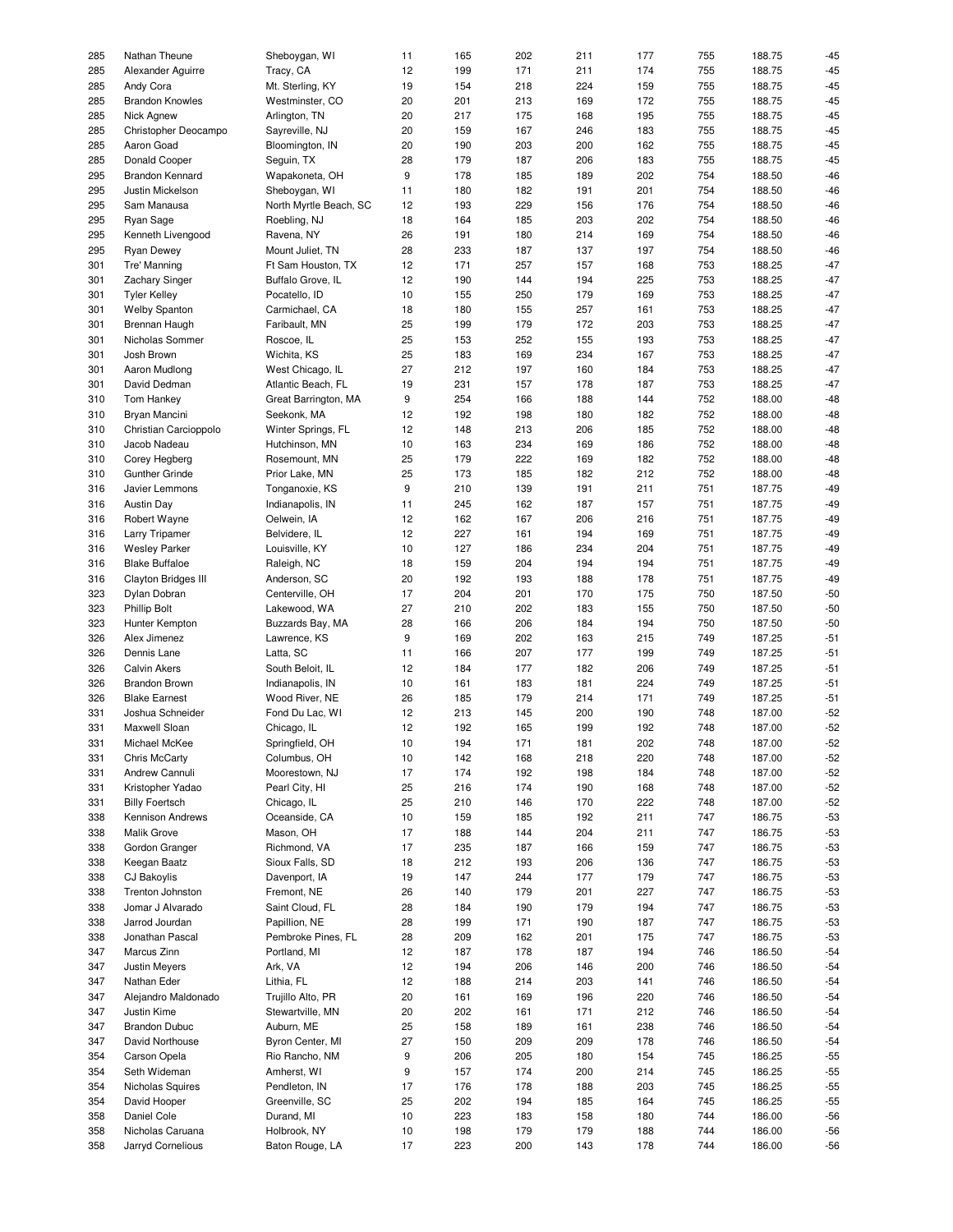| 285 | Nathan Theune              | Sheboygan, WI          | 11               | 165 | 202 | 211 | 177 | 755 | 188.75 | $-45$ |
|-----|----------------------------|------------------------|------------------|-----|-----|-----|-----|-----|--------|-------|
|     |                            |                        |                  |     |     |     |     |     |        |       |
| 285 | Alexander Aguirre          | Tracy, CA              | 12               | 199 | 171 | 211 | 174 | 755 | 188.75 | $-45$ |
| 285 | Andy Cora                  | Mt. Sterling, KY       | 19               | 154 | 218 | 224 | 159 | 755 | 188.75 | $-45$ |
| 285 | <b>Brandon Knowles</b>     | Westminster, CO        | 20               | 201 | 213 | 169 | 172 | 755 | 188.75 | $-45$ |
|     |                            |                        |                  |     |     |     |     |     |        |       |
| 285 | Nick Agnew                 | Arlington, TN          | 20               | 217 | 175 | 168 | 195 | 755 | 188.75 | $-45$ |
| 285 | Christopher Deocampo       | Sayreville, NJ         | 20               | 159 | 167 | 246 | 183 | 755 | 188.75 | $-45$ |
| 285 | Aaron Goad                 | Bloomington, IN        | 20               | 190 | 203 | 200 | 162 | 755 | 188.75 | $-45$ |
|     |                            |                        |                  |     |     |     |     |     |        |       |
| 285 | Donald Cooper              | Seguin, TX             | 28               | 179 | 187 | 206 | 183 | 755 | 188.75 | $-45$ |
| 295 | <b>Brandon Kennard</b>     | Wapakoneta, OH         | 9                | 178 | 185 | 189 | 202 | 754 | 188.50 | $-46$ |
| 295 | Justin Mickelson           | Sheboygan, WI          | 11               | 180 | 182 | 191 | 201 | 754 | 188.50 | $-46$ |
|     |                            |                        |                  |     |     |     |     |     |        |       |
| 295 | Sam Manausa                | North Myrtle Beach, SC | 12               | 193 | 229 | 156 | 176 | 754 | 188.50 | $-46$ |
| 295 | Ryan Sage                  | Roebling, NJ           | 18               | 164 | 185 | 203 | 202 | 754 | 188.50 | $-46$ |
| 295 | Kenneth Livengood          | Ravena, NY             | 26               | 191 | 180 | 214 | 169 | 754 | 188.50 | $-46$ |
|     |                            |                        |                  |     |     |     |     |     |        |       |
| 295 | <b>Ryan Dewey</b>          | Mount Juliet, TN       | 28               | 233 | 187 | 137 | 197 | 754 | 188.50 | $-46$ |
| 301 | Tre' Manning               | Ft Sam Houston, TX     | 12               | 171 | 257 | 157 | 168 | 753 | 188.25 | $-47$ |
| 301 | <b>Zachary Singer</b>      | Buffalo Grove, IL      | 12               | 190 | 144 | 194 | 225 | 753 | 188.25 | $-47$ |
| 301 | <b>Tyler Kelley</b>        | Pocatello, ID          | 10               | 155 | 250 | 179 | 169 | 753 | 188.25 | $-47$ |
|     |                            |                        |                  |     |     |     |     |     |        |       |
| 301 | <b>Welby Spanton</b>       | Carmichael, CA         | 18               | 180 | 155 | 257 | 161 | 753 | 188.25 | $-47$ |
| 301 | Brennan Haugh              | Faribault, MN          | 25               | 199 | 179 | 172 | 203 | 753 | 188.25 | $-47$ |
| 301 | Nicholas Sommer            | Roscoe, IL             | 25               | 153 | 252 | 155 | 193 | 753 | 188.25 | $-47$ |
|     |                            |                        |                  |     |     |     |     |     |        |       |
| 301 | Josh Brown                 | Wichita, KS            | 25               | 183 | 169 | 234 | 167 | 753 | 188.25 | $-47$ |
| 301 | Aaron Mudlong              | West Chicago, IL       | 27               | 212 | 197 | 160 | 184 | 753 | 188.25 | $-47$ |
| 301 | David Dedman               | Atlantic Beach, FL     | 19               | 231 | 157 | 178 | 187 | 753 | 188.25 | $-47$ |
|     |                            |                        |                  |     |     |     |     |     |        |       |
| 310 | Tom Hankey                 | Great Barrington, MA   | 9                | 254 | 166 | 188 | 144 | 752 | 188.00 | $-48$ |
| 310 | Bryan Mancini              | Seekonk, MA            | 12               | 192 | 198 | 180 | 182 | 752 | 188.00 | $-48$ |
| 310 | Christian Carcioppolo      | Winter Springs, FL     | 12               | 148 | 213 | 206 | 185 | 752 | 188.00 | $-48$ |
|     |                            |                        |                  |     |     |     |     |     |        |       |
| 310 | Jacob Nadeau               | Hutchinson, MN         | 10               | 163 | 234 | 169 | 186 | 752 | 188.00 | $-48$ |
| 310 | Corey Hegberg              | Rosemount, MN          | 25               | 179 | 222 | 169 | 182 | 752 | 188.00 | $-48$ |
| 310 | <b>Gunther Grinde</b>      | Prior Lake, MN         | 25               | 173 | 185 | 182 | 212 | 752 | 188.00 | $-48$ |
|     |                            |                        |                  |     |     |     |     |     |        |       |
| 316 | Javier Lemmons             | Tonganoxie, KS         | $\boldsymbol{9}$ | 210 | 139 | 191 | 211 | 751 | 187.75 | $-49$ |
| 316 | <b>Austin Day</b>          | Indianapolis, IN       | 11               | 245 | 162 | 187 | 157 | 751 | 187.75 | $-49$ |
| 316 | Robert Wayne               | Oelwein, IA            | 12               | 162 | 167 | 206 | 216 | 751 | 187.75 | $-49$ |
|     |                            |                        |                  |     |     |     |     |     |        |       |
| 316 | <b>Larry Tripamer</b>      | Belvidere, IL          | 12               | 227 | 161 | 194 | 169 | 751 | 187.75 | $-49$ |
| 316 | <b>Wesley Parker</b>       | Louisville, KY         | 10               | 127 | 186 | 234 | 204 | 751 | 187.75 | $-49$ |
| 316 | <b>Blake Buffaloe</b>      | Raleigh, NC            | 18               | 159 | 204 | 194 | 194 | 751 | 187.75 | $-49$ |
|     |                            |                        |                  |     |     |     |     |     |        |       |
| 316 | <b>Clayton Bridges III</b> | Anderson, SC           | 20               | 192 | 193 | 188 | 178 | 751 | 187.75 | $-49$ |
| 323 | Dylan Dobran               | Centerville, OH        | 17               | 204 | 201 | 170 | 175 | 750 | 187.50 | $-50$ |
| 323 | <b>Phillip Bolt</b>        | Lakewood, WA           | 27               | 210 | 202 | 183 | 155 | 750 | 187.50 | $-50$ |
| 323 | Hunter Kempton             | Buzzards Bay, MA       | 28               | 166 | 206 | 184 | 194 | 750 | 187.50 | $-50$ |
|     |                            |                        |                  |     |     |     |     |     |        |       |
| 326 | Alex Jimenez               | Lawrence, KS           | 9                | 169 | 202 | 163 | 215 | 749 | 187.25 | $-51$ |
| 326 | Dennis Lane                | Latta, SC              | 11               | 166 | 207 | 177 | 199 | 749 | 187.25 | $-51$ |
| 326 | <b>Calvin Akers</b>        | South Beloit, IL       | 12               | 184 | 177 | 182 | 206 | 749 | 187.25 | $-51$ |
|     |                            |                        |                  |     |     |     |     |     |        |       |
| 326 | <b>Brandon Brown</b>       | Indianapolis, IN       | 10               | 161 | 183 | 181 | 224 | 749 | 187.25 | $-51$ |
| 326 | <b>Blake Earnest</b>       | Wood River, NE         | 26               | 185 | 179 | 214 | 171 | 749 | 187.25 | $-51$ |
| 331 | Joshua Schneider           | Fond Du Lac, WI        | 12               | 213 | 145 | 200 | 190 | 748 | 187.00 | $-52$ |
|     |                            |                        |                  |     |     |     |     |     |        |       |
| 331 | Maxwell Sloan              | Chicago, IL            | 12               | 192 | 165 | 199 | 192 | 748 | 187.00 | $-52$ |
| 331 | Michael McKee              | Springfield, OH        | 10               | 194 | 171 | 181 | 202 | 748 | 187.00 | $-52$ |
| 331 | Chris McCarty              | Columbus, OH           | 10               | 142 | 168 | 218 | 220 | 748 | 187.00 | $-52$ |
|     |                            |                        |                  |     |     |     |     |     |        |       |
| 331 | Andrew Cannuli             | Moorestown, NJ         | 17               | 174 | 192 | 198 | 184 | 748 | 187.00 | $-52$ |
| 331 | Kristopher Yadao           | Pearl City, HI         | 25               | 216 | 174 | 190 | 168 | 748 | 187.00 | $-52$ |
| 331 | <b>Billy Foertsch</b>      | Chicago, IL            | 25               | 210 | 146 | 170 | 222 | 748 | 187.00 | $-52$ |
|     |                            |                        |                  |     |     |     |     |     |        |       |
| 338 | Kennison Andrews           | Oceanside, CA          | 10               | 159 | 185 | 192 | 211 | 747 | 186.75 | $-53$ |
| 338 | Malik Grove                | Mason, OH              | 17               | 188 | 144 | 204 | 211 | 747 | 186.75 | $-53$ |
| 338 | Gordon Granger             | Richmond, VA           | 17               | 235 | 187 | 166 | 159 | 747 | 186.75 | $-53$ |
|     |                            |                        |                  |     |     |     |     |     |        |       |
| 338 | Keegan Baatz               | Sioux Falls, SD        | 18               | 212 | 193 | 206 | 136 | 747 | 186.75 | $-53$ |
| 338 | <b>CJ Bakoylis</b>         | Davenport, IA          | 19               | 147 | 244 | 177 | 179 | 747 | 186.75 | $-53$ |
| 338 | Trenton Johnston           | Fremont, NE            | 26               | 140 | 179 | 201 | 227 | 747 | 186.75 | $-53$ |
|     |                            |                        |                  |     |     |     |     |     |        |       |
| 338 | Jomar J Alvarado           | Saint Cloud, FL        | 28               | 184 | 190 | 179 | 194 | 747 | 186.75 | $-53$ |
| 338 | Jarrod Jourdan             | Papillion, NE          | 28               | 199 | 171 | 190 | 187 | 747 | 186.75 | $-53$ |
| 338 | Jonathan Pascal            | Pembroke Pines, FL     | 28               | 209 | 162 | 201 | 175 | 747 | 186.75 | $-53$ |
|     |                            |                        |                  |     |     |     |     |     |        |       |
| 347 | Marcus Zinn                | Portland, MI           | 12               | 187 | 178 | 187 | 194 | 746 | 186.50 | $-54$ |
| 347 | <b>Justin Meyers</b>       | Ark, VA                | 12               | 194 | 206 | 146 | 200 | 746 | 186.50 | $-54$ |
| 347 | Nathan Eder                | Lithia, FL             | 12               | 188 | 214 | 203 | 141 | 746 | 186.50 | $-54$ |
| 347 | Alejandro Maldonado        | Trujillo Alto, PR      | 20               | 161 | 169 | 196 | 220 | 746 | 186.50 | $-54$ |
|     |                            |                        |                  |     |     |     |     |     |        |       |
| 347 | Justin Kime                | Stewartville, MN       | 20               | 202 | 161 | 171 | 212 | 746 | 186.50 | $-54$ |
| 347 | <b>Brandon Dubuc</b>       | Auburn, ME             | 25               | 158 | 189 | 161 | 238 | 746 | 186.50 | $-54$ |
| 347 | David Northouse            | Byron Center, MI       | 27               | 150 | 209 | 209 | 178 | 746 | 186.50 | $-54$ |
|     |                            |                        |                  |     |     |     |     |     |        |       |
| 354 | Carson Opela               | Rio Rancho, NM         | 9                | 206 | 205 | 180 | 154 | 745 | 186.25 | $-55$ |
| 354 | Seth Wideman               | Amherst, WI            | 9                | 157 | 174 | 200 | 214 | 745 | 186.25 | $-55$ |
| 354 | Nicholas Squires           | Pendleton, IN          | 17               | 176 | 178 | 188 | 203 | 745 | 186.25 | $-55$ |
|     |                            |                        |                  |     |     |     |     |     |        |       |
| 354 | David Hooper               | Greenville, SC         | 25               | 202 | 194 | 185 | 164 | 745 | 186.25 | $-55$ |
| 358 | Daniel Cole                | Durand, MI             | 10               | 223 | 183 | 158 | 180 | 744 | 186.00 | $-56$ |
| 358 | Nicholas Caruana           | Holbrook, NY           | 10               | 198 | 179 | 179 | 188 | 744 | 186.00 | $-56$ |
| 358 | Jarryd Cornelious          | Baton Rouge, LA        | 17               | 223 | 200 | 143 | 178 |     | 186.00 | $-56$ |
|     |                            |                        |                  |     |     |     |     | 744 |        |       |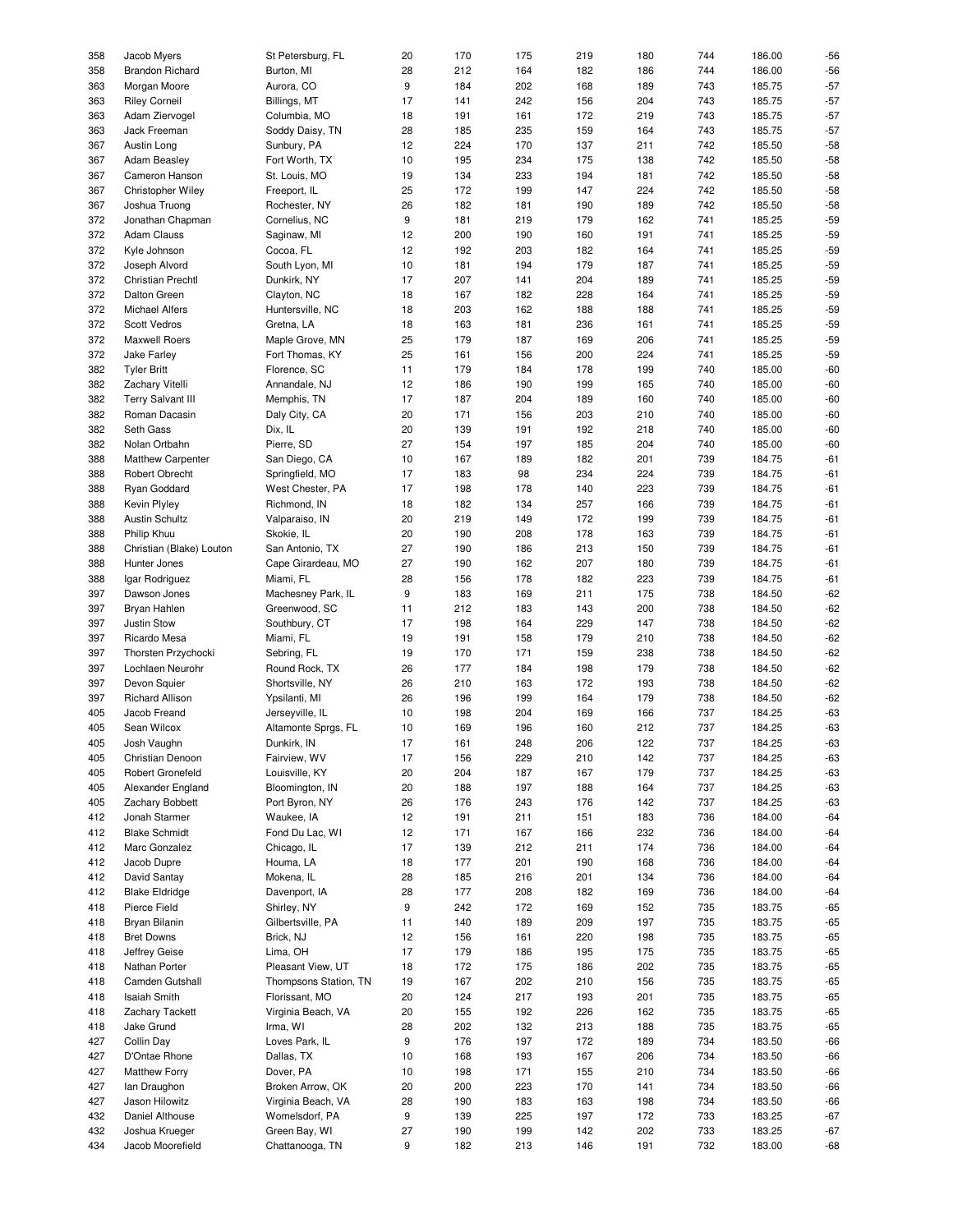| 358        | Jacob Myers                        | St Petersburg, FL                | 20               | 170        | 175        | 219        | 180        | 744        | 186.00           | $-56$          |
|------------|------------------------------------|----------------------------------|------------------|------------|------------|------------|------------|------------|------------------|----------------|
|            |                                    |                                  |                  |            |            |            |            |            |                  |                |
| 358        | <b>Brandon Richard</b>             | Burton, MI                       | 28               | 212        | 164        | 182        | 186        | 744        | 186.00           | $-56$          |
| 363        | Morgan Moore                       | Aurora, CO                       | 9                | 184        | 202        | 168        | 189        | 743        | 185.75           | $-57$          |
| 363        | <b>Riley Corneil</b>               | Billings, MT                     | 17               | 141        | 242        | 156        | 204        | 743        | 185.75           | $-57$          |
|            |                                    |                                  |                  |            |            |            |            |            | 185.75           | $-57$          |
| 363        | Adam Ziervogel                     | Columbia, MO                     | 18               | 191        | 161        | 172        | 219        | 743        |                  |                |
| 363        | Jack Freeman                       | Soddy Daisy, TN                  | 28               | 185        | 235        | 159        | 164        | 743        | 185.75           | $-57$          |
| 367        | Austin Long                        | Sunbury, PA                      | 12               | 224        | 170        | 137        | 211        | 742        | 185.50           | $-58$          |
| 367        | <b>Adam Beasley</b>                | Fort Worth, TX                   | 10               | 195        | 234        | 175        | 138        | 742        | 185.50           | $-58$          |
|            |                                    |                                  |                  |            |            |            |            |            |                  |                |
| 367        | Cameron Hanson                     | St. Louis, MO                    | 19               | 134        | 233        | 194        | 181        | 742        | 185.50           | $-58$          |
| 367        | Christopher Wiley                  | Freeport, IL                     | 25               | 172        | 199        | 147        | 224        | 742        | 185.50           | $-58$          |
| 367        | Joshua Truong                      | Rochester, NY                    | 26               | 182        | 181        | 190        | 189        | 742        | 185.50           | $-58$          |
|            |                                    |                                  |                  |            |            |            |            |            |                  |                |
| 372        | Jonathan Chapman                   | Cornelius, NC                    | $\boldsymbol{9}$ | 181        | 219        | 179        | 162        | 741        | 185.25           | $-59$          |
| 372        | Adam Clauss                        | Saginaw, MI                      | 12               | 200        | 190        | 160        | 191        | 741        | 185.25           | $-59$          |
| 372        | Kyle Johnson                       | Cocoa, FL                        | 12               | 192        | 203        | 182        | 164        | 741        | 185.25           | $-59$          |
|            |                                    |                                  |                  |            |            |            |            |            |                  |                |
| 372        | Joseph Alvord                      | South Lyon, MI                   | 10               | 181        | 194        | 179        | 187        | 741        | 185.25           | $-59$          |
| 372        | <b>Christian Prechtl</b>           | Dunkirk, NY                      | 17               | 207        | 141        | 204        | 189        | 741        | 185.25           | $-59$          |
| 372        | Dalton Green                       | Clayton, NC                      | 18               | 167        | 182        | 228        | 164        | 741        | 185.25           | $-59$          |
|            |                                    |                                  |                  |            |            |            |            |            |                  |                |
| 372        | Michael Alfers                     | Huntersville, NC                 | 18               | 203        | 162        | 188        | 188        | 741        | 185.25           | $-59$          |
| 372        | Scott Vedros                       | Gretna, LA                       | 18               | 163        | 181        | 236        | 161        | 741        | 185.25           | $-59$          |
| 372        | Maxwell Roers                      | Maple Grove, MN                  | 25               | 179        | 187        | 169        | 206        | 741        | 185.25           | $-59$          |
|            |                                    |                                  |                  |            |            |            |            |            |                  |                |
| 372        | Jake Farley                        | Fort Thomas, KY                  | 25               | 161        | 156        | 200        | 224        | 741        | 185.25           | $-59$          |
| 382        | <b>Tyler Britt</b>                 | Florence, SC                     | 11               | 179        | 184        | 178        | 199        | 740        | 185.00           | $-60$          |
| 382        | Zachary Vitelli                    | Annandale, NJ                    | 12               | 186        | 190        | 199        | 165        | 740        | 185.00           | $-60$          |
| 382        | <b>Terry Salvant III</b>           |                                  | 17               | 187        | 204        |            | 160        | 740        | 185.00           | $-60$          |
|            |                                    | Memphis, TN                      |                  |            |            | 189        |            |            |                  |                |
| 382        | Roman Dacasin                      | Daly City, CA                    | 20               | 171        | 156        | 203        | 210        | 740        | 185.00           | $-60$          |
| 382        | Seth Gass                          | Dix, IL                          | 20               | 139        | 191        | 192        | 218        | 740        | 185.00           | $-60$          |
| 382        | Nolan Ortbahn                      | Pierre, SD                       | 27               | 154        | 197        | 185        | 204        | 740        | 185.00           | $-60$          |
|            |                                    |                                  |                  |            |            |            |            |            |                  |                |
| 388        | <b>Matthew Carpenter</b>           | San Diego, CA                    | 10               | 167        | 189        | 182        | 201        | 739        | 184.75           | $-61$          |
| 388        | Robert Obrecht                     | Springfield, MO                  | 17               | 183        | 98         | 234        | 224        | 739        | 184.75           | $-61$          |
| 388        | Ryan Goddard                       | West Chester, PA                 | 17               | 198        | 178        | 140        | 223        | 739        | 184.75           | $-61$          |
|            |                                    |                                  |                  |            |            |            |            |            |                  |                |
| 388        | <b>Kevin Plyley</b>                | Richmond, IN                     | 18               | 182        | 134        | 257        | 166        | 739        | 184.75           | $-61$          |
| 388        | <b>Austin Schultz</b>              | Valparaiso, IN                   | 20               | 219        | 149        | 172        | 199        | 739        | 184.75           | $-61$          |
| 388        | Philip Khuu                        | Skokie, IL                       | 20               | 190        | 208        | 178        | 163        | 739        | 184.75           | $-61$          |
|            |                                    |                                  |                  |            |            |            |            |            |                  |                |
| 388        | Christian (Blake) Louton           | San Antonio, TX                  | 27               | 190        | 186        | 213        | 150        | 739        | 184.75           | $-61$          |
| 388        | Hunter Jones                       | Cape Girardeau, MO               | 27               | 190        | 162        | 207        | 180        | 739        | 184.75           | $-61$          |
| 388        | Igar Rodriguez                     | Miami, FL                        | 28               | 156        | 178        | 182        | 223        | 739        | 184.75           | $-61$          |
|            |                                    |                                  |                  |            |            |            |            |            |                  | $-62$          |
| 397        | Dawson Jones                       | Machesney Park, IL               | 9                | 183        | 169        | 211        | 175        | 738        | 184.50           |                |
| 397        | Bryan Hahlen                       | Greenwood, SC                    | 11               | 212        | 183        | 143        | 200        | 738        | 184.50           | $-62$          |
| 397        | Justin Stow                        | Southbury, CT                    | 17               | 198        | 164        | 229        | 147        | 738        | 184.50           | $-62$          |
| 397        | Ricardo Mesa                       | Miami, FL                        | 19               | 191        | 158        | 179        | 210        | 738        | 184.50           | $-62$          |
|            |                                    |                                  |                  |            |            |            |            |            |                  |                |
| 397        | Thorsten Przychocki                | Sebring, FL                      | 19               | 170        | 171        | 159        | 238        | 738        | 184.50           | $-62$          |
| 397        | Lochlaen Neurohr                   | Round Rock, TX                   | 26               | 177        | 184        | 198        | 179        | 738        | 184.50           | $-62$          |
| 397        | Devon Squier                       | Shortsville, NY                  | 26               | 210        | 163        | 172        | 193        | 738        | 184.50           | $-62$          |
|            |                                    |                                  |                  |            |            |            |            |            |                  |                |
| 397        | <b>Richard Allison</b>             | Ypsilanti, MI                    | 26               | 196        | 199        | 164        | 179        | 738        | 184.50           | $-62$          |
| 405        | Jacob Freand                       | Jerseyville, IL                  | 10               | 198        | 204        | 169        | 166        | 737        | 184.25           | $-63$          |
| 405        | Sean Wilcox                        | Altamonte Sprgs, FL              | 10               | 169        | 196        | 160        | 212        | 737        | 184.25           | $-63$          |
|            |                                    |                                  |                  |            |            |            |            |            |                  |                |
| 405        | Josh Vaughn                        | Dunkirk, IN                      | 17               | 161        | 248        | 206        | 122        | 737        | 184.25           | $-63$          |
| 405        | Christian Denoon                   | Fairview, WV                     | 17               | 156        | 229        | 210        | 142        | 737        | 184.25           | $-63$          |
| 405        | Robert Gronefeld                   | Louisville, KY                   | 20               | 204        | 187        | 167        | 179        | 737        | 184.25           | $-63$          |
|            |                                    |                                  |                  |            |            |            |            |            |                  |                |
| 405        | Alexander England                  | Bloomington, IN                  |                  |            |            |            |            |            |                  |                |
| 405        |                                    |                                  | 20               | 188        | 197        | 188        | 164        | 737        | 184.25           | $-63$          |
|            | Zachary Bobbett                    | Port Byron, NY                   | 26               | 176        | 243        | 176        | 142        | 737        | 184.25           | $-63$          |
|            |                                    |                                  |                  |            |            |            |            |            |                  |                |
| 412        | Jonah Starmer                      | Waukee, IA                       | 12               | 191        | 211        | 151        | 183        | 736        | 184.00           | $-64$          |
| 412        | <b>Blake Schmidt</b>               | Fond Du Lac, WI                  | 12               | 171        | 167        | 166        | 232        | 736        | 184.00           | $-64$          |
| 412        | Marc Gonzalez                      | Chicago, IL                      | 17               | 139        | 212        | 211        | 174        | 736        | 184.00           | $-64$          |
|            |                                    |                                  |                  |            |            |            |            |            |                  |                |
| 412        | Jacob Dupre                        | Houma, LA                        | 18               | 177        | 201        | 190        | 168        | 736        | 184.00           | $-64$          |
| 412        | David Santay                       | Mokena, IL                       | 28               | 185        | 216        | 201        | 134        | 736        | 184.00           | $-64$          |
| 412        | <b>Blake Eldridge</b>              | Davenport, IA                    | 28               | 177        | 208        | 182        | 169        | 736        | 184.00           | $-64$          |
| 418        | Pierce Field                       | Shirley, NY                      | 9                | 242        | 172        | 169        | 152        | 735        | 183.75           | $-65$          |
|            |                                    |                                  |                  |            |            |            |            |            |                  |                |
| 418        | Bryan Bilanin                      | Gilbertsville, PA                | 11               | 140        | 189        | 209        | 197        | 735        | 183.75           | $-65$          |
| 418        | <b>Bret Downs</b>                  | Brick, NJ                        | 12               | 156        | 161        | 220        | 198        | 735        | 183.75           | $-65$          |
| 418        | Jeffrey Geise                      | Lima, OH                         | 17               | 179        | 186        | 195        | 175        | 735        | 183.75           | $-65$          |
|            |                                    |                                  |                  |            |            |            |            |            |                  |                |
| 418        | Nathan Porter                      | Pleasant View, UT                | 18               | 172        | 175        | 186        | 202        | 735        | 183.75           | $-65$          |
| 418        | Camden Gutshall                    | Thompsons Station, TN            | 19               | 167        | 202        | 210        | 156        | 735        | 183.75           | $-65$          |
| 418        | Isaiah Smith                       | Florissant, MO                   | 20               | 124        | 217        | 193        | 201        | 735        | 183.75           | $-65$          |
| 418        | <b>Zachary Tackett</b>             | Virginia Beach, VA               |                  | 155        | 192        | 226        | 162        | 735        | 183.75           |                |
|            |                                    |                                  | 20               |            |            |            |            |            |                  | $-65$          |
| 418        | Jake Grund                         | Irma, WI                         | 28               | 202        | 132        | 213        | 188        | 735        | 183.75           | $-65$          |
| 427        | <b>Collin Day</b>                  | Loves Park, IL                   | 9                | 176        | 197        | 172        | 189        | 734        | 183.50           | $-66$          |
| 427        | D'Ontae Rhone                      | Dallas, TX                       | 10               | 168        | 193        | 167        | 206        | 734        | 183.50           | $-66$          |
|            |                                    |                                  |                  |            |            |            |            |            |                  |                |
| 427        | <b>Matthew Forry</b>               | Dover, PA                        | 10               | 198        | 171        | 155        | 210        | 734        | 183.50           | $-66$          |
| 427        | lan Draughon                       | Broken Arrow, OK                 | 20               | 200        | 223        | 170        | 141        | 734        | 183.50           | $-66$          |
| 427        | Jason Hilowitz                     | Virginia Beach, VA               | 28               | 190        | 183        | 163        | 198        | 734        | 183.50           | $-66$          |
|            |                                    |                                  |                  |            |            |            |            |            |                  |                |
| 432        | Daniel Althouse                    | Womelsdorf, PA                   | 9                | 139        | 225        | 197        | 172        | 733        | 183.25           | $-67$          |
| 432<br>434 | Joshua Krueger<br>Jacob Moorefield | Green Bay, WI<br>Chattanooga, TN | 27<br>9          | 190<br>182 | 199<br>213 | 142<br>146 | 202<br>191 | 733<br>732 | 183.25<br>183.00 | $-67$<br>$-68$ |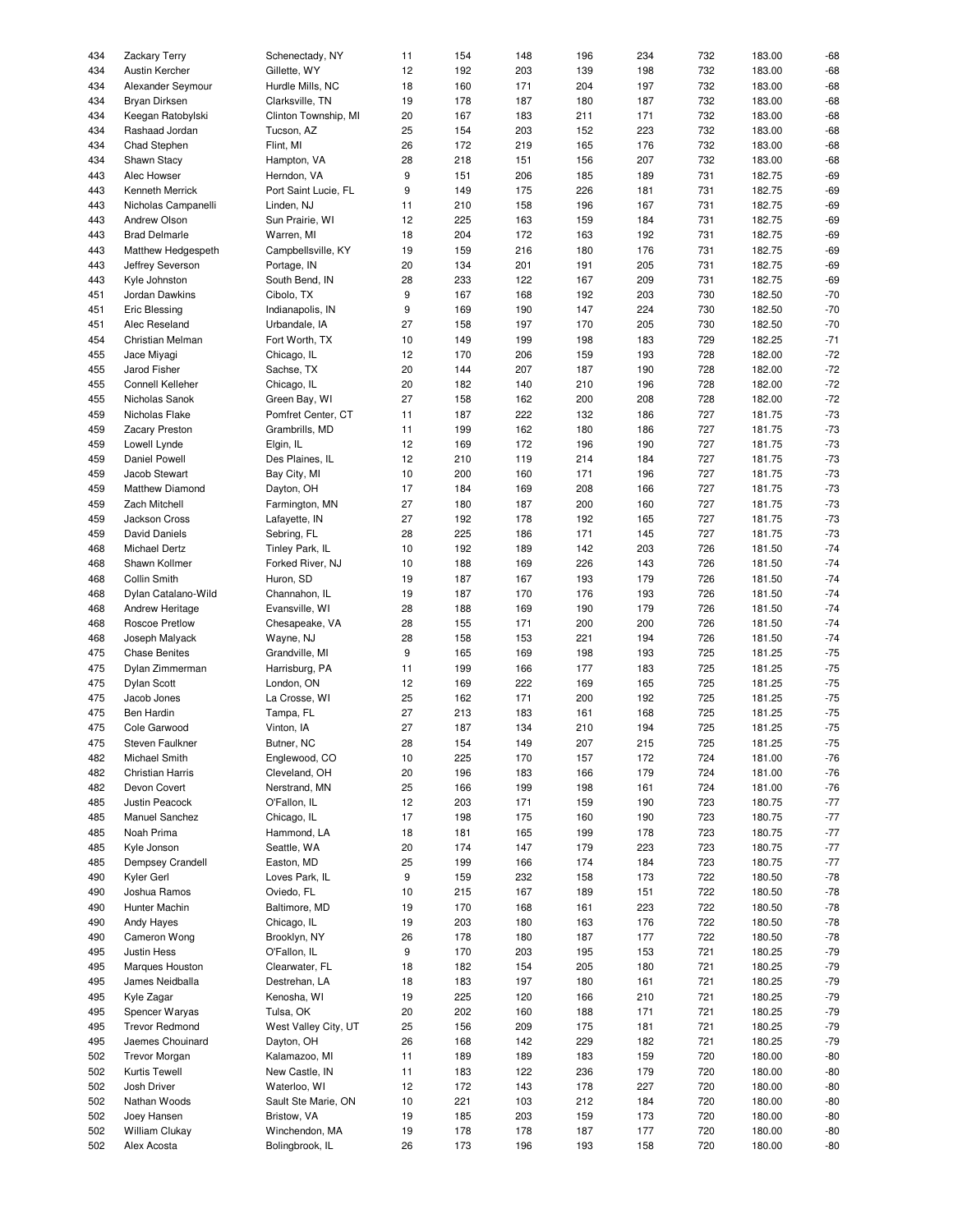| 434 | <b>Zackary Terry</b>    | Schenectady, NY      | 11               | 154 | 148 | 196 | 234 | 732 | 183.00 | $-68$   |
|-----|-------------------------|----------------------|------------------|-----|-----|-----|-----|-----|--------|---------|
| 434 | Austin Kercher          | Gillette, WY         | 12               | 192 | 203 | 139 | 198 | 732 | 183.00 | $-68$   |
|     |                         |                      |                  |     |     |     |     |     |        |         |
| 434 | Alexander Seymour       | Hurdle Mills, NC     | 18               | 160 | 171 | 204 | 197 | 732 | 183.00 | $-68$   |
| 434 | Bryan Dirksen           | Clarksville, TN      | 19               | 178 | 187 | 180 | 187 | 732 | 183.00 | $-68$   |
| 434 | Keegan Ratobylski       | Clinton Township, MI | 20               | 167 | 183 | 211 | 171 | 732 | 183.00 | $-68$   |
| 434 | Rashaad Jordan          | Tucson, AZ           | 25               | 154 | 203 | 152 | 223 | 732 | 183.00 | $-68$   |
| 434 | Chad Stephen            | Flint, MI            | 26               | 172 | 219 | 165 | 176 | 732 | 183.00 | $-68$   |
|     |                         |                      |                  |     |     |     |     |     |        | $-68$   |
| 434 | Shawn Stacy             | Hampton, VA          | 28               | 218 | 151 | 156 | 207 | 732 | 183.00 |         |
| 443 | Alec Howser             | Herndon, VA          | 9                | 151 | 206 | 185 | 189 | 731 | 182.75 | $-69$   |
| 443 | Kenneth Merrick         | Port Saint Lucie, FL | 9                | 149 | 175 | 226 | 181 | 731 | 182.75 | $-69$   |
| 443 | Nicholas Campanelli     | Linden, NJ           | 11               | 210 | 158 | 196 | 167 | 731 | 182.75 | $-69$   |
| 443 | Andrew Olson            | Sun Prairie, WI      | 12               | 225 | 163 | 159 | 184 | 731 | 182.75 | $-69$   |
|     |                         |                      |                  |     |     |     |     |     |        |         |
| 443 | <b>Brad Delmarle</b>    | Warren, MI           | 18               | 204 | 172 | 163 | 192 | 731 | 182.75 | $-69$   |
| 443 | Matthew Hedgespeth      | Campbellsville, KY   | 19               | 159 | 216 | 180 | 176 | 731 | 182.75 | $-69$   |
| 443 | Jeffrey Severson        | Portage, IN          | 20               | 134 | 201 | 191 | 205 | 731 | 182.75 | $-69$   |
| 443 | Kyle Johnston           | South Bend, IN       | 28               | 233 | 122 | 167 | 209 | 731 | 182.75 | $-69$   |
| 451 | Jordan Dawkins          | Cibolo, TX           | $\boldsymbol{9}$ | 167 | 168 | 192 | 203 | 730 | 182.50 | $-70$   |
|     |                         |                      |                  |     |     |     |     |     |        |         |
| 451 | Eric Blessing           | Indianapolis, IN     | 9                | 169 | 190 | 147 | 224 | 730 | 182.50 | $-70$   |
| 451 | Alec Reseland           | Urbandale, IA        | 27               | 158 | 197 | 170 | 205 | 730 | 182.50 | $-70$   |
| 454 | Christian Melman        | Fort Worth, TX       | 10               | 149 | 199 | 198 | 183 | 729 | 182.25 | $-71$   |
| 455 | Jace Miyagi             | Chicago, IL          | 12               | 170 | 206 | 159 | 193 | 728 | 182.00 | $-72$   |
| 455 | Jarod Fisher            | Sachse, TX           | 20               | 144 | 207 | 187 | 190 | 728 | 182.00 | $-72$   |
|     |                         |                      |                  |     |     |     |     |     |        |         |
| 455 | Connell Kelleher        | Chicago, IL          | 20               | 182 | 140 | 210 | 196 | 728 | 182.00 | $-72$   |
| 455 | Nicholas Sanok          | Green Bay, WI        | 27               | 158 | 162 | 200 | 208 | 728 | 182.00 | $-72$   |
| 459 | Nicholas Flake          | Pomfret Center, CT   | 11               | 187 | 222 | 132 | 186 | 727 | 181.75 | $-73$   |
| 459 | <b>Zacary Preston</b>   | Grambrills, MD       | 11               | 199 | 162 | 180 | 186 | 727 | 181.75 | $-73$   |
| 459 | Lowell Lynde            | Elgin, IL            | 12               | 169 | 172 | 196 | 190 | 727 | 181.75 | $-73$   |
|     |                         |                      |                  |     |     |     |     |     |        |         |
| 459 | Daniel Powell           | Des Plaines, IL      | 12               | 210 | 119 | 214 | 184 | 727 | 181.75 | $-73$   |
| 459 | Jacob Stewart           | Bay City, MI         | 10               | 200 | 160 | 171 | 196 | 727 | 181.75 | $-73$   |
| 459 | Matthew Diamond         | Dayton, OH           | 17               | 184 | 169 | 208 | 166 | 727 | 181.75 | $-73$   |
| 459 | Zach Mitchell           | Farmington, MN       | 27               | 180 | 187 | 200 | 160 | 727 | 181.75 | $-73$   |
| 459 | Jackson Cross           | Lafayette, IN        | 27               | 192 | 178 | 192 | 165 | 727 | 181.75 | $-73$   |
|     |                         |                      |                  |     |     |     |     |     |        |         |
| 459 | <b>David Daniels</b>    | Sebring, FL          | 28               | 225 | 186 | 171 | 145 | 727 | 181.75 | $-73$   |
| 468 | Michael Dertz           | Tinley Park, IL      | 10               | 192 | 189 | 142 | 203 | 726 | 181.50 | $-74$   |
| 468 | Shawn Kollmer           | Forked River, NJ     | 10               | 188 | 169 | 226 | 143 | 726 | 181.50 | $-74$   |
| 468 | Collin Smith            | Huron, SD            | 19               | 187 | 167 | 193 | 179 | 726 | 181.50 | $-74$   |
| 468 | Dylan Catalano-Wild     | Channahon, IL        | 19               | 187 | 170 | 176 | 193 | 726 | 181.50 | $-74$   |
|     |                         |                      |                  |     |     |     |     |     |        |         |
| 468 | Andrew Heritage         | Evansville, WI       | 28               | 188 | 169 | 190 | 179 | 726 | 181.50 | $-74$   |
| 468 | Roscoe Pretlow          | Chesapeake, VA       | 28               | 155 | 171 | 200 | 200 | 726 | 181.50 | $-74$   |
| 468 | Joseph Malyack          | Wayne, NJ            | 28               | 158 | 153 | 221 | 194 | 726 | 181.50 | $-74$   |
| 475 | <b>Chase Benites</b>    | Grandville, MI       | $\boldsymbol{9}$ | 165 | 169 | 198 | 193 | 725 | 181.25 | $-75$   |
| 475 | Dylan Zimmerman         | Harrisburg, PA       | 11               | 199 | 166 | 177 | 183 | 725 | 181.25 | $-75$   |
|     |                         | London, ON           |                  |     |     |     |     |     |        | $-75$   |
| 475 | <b>Dylan Scott</b>      |                      | 12               | 169 | 222 | 169 | 165 | 725 | 181.25 |         |
| 475 | Jacob Jones             | La Crosse, WI        | 25               | 162 | 171 | 200 | 192 | 725 | 181.25 | $-75$   |
| 475 | <b>Ben Hardin</b>       | Tampa, FL            | 27               | 213 | 183 | 161 | 168 | 725 | 181.25 | $-75$   |
| 475 | Cole Garwood            | Vinton, IA           | 27               | 187 | 134 | 210 | 194 | 725 | 181.25 | $-75\,$ |
| 475 | Steven Faulkner         | Butner, NC           | 28               | 154 | 149 | 207 | 215 | 725 | 181.25 | $-75$   |
| 482 | Michael Smith           | Englewood, CO        | 10               | 225 | 170 | 157 | 172 | 724 | 181.00 | $-76$   |
|     |                         |                      |                  |     |     |     |     |     |        |         |
| 482 | <b>Christian Harris</b> | Cleveland, OH        | 20               | 196 | 183 | 166 | 179 | 724 | 181.00 | $-76$   |
| 482 | Devon Covert            | Nerstrand, MN        | 25               | 166 | 199 | 198 | 161 | 724 | 181.00 | $-76$   |
| 485 | Justin Peacock          | O'Fallon, IL         | 12               | 203 | 171 | 159 | 190 | 723 | 180.75 | $-77$   |
| 485 | Manuel Sanchez          | Chicago, IL          | 17               | 198 | 175 | 160 | 190 | 723 | 180.75 | $-77$   |
| 485 | Noah Prima              | Hammond, LA          | 18               | 181 | 165 | 199 | 178 | 723 | 180.75 | $-77$   |
|     |                         |                      |                  |     |     |     |     |     |        |         |
| 485 | Kyle Jonson             | Seattle, WA          | 20               | 174 | 147 | 179 | 223 | 723 | 180.75 | $-77$   |
| 485 | <b>Dempsey Crandell</b> | Easton, MD           | 25               | 199 | 166 | 174 | 184 | 723 | 180.75 | $-77$   |
| 490 | Kyler Gerl              | Loves Park, IL       | 9                | 159 | 232 | 158 | 173 | 722 | 180.50 | $-78$   |
| 490 | Joshua Ramos            | Oviedo, FL           | 10               | 215 | 167 | 189 | 151 | 722 | 180.50 | $-78$   |
| 490 | Hunter Machin           | Baltimore, MD        | 19               | 170 | 168 | 161 | 223 | 722 | 180.50 | $-78$   |
|     |                         |                      |                  |     |     |     |     |     |        |         |
| 490 | Andy Hayes              | Chicago, IL          | 19               | 203 | 180 | 163 | 176 | 722 | 180.50 | $-78$   |
| 490 | Cameron Wong            | Brooklyn, NY         | 26               | 178 | 180 | 187 | 177 | 722 | 180.50 | $-78$   |
| 495 | Justin Hess             | O'Fallon, IL         | 9                | 170 | 203 | 195 | 153 | 721 | 180.25 | $-79$   |
| 495 | Marques Houston         | Clearwater, FL       | 18               | 182 | 154 | 205 | 180 | 721 | 180.25 | $-79$   |
| 495 | James Neidballa         | Destrehan, LA        | 18               | 183 | 197 | 180 | 161 | 721 | 180.25 | $-79$   |
|     |                         | Kenosha, WI          |                  |     |     |     | 210 |     |        |         |
| 495 | Kyle Zagar              |                      | 19               | 225 | 120 | 166 |     | 721 | 180.25 | $-79$   |
| 495 | Spencer Waryas          | Tulsa, OK            | 20               | 202 | 160 | 188 | 171 | 721 | 180.25 | $-79$   |
| 495 | <b>Trevor Redmond</b>   | West Valley City, UT | 25               | 156 | 209 | 175 | 181 | 721 | 180.25 | $-79$   |
| 495 | Jaemes Chouinard        | Dayton, OH           | 26               | 168 | 142 | 229 | 182 | 721 | 180.25 | $-79$   |
| 502 | <b>Trevor Morgan</b>    | Kalamazoo, MI        | 11               | 189 | 189 | 183 | 159 | 720 | 180.00 | $-80$   |
| 502 | Kurtis Tewell           | New Castle, IN       | 11               | 183 | 122 | 236 | 179 | 720 | 180.00 | $-80$   |
|     |                         |                      |                  |     |     |     |     |     |        |         |
| 502 | Josh Driver             | Waterloo, WI         | 12               | 172 | 143 | 178 | 227 | 720 | 180.00 | $-80$   |
| 502 | Nathan Woods            | Sault Ste Marie, ON  | 10               | 221 | 103 | 212 | 184 | 720 | 180.00 | $-80$   |
| 502 | Joey Hansen             | Bristow, VA          | 19               | 185 | 203 | 159 | 173 | 720 | 180.00 | $-80$   |
| 502 | William Clukay          | Winchendon, MA       | 19               | 178 | 178 | 187 | 177 | 720 | 180.00 | $-80$   |
| 502 | Alex Acosta             | Bolingbrook, IL      | 26               | 173 | 196 | 193 | 158 | 720 | 180.00 | $-80$   |
|     |                         |                      |                  |     |     |     |     |     |        |         |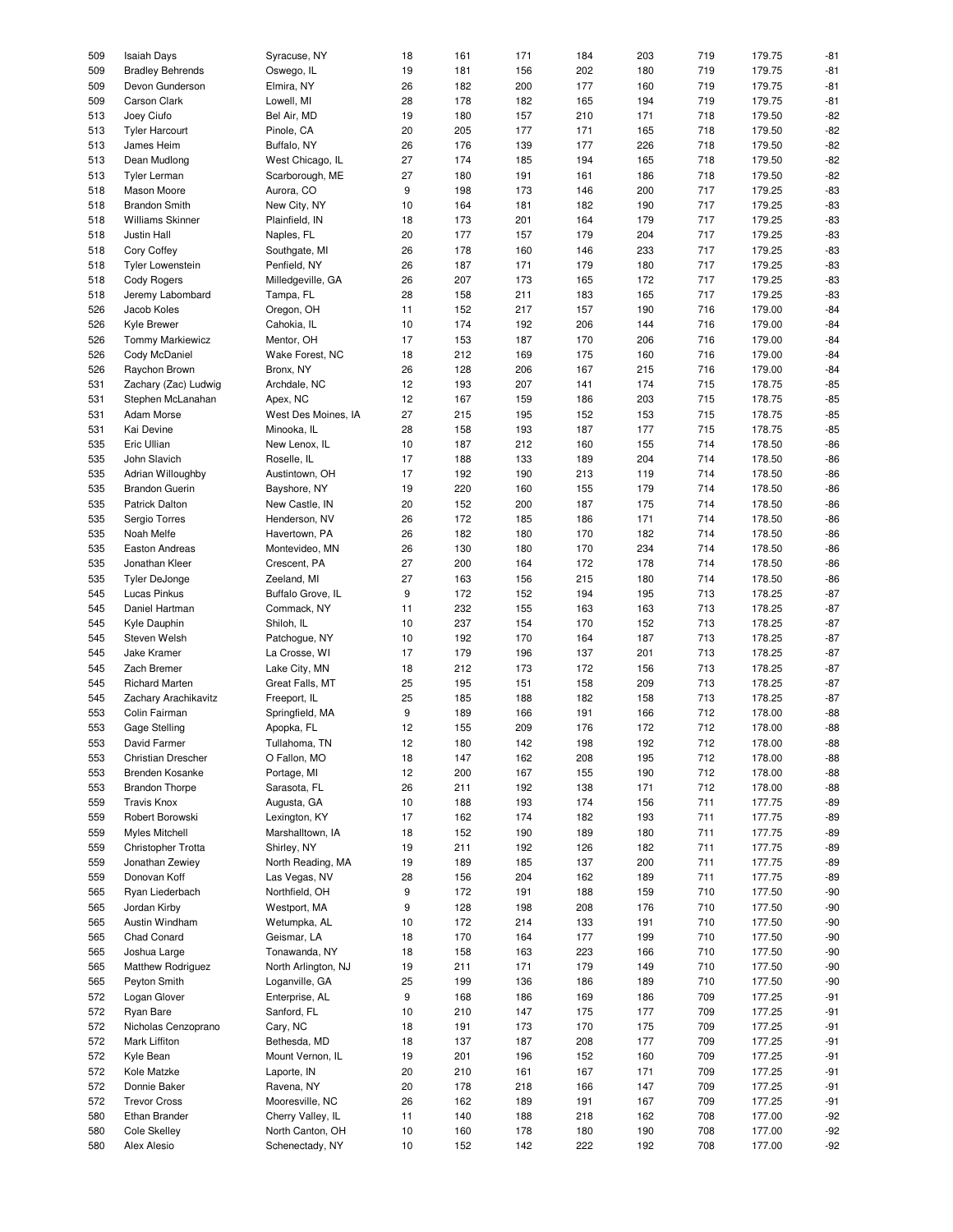| 509 | <b>Isaiah Days</b>      | Syracuse, NY        | 18               | 161 | 171 | 184 | 203 | 719 | 179.75 | $-81$ |
|-----|-------------------------|---------------------|------------------|-----|-----|-----|-----|-----|--------|-------|
|     |                         |                     |                  |     |     |     |     |     |        |       |
| 509 | <b>Bradley Behrends</b> | Oswego, IL          | 19               | 181 | 156 | 202 | 180 | 719 | 179.75 | $-81$ |
| 509 | Devon Gunderson         | Elmira, NY          | 26               | 182 | 200 | 177 | 160 | 719 | 179.75 | $-81$ |
| 509 | Carson Clark            | Lowell, MI          | 28               | 178 | 182 | 165 | 194 | 719 | 179.75 | $-81$ |
|     |                         |                     |                  |     |     |     |     |     | 179.50 | $-82$ |
| 513 | Joey Ciufo              | Bel Air, MD         | 19               | 180 | 157 | 210 | 171 | 718 |        |       |
| 513 | <b>Tyler Harcourt</b>   | Pinole, CA          | 20               | 205 | 177 | 171 | 165 | 718 | 179.50 | $-82$ |
| 513 | James Heim              | Buffalo, NY         | 26               | 176 | 139 | 177 | 226 | 718 | 179.50 | $-82$ |
| 513 | Dean Mudlong            | West Chicago, IL    | 27               | 174 | 185 | 194 | 165 | 718 | 179.50 | $-82$ |
|     |                         |                     |                  |     |     |     |     |     |        |       |
| 513 | <b>Tyler Lerman</b>     | Scarborough, ME     | 27               | 180 | 191 | 161 | 186 | 718 | 179.50 | $-82$ |
| 518 | Mason Moore             | Aurora, CO          | $\boldsymbol{9}$ | 198 | 173 | 146 | 200 | 717 | 179.25 | $-83$ |
| 518 | <b>Brandon Smith</b>    | New City, NY        | 10               | 164 | 181 | 182 | 190 | 717 | 179.25 | $-83$ |
|     |                         |                     |                  |     |     |     |     |     |        |       |
| 518 | Williams Skinner        | Plainfield, IN      | 18               | 173 | 201 | 164 | 179 | 717 | 179.25 | $-83$ |
| 518 | Justin Hall             | Naples, FL          | 20               | 177 | 157 | 179 | 204 | 717 | 179.25 | $-83$ |
| 518 | Cory Coffey             | Southgate, MI       | 26               | 178 | 160 | 146 | 233 | 717 | 179.25 | $-83$ |
|     |                         |                     |                  |     |     |     |     |     |        |       |
| 518 | <b>Tyler Lowenstein</b> | Penfield, NY        | 26               | 187 | 171 | 179 | 180 | 717 | 179.25 | $-83$ |
| 518 | Cody Rogers             | Milledgeville, GA   | 26               | 207 | 173 | 165 | 172 | 717 | 179.25 | $-83$ |
| 518 | Jeremy Labombard        | Tampa, FL           | 28               | 158 | 211 | 183 | 165 | 717 | 179.25 | $-83$ |
|     |                         |                     |                  |     |     |     |     |     |        |       |
| 526 | Jacob Koles             | Oregon, OH          | 11               | 152 | 217 | 157 | 190 | 716 | 179.00 | $-84$ |
| 526 | Kyle Brewer             | Cahokia, IL         | 10               | 174 | 192 | 206 | 144 | 716 | 179.00 | $-84$ |
| 526 | <b>Tommy Markiewicz</b> | Mentor, OH          | 17               | 153 | 187 | 170 | 206 | 716 | 179.00 | $-84$ |
|     |                         |                     |                  |     |     |     |     |     |        |       |
| 526 | Cody McDaniel           | Wake Forest, NC     | 18               | 212 | 169 | 175 | 160 | 716 | 179.00 | $-84$ |
| 526 | Raychon Brown           | Bronx, NY           | 26               | 128 | 206 | 167 | 215 | 716 | 179.00 | $-84$ |
| 531 | Zachary (Zac) Ludwig    | Archdale, NC        | 12               | 193 | 207 | 141 | 174 | 715 | 178.75 | $-85$ |
|     |                         |                     |                  |     |     |     |     |     |        |       |
| 531 | Stephen McLanahan       | Apex, NC            | 12               | 167 | 159 | 186 | 203 | 715 | 178.75 | $-85$ |
| 531 | Adam Morse              | West Des Moines, IA | 27               | 215 | 195 | 152 | 153 | 715 | 178.75 | $-85$ |
| 531 | Kai Devine              | Minooka, IL         | 28               | 158 | 193 | 187 | 177 | 715 | 178.75 | $-85$ |
|     |                         |                     |                  |     |     |     |     |     |        |       |
| 535 | Eric Ullian             | New Lenox, IL       | 10               | 187 | 212 | 160 | 155 | 714 | 178.50 | $-86$ |
| 535 | John Slavich            | Roselle, IL         | 17               | 188 | 133 | 189 | 204 | 714 | 178.50 | $-86$ |
| 535 | Adrian Willoughby       | Austintown, OH      | 17               | 192 | 190 | 213 | 119 | 714 | 178.50 | $-86$ |
|     |                         |                     |                  |     |     |     |     |     |        |       |
| 535 | <b>Brandon Guerin</b>   | Bayshore, NY        | 19               | 220 | 160 | 155 | 179 | 714 | 178.50 | $-86$ |
| 535 | <b>Patrick Dalton</b>   | New Castle, IN      | 20               | 152 | 200 | 187 | 175 | 714 | 178.50 | $-86$ |
| 535 | Sergio Torres           | Henderson, NV       | 26               | 172 | 185 | 186 | 171 | 714 | 178.50 | $-86$ |
|     |                         |                     |                  |     |     |     |     |     |        |       |
| 535 | Noah Melfe              | Havertown, PA       | 26               | 182 | 180 | 170 | 182 | 714 | 178.50 | $-86$ |
| 535 | <b>Easton Andreas</b>   | Montevideo, MN      | 26               | 130 | 180 | 170 | 234 | 714 | 178.50 | $-86$ |
| 535 | Jonathan Kleer          | Crescent, PA        | 27               | 200 | 164 | 172 | 178 | 714 | 178.50 | $-86$ |
|     |                         |                     |                  |     |     |     |     |     |        |       |
| 535 | <b>Tyler DeJonge</b>    | Zeeland, MI         | 27               | 163 | 156 | 215 | 180 | 714 | 178.50 | $-86$ |
| 545 | Lucas Pinkus            | Buffalo Grove, IL   | 9                | 172 | 152 | 194 | 195 | 713 | 178.25 | $-87$ |
| 545 | Daniel Hartman          | Commack, NY         | 11               | 232 | 155 | 163 | 163 | 713 | 178.25 | $-87$ |
| 545 | Kyle Dauphin            | Shiloh, IL          | 10               | 237 | 154 | 170 | 152 | 713 | 178.25 | $-87$ |
|     |                         |                     |                  |     |     |     |     |     |        |       |
| 545 | Steven Welsh            | Patchogue, NY       | 10               | 192 | 170 | 164 | 187 | 713 | 178.25 | $-87$ |
| 545 | Jake Kramer             | La Crosse, WI       | 17               | 179 | 196 | 137 | 201 | 713 | 178.25 | $-87$ |
| 545 | Zach Bremer             |                     |                  | 212 | 173 | 172 | 156 | 713 | 178.25 | $-87$ |
|     |                         | Lake City, MN       | 18               |     |     |     |     |     |        |       |
| 545 | <b>Richard Marten</b>   | Great Falls, MT     | 25               | 195 | 151 | 158 | 209 | 713 | 178.25 | $-87$ |
| 545 | Zachary Arachikavitz    | Freeport, IL        | 25               | 185 | 188 | 182 | 158 | 713 | 178.25 | $-87$ |
| 553 | Colin Fairman           | Springfield, MA     | $\boldsymbol{9}$ | 189 | 166 | 191 | 166 | 712 | 178.00 | $-88$ |
|     |                         |                     |                  |     |     |     |     |     |        |       |
| 553 | Gage Stelling           | Apopka, FL          | 12               | 155 | 209 | 176 | 172 | 712 | 178.00 | $-88$ |
| 553 | David Farmer            | Tullahoma, TN       | 12               | 180 | 142 | 198 | 192 | 712 | 178.00 | $-88$ |
| 553 | Christian Drescher      | O Fallon, MO        | 18               | 147 | 162 | 208 | 195 | 712 | 178.00 | $-88$ |
|     |                         |                     |                  |     |     |     |     |     |        |       |
| 553 | Brenden Kosanke         | Portage, MI         | 12               | 200 | 167 | 155 | 190 | 712 | 178.00 | $-88$ |
| 553 | <b>Brandon Thorpe</b>   | Sarasota, FL        | 26               | 211 | 192 | 138 | 171 | 712 | 178.00 | $-88$ |
| 559 | <b>Travis Knox</b>      | Augusta, GA         | 10               | 188 | 193 | 174 | 156 | 711 | 177.75 | $-89$ |
|     |                         |                     |                  |     |     |     |     |     |        |       |
| 559 | Robert Borowski         | Lexington, KY       | 17               | 162 | 174 | 182 | 193 | 711 | 177.75 | $-89$ |
| 559 | Myles Mitchell          | Marshalltown, IA    | 18               | 152 | 190 | 189 | 180 | 711 | 177.75 | $-89$ |
| 559 | Christopher Trotta      | Shirley, NY         | 19               | 211 | 192 | 126 | 182 | 711 | 177.75 | $-89$ |
|     |                         |                     |                  |     |     |     |     |     |        |       |
| 559 | Jonathan Zewiey         | North Reading, MA   | 19               | 189 | 185 | 137 | 200 | 711 | 177.75 | $-89$ |
| 559 | Donovan Koff            | Las Vegas, NV       | 28               | 156 | 204 | 162 | 189 | 711 | 177.75 | $-89$ |
| 565 | Ryan Liederbach         | Northfield, OH      | 9                | 172 | 191 | 188 | 159 | 710 | 177.50 | $-90$ |
|     |                         |                     |                  |     |     |     |     |     |        |       |
| 565 | Jordan Kirby            | Westport, MA        | 9                | 128 | 198 | 208 | 176 | 710 | 177.50 | $-90$ |
| 565 | Austin Windham          | Wetumpka, AL        | 10               | 172 | 214 | 133 | 191 | 710 | 177.50 | $-90$ |
| 565 | Chad Conard             | Geismar, LA         | 18               | 170 | 164 | 177 | 199 | 710 | 177.50 | $-90$ |
|     |                         |                     |                  |     |     |     |     |     |        |       |
| 565 | Joshua Large            | Tonawanda, NY       | 18               | 158 | 163 | 223 | 166 | 710 | 177.50 | $-90$ |
| 565 | Matthew Rodriguez       | North Arlington, NJ | 19               | 211 | 171 | 179 | 149 | 710 | 177.50 | $-90$ |
| 565 | Peyton Smith            | Loganville, GA      | 25               | 199 | 136 | 186 | 189 | 710 | 177.50 | $-90$ |
|     | Logan Glover            | Enterprise, AL      |                  | 168 |     |     |     |     |        | $-91$ |
| 572 |                         |                     | 9                |     | 186 | 169 | 186 | 709 | 177.25 |       |
| 572 | Ryan Bare               | Sanford, FL         | 10               | 210 | 147 | 175 | 177 | 709 | 177.25 | $-91$ |
| 572 | Nicholas Cenzoprano     | Cary, NC            | 18               | 191 | 173 | 170 | 175 | 709 | 177.25 | $-91$ |
| 572 | Mark Liffiton           | Bethesda, MD        | 18               | 137 | 187 |     | 177 | 709 | 177.25 | $-91$ |
|     |                         |                     |                  |     |     | 208 |     |     |        |       |
| 572 | Kyle Bean               | Mount Vernon, IL    | 19               | 201 | 196 | 152 | 160 | 709 | 177.25 | $-91$ |
| 572 | Kole Matzke             | Laporte, IN         | 20               | 210 | 161 | 167 | 171 | 709 | 177.25 | $-91$ |
| 572 | Donnie Baker            | Ravena, NY          | 20               | 178 | 218 | 166 | 147 | 709 | 177.25 | $-91$ |
|     |                         |                     |                  |     |     |     |     |     |        |       |
| 572 | <b>Trevor Cross</b>     | Mooresville, NC     | 26               | 162 | 189 | 191 | 167 | 709 | 177.25 | $-91$ |
| 580 | Ethan Brander           | Cherry Valley, IL   | 11               | 140 | 188 | 218 | 162 | 708 | 177.00 | $-92$ |
| 580 | Cole Skelley            | North Canton, OH    | 10               | 160 | 178 | 180 | 190 | 708 | 177.00 | $-92$ |
| 580 | Alex Alesio             | Schenectady, NY     | 10               | 152 | 142 | 222 | 192 | 708 | 177.00 | $-92$ |
|     |                         |                     |                  |     |     |     |     |     |        |       |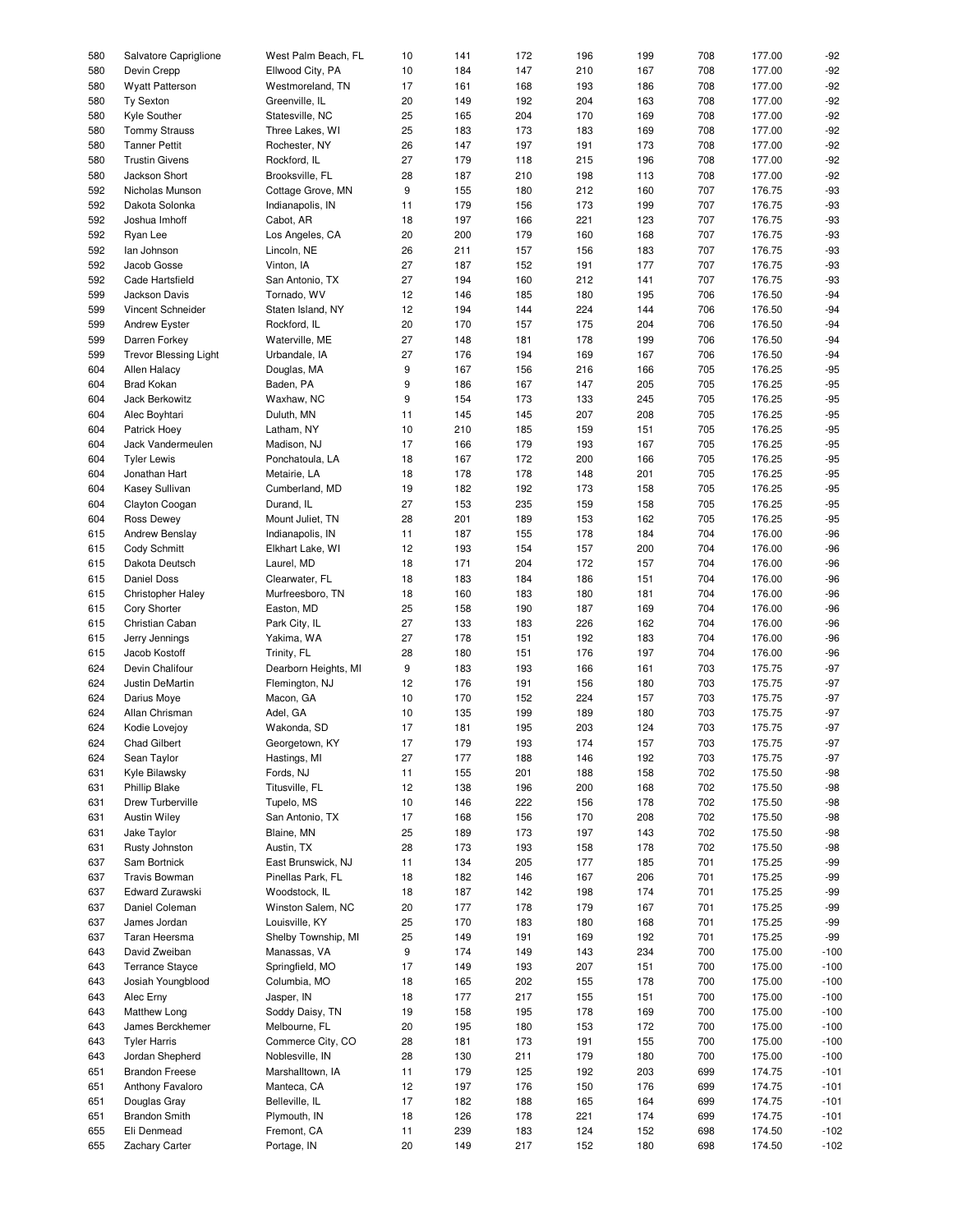| 580 | Salvatore Capriglione        | West Palm Beach, FL  | 10               | 141 | 172 | 196 | 199 | 708 | 177.00 | $-92$  |
|-----|------------------------------|----------------------|------------------|-----|-----|-----|-----|-----|--------|--------|
| 580 | Devin Crepp                  | Ellwood City, PA     | 10               | 184 | 147 | 210 | 167 | 708 | 177.00 | $-92$  |
| 580 | <b>Wyatt Patterson</b>       | Westmoreland, TN     | 17               | 161 | 168 | 193 | 186 | 708 | 177.00 | $-92$  |
|     |                              |                      |                  |     |     |     |     |     |        |        |
| 580 | <b>Ty Sexton</b>             | Greenville, IL       | 20               | 149 | 192 | 204 | 163 | 708 | 177.00 | $-92$  |
| 580 | Kyle Souther                 | Statesville, NC      | 25               | 165 | 204 | 170 | 169 | 708 | 177.00 | $-92$  |
| 580 | <b>Tommy Strauss</b>         | Three Lakes, WI      | 25               | 183 | 173 | 183 | 169 | 708 | 177.00 | $-92$  |
| 580 | <b>Tanner Pettit</b>         | Rochester, NY        | 26               | 147 | 197 | 191 | 173 | 708 | 177.00 | $-92$  |
|     |                              |                      |                  |     |     |     |     |     |        |        |
| 580 | <b>Trustin Givens</b>        | Rockford, IL         | 27               | 179 | 118 | 215 | 196 | 708 | 177.00 | $-92$  |
| 580 | Jackson Short                | Brooksville, FL      | 28               | 187 | 210 | 198 | 113 | 708 | 177.00 | $-92$  |
| 592 | Nicholas Munson              | Cottage Grove, MN    | 9                | 155 | 180 | 212 | 160 | 707 | 176.75 | $-93$  |
| 592 | Dakota Solonka               | Indianapolis, IN     | 11               | 179 | 156 | 173 | 199 | 707 | 176.75 | $-93$  |
|     |                              |                      |                  |     |     |     |     |     |        |        |
| 592 | Joshua Imhoff                | Cabot, AR            | 18               | 197 | 166 | 221 | 123 | 707 | 176.75 | $-93$  |
| 592 | Ryan Lee                     | Los Angeles, CA      | 20               | 200 | 179 | 160 | 168 | 707 | 176.75 | $-93$  |
| 592 | lan Johnson                  | Lincoln, NE          | 26               | 211 | 157 | 156 | 183 | 707 | 176.75 | $-93$  |
| 592 | Jacob Gosse                  | Vinton, IA           | 27               | 187 | 152 | 191 | 177 | 707 | 176.75 | $-93$  |
|     |                              |                      | 27               |     |     |     |     |     |        |        |
| 592 | Cade Hartsfield              | San Antonio, TX      |                  | 194 | 160 | 212 | 141 | 707 | 176.75 | $-93$  |
| 599 | Jackson Davis                | Tornado, WV          | 12               | 146 | 185 | 180 | 195 | 706 | 176.50 | $-94$  |
| 599 | Vincent Schneider            | Staten Island, NY    | 12               | 194 | 144 | 224 | 144 | 706 | 176.50 | $-94$  |
| 599 | <b>Andrew Eyster</b>         | Rockford, IL         | 20               | 170 | 157 | 175 | 204 | 706 | 176.50 | $-94$  |
|     |                              |                      |                  |     |     |     |     |     |        |        |
| 599 | Darren Forkey                | Waterville, ME       | 27               | 148 | 181 | 178 | 199 | 706 | 176.50 | $-94$  |
| 599 | <b>Trevor Blessing Light</b> | Urbandale, IA        | 27               | 176 | 194 | 169 | 167 | 706 | 176.50 | $-94$  |
| 604 | Allen Halacy                 | Douglas, MA          | $\boldsymbol{9}$ | 167 | 156 | 216 | 166 | 705 | 176.25 | $-95$  |
| 604 | <b>Brad Kokan</b>            | Baden, PA            | $\boldsymbol{9}$ | 186 | 167 | 147 | 205 | 705 | 176.25 | $-95$  |
|     |                              |                      |                  |     |     |     |     |     |        |        |
| 604 | Jack Berkowitz               | Waxhaw, NC           | 9                | 154 | 173 | 133 | 245 | 705 | 176.25 | $-95$  |
| 604 | Alec Boyhtari                | Duluth, MN           | 11               | 145 | 145 | 207 | 208 | 705 | 176.25 | $-95$  |
| 604 | Patrick Hoey                 | Latham, NY           | 10               | 210 | 185 | 159 | 151 | 705 | 176.25 | $-95$  |
| 604 | Jack Vandermeulen            | Madison, NJ          | 17               | 166 | 179 | 193 | 167 | 705 | 176.25 | $-95$  |
|     |                              |                      |                  |     |     |     |     |     |        |        |
| 604 | <b>Tyler Lewis</b>           | Ponchatoula, LA      | 18               | 167 | 172 | 200 | 166 | 705 | 176.25 | $-95$  |
| 604 | Jonathan Hart                | Metairie, LA         | 18               | 178 | 178 | 148 | 201 | 705 | 176.25 | $-95$  |
| 604 | Kasey Sullivan               | Cumberland, MD       | 19               | 182 | 192 | 173 | 158 | 705 | 176.25 | $-95$  |
| 604 |                              | Durand, IL           | 27               | 153 | 235 | 159 | 158 | 705 | 176.25 | $-95$  |
|     | Clayton Coogan               |                      |                  |     |     |     |     |     |        |        |
| 604 | <b>Ross Dewey</b>            | Mount Juliet, TN     | 28               | 201 | 189 | 153 | 162 | 705 | 176.25 | $-95$  |
| 615 | Andrew Benslay               | Indianapolis, IN     | 11               | 187 | 155 | 178 | 184 | 704 | 176.00 | $-96$  |
| 615 | <b>Cody Schmitt</b>          | Elkhart Lake, WI     | 12               | 193 | 154 | 157 | 200 | 704 | 176.00 | $-96$  |
| 615 | Dakota Deutsch               | Laurel, MD           | 18               | 171 | 204 | 172 | 157 | 704 | 176.00 | $-96$  |
|     |                              |                      |                  |     |     |     |     |     |        |        |
| 615 | <b>Daniel Doss</b>           | Clearwater, FL       | 18               | 183 | 184 | 186 | 151 | 704 | 176.00 | $-96$  |
| 615 | Christopher Haley            | Murfreesboro, TN     | 18               | 160 | 183 | 180 | 181 | 704 | 176.00 | $-96$  |
| 615 | Cory Shorter                 | Easton, MD           | 25               | 158 | 190 | 187 | 169 | 704 | 176.00 | $-96$  |
| 615 | Christian Caban              | Park City, IL        | 27               | 133 | 183 | 226 | 162 | 704 | 176.00 | $-96$  |
|     |                              |                      |                  |     |     |     |     |     |        |        |
| 615 | Jerry Jennings               | Yakima, WA           | 27               | 178 | 151 | 192 | 183 | 704 | 176.00 | $-96$  |
| 615 | Jacob Kostoff                | Trinity, FL          | 28               | 180 | 151 | 176 | 197 | 704 | 176.00 | $-96$  |
| 624 | Devin Chalifour              | Dearborn Heights, MI | $\boldsymbol{9}$ | 183 | 193 | 166 | 161 | 703 | 175.75 | $-97$  |
| 624 | Justin DeMartin              | Flemington, NJ       | 12               | 176 | 191 | 156 | 180 | 703 | 175.75 | $-97$  |
|     |                              |                      |                  |     |     |     |     |     |        |        |
| 624 | Darius Moye                  | Macon, GA            | 10               | 170 | 152 | 224 | 157 | 703 | 175.75 | $-97$  |
| 624 | Allan Chrisman               | Adel, GA             | 10               | 135 | 199 | 189 | 180 | 703 | 175.75 | $-97$  |
| 624 | Kodie Lovejoy                | Wakonda, SD          | 17               | 181 | 195 | 203 | 124 | 703 | 175.75 | $-97$  |
| 624 | <b>Chad Gilbert</b>          | Georgetown, KY       | 17               | 179 | 193 | 174 | 157 | 703 | 175.75 | $-97$  |
|     |                              |                      |                  |     |     |     |     |     |        |        |
| 624 | Sean Taylor                  | Hastings, MI         | 27               | 177 | 188 | 146 | 192 | 703 | 175.75 | $-97$  |
| 631 | Kyle Bilawsky                | Fords, NJ            | 11               | 155 | 201 | 188 | 158 | 702 | 175.50 | $-98$  |
| 631 | <b>Phillip Blake</b>         | Titusville, FL       | 12               | 138 | 196 | 200 | 168 | 702 | 175.50 | $-98$  |
| 631 | Drew Turberville             | Tupelo, MS           | 10               | 146 | 222 | 156 |     |     | 175.50 | $-98$  |
|     |                              |                      |                  |     |     |     | 178 | 702 |        |        |
| 631 | <b>Austin Wiley</b>          | San Antonio, TX      | 17               | 168 | 156 | 170 | 208 | 702 | 175.50 | $-98$  |
| 631 | Jake Taylor                  | Blaine, MN           | 25               | 189 | 173 | 197 | 143 | 702 | 175.50 | $-98$  |
| 631 | Rusty Johnston               | Austin, TX           | 28               | 173 | 193 | 158 | 178 | 702 | 175.50 | $-98$  |
| 637 | Sam Bortnick                 |                      | 11               | 134 |     | 177 | 185 |     | 175.25 | $-99$  |
|     |                              | East Brunswick, NJ   |                  |     | 205 |     |     | 701 |        |        |
| 637 | <b>Travis Bowman</b>         | Pinellas Park, FL    | 18               | 182 | 146 | 167 | 206 | 701 | 175.25 | $-99$  |
| 637 | Edward Zurawski              | Woodstock, IL        | 18               | 187 | 142 | 198 | 174 | 701 | 175.25 | $-99$  |
| 637 | Daniel Coleman               | Winston Salem, NC    | 20               | 177 | 178 | 179 | 167 | 701 | 175.25 | $-99$  |
|     |                              | Louisville, KY       | 25               | 170 |     |     |     |     |        | $-99$  |
| 637 | James Jordan                 |                      |                  |     | 183 | 180 | 168 | 701 | 175.25 |        |
| 637 | Taran Heersma                | Shelby Township, MI  | 25               | 149 | 191 | 169 | 192 | 701 | 175.25 | $-99$  |
| 643 | David Zweiban                | Manassas, VA         | 9                | 174 | 149 | 143 | 234 | 700 | 175.00 | $-100$ |
| 643 | <b>Terrance Stayce</b>       | Springfield, MO      | 17               | 149 | 193 | 207 | 151 | 700 | 175.00 | $-100$ |
|     |                              |                      |                  |     |     |     |     |     |        |        |
| 643 | Josiah Youngblood            | Columbia, MO         | 18               | 165 | 202 | 155 | 178 | 700 | 175.00 | $-100$ |
| 643 | Alec Erny                    | Jasper, IN           | 18               | 177 | 217 | 155 | 151 | 700 | 175.00 | $-100$ |
| 643 | Matthew Long                 | Soddy Daisy, TN      | 19               | 158 | 195 | 178 | 169 | 700 | 175.00 | $-100$ |
| 643 | James Berckhemer             | Melbourne, FL        | 20               | 195 | 180 | 153 | 172 | 700 | 175.00 | $-100$ |
|     |                              |                      |                  |     |     |     |     |     |        |        |
| 643 | <b>Tyler Harris</b>          | Commerce City, CO    | 28               | 181 | 173 | 191 | 155 | 700 | 175.00 | $-100$ |
| 643 | Jordan Shepherd              | Noblesville, IN      | 28               | 130 | 211 | 179 | 180 | 700 | 175.00 | $-100$ |
| 651 | <b>Brandon Freese</b>        | Marshalltown, IA     | 11               | 179 | 125 | 192 | 203 | 699 | 174.75 | $-101$ |
| 651 | Anthony Favaloro             | Manteca, CA          | 12               | 197 | 176 | 150 | 176 | 699 | 174.75 | $-101$ |
|     |                              |                      |                  |     |     |     |     |     |        |        |
| 651 | Douglas Gray                 | Belleville, IL       | 17               | 182 | 188 | 165 | 164 | 699 | 174.75 | $-101$ |
| 651 | <b>Brandon Smith</b>         | Plymouth, IN         | 18               | 126 | 178 | 221 | 174 | 699 | 174.75 | $-101$ |
| 655 | Eli Denmead                  | Fremont, CA          | 11               | 239 | 183 | 124 | 152 | 698 | 174.50 | $-102$ |
| 655 | Zachary Carter               | Portage, IN          | 20               | 149 | 217 | 152 | 180 | 698 | 174.50 | $-102$ |
|     |                              |                      |                  |     |     |     |     |     |        |        |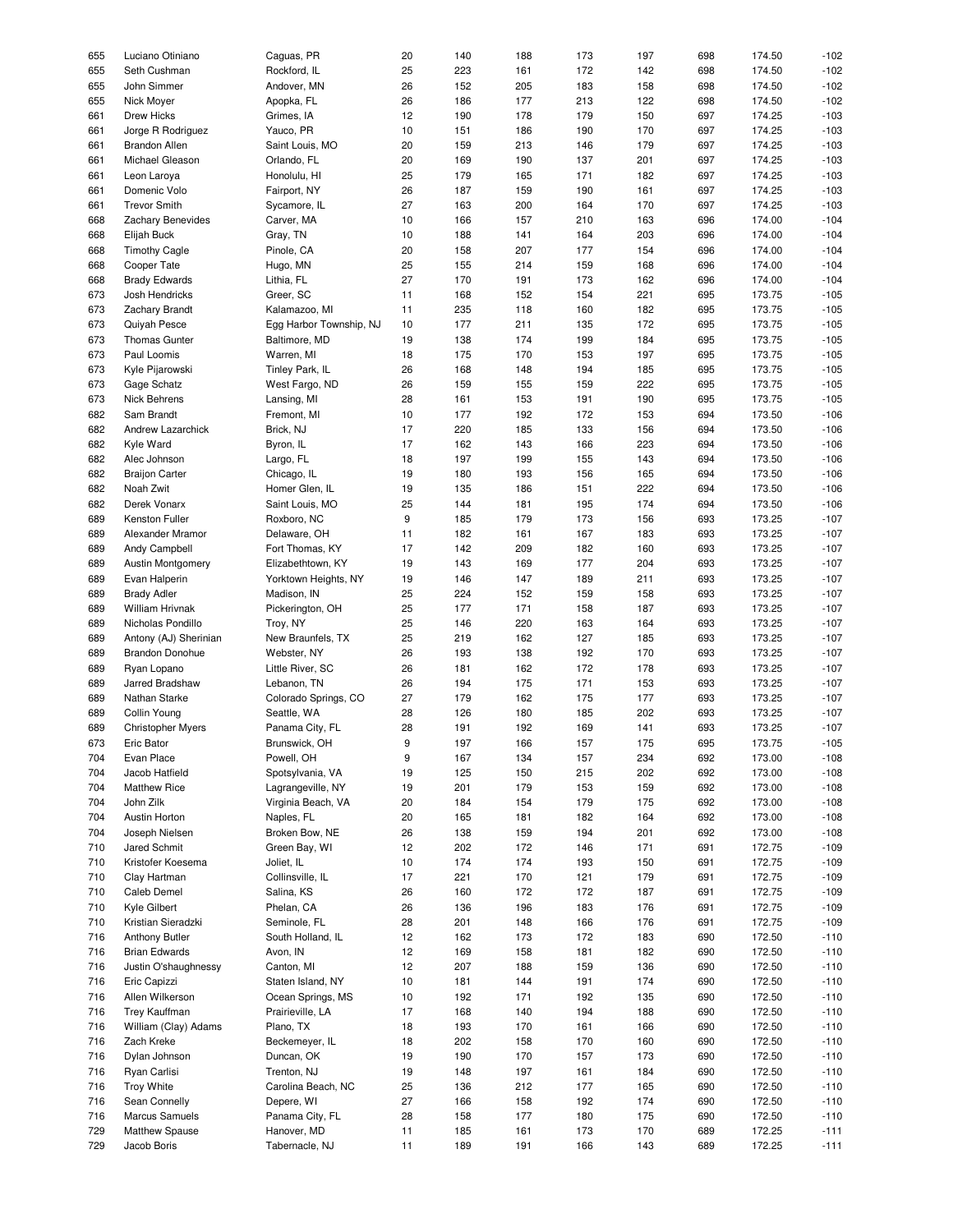| 655 | Luciano Otiniano         | Caguas, PR              | 20 | 140 | 188 | 173 | 197 | 698 | 174.50 | $-102$ |
|-----|--------------------------|-------------------------|----|-----|-----|-----|-----|-----|--------|--------|
|     |                          |                         |    |     |     |     |     |     |        |        |
| 655 | Seth Cushman             | Rockford, IL            | 25 | 223 | 161 | 172 | 142 | 698 | 174.50 | $-102$ |
| 655 | John Simmer              | Andover, MN             | 26 | 152 | 205 | 183 | 158 | 698 | 174.50 | $-102$ |
| 655 | Nick Moyer               | Apopka, FL              | 26 | 186 | 177 | 213 | 122 | 698 | 174.50 | $-102$ |
|     |                          |                         |    |     |     |     |     |     |        |        |
| 661 | <b>Drew Hicks</b>        | Grimes, IA              | 12 | 190 | 178 | 179 | 150 | 697 | 174.25 | $-103$ |
| 661 | Jorge R Rodriguez        | Yauco, PR               | 10 | 151 | 186 | 190 | 170 | 697 | 174.25 | $-103$ |
| 661 | <b>Brandon Allen</b>     | Saint Louis, MO         | 20 | 159 | 213 | 146 | 179 | 697 | 174.25 | $-103$ |
|     |                          |                         |    |     |     |     |     |     |        |        |
| 661 | Michael Gleason          | Orlando, FL             | 20 | 169 | 190 | 137 | 201 | 697 | 174.25 | $-103$ |
| 661 | Leon Laroya              | Honolulu, HI            | 25 | 179 | 165 | 171 | 182 | 697 | 174.25 | $-103$ |
| 661 | Domenic Volo             | Fairport, NY            | 26 | 187 | 159 | 190 | 161 | 697 | 174.25 | $-103$ |
|     |                          |                         |    |     |     |     |     |     |        |        |
| 661 | <b>Trevor Smith</b>      | Sycamore, IL            | 27 | 163 | 200 | 164 | 170 | 697 | 174.25 | $-103$ |
| 668 | Zachary Benevides        | Carver, MA              | 10 | 166 | 157 | 210 | 163 | 696 | 174.00 | $-104$ |
| 668 | Elijah Buck              | Gray, TN                | 10 | 188 | 141 | 164 | 203 | 696 | 174.00 | $-104$ |
|     |                          |                         |    |     |     |     |     |     |        |        |
| 668 | <b>Timothy Cagle</b>     | Pinole, CA              | 20 | 158 | 207 | 177 | 154 | 696 | 174.00 | $-104$ |
| 668 | Cooper Tate              | Hugo, MN                | 25 | 155 | 214 | 159 | 168 | 696 | 174.00 | $-104$ |
| 668 | <b>Brady Edwards</b>     | Lithia, FL              | 27 | 170 | 191 | 173 | 162 | 696 | 174.00 | $-104$ |
|     |                          |                         |    |     |     |     |     |     |        |        |
| 673 | Josh Hendricks           | Greer, SC               | 11 | 168 | 152 | 154 | 221 | 695 | 173.75 | $-105$ |
| 673 | Zachary Brandt           | Kalamazoo, MI           | 11 | 235 | 118 | 160 | 182 | 695 | 173.75 | $-105$ |
| 673 | Quiyah Pesce             | Egg Harbor Township, NJ | 10 | 177 | 211 | 135 | 172 | 695 | 173.75 | $-105$ |
|     |                          |                         |    |     |     |     |     |     |        |        |
| 673 | <b>Thomas Gunter</b>     | Baltimore, MD           | 19 | 138 | 174 | 199 | 184 | 695 | 173.75 | $-105$ |
| 673 | Paul Loomis              | Warren, MI              | 18 | 175 | 170 | 153 | 197 | 695 | 173.75 | $-105$ |
| 673 | Kyle Pijarowski          | Tinley Park, IL         | 26 | 168 | 148 | 194 | 185 | 695 | 173.75 | $-105$ |
|     |                          |                         |    |     |     |     |     |     |        |        |
| 673 | Gage Schatz              | West Fargo, ND          | 26 | 159 | 155 | 159 | 222 | 695 | 173.75 | $-105$ |
| 673 | Nick Behrens             | Lansing, MI             | 28 | 161 | 153 | 191 | 190 | 695 | 173.75 | $-105$ |
| 682 | Sam Brandt               | Fremont, MI             | 10 | 177 | 192 | 172 | 153 | 694 | 173.50 | $-106$ |
|     |                          |                         |    |     |     |     |     |     |        |        |
| 682 | Andrew Lazarchick        | Brick, NJ               | 17 | 220 | 185 | 133 | 156 | 694 | 173.50 | $-106$ |
| 682 | Kyle Ward                | Byron, IL               | 17 | 162 | 143 | 166 | 223 | 694 | 173.50 | $-106$ |
| 682 | Alec Johnson             | Largo, FL               | 18 | 197 | 199 | 155 | 143 | 694 | 173.50 | $-106$ |
|     |                          |                         |    |     |     |     |     |     |        |        |
| 682 | <b>Braijon Carter</b>    | Chicago, IL             | 19 | 180 | 193 | 156 | 165 | 694 | 173.50 | $-106$ |
| 682 | Noah Zwit                | Homer Glen, IL          | 19 | 135 | 186 | 151 | 222 | 694 | 173.50 | $-106$ |
| 682 | Derek Vonarx             | Saint Louis, MO         | 25 | 144 | 181 | 195 | 174 | 694 | 173.50 | $-106$ |
|     |                          |                         |    |     |     |     |     |     |        |        |
| 689 | Kenston Fuller           | Roxboro, NC             | 9  | 185 | 179 | 173 | 156 | 693 | 173.25 | $-107$ |
| 689 | Alexander Mramor         | Delaware, OH            | 11 | 182 | 161 | 167 | 183 | 693 | 173.25 | $-107$ |
| 689 | Andy Campbell            | Fort Thomas, KY         | 17 | 142 | 209 | 182 | 160 | 693 | 173.25 | $-107$ |
|     |                          |                         |    |     |     |     |     |     |        |        |
| 689 | <b>Austin Montgomery</b> | Elizabethtown, KY       | 19 | 143 | 169 | 177 | 204 | 693 | 173.25 | $-107$ |
| 689 | Evan Halperin            | Yorktown Heights, NY    | 19 | 146 | 147 | 189 | 211 | 693 | 173.25 | $-107$ |
| 689 | <b>Brady Adler</b>       | Madison, IN             | 25 | 224 | 152 | 159 | 158 | 693 | 173.25 | $-107$ |
|     |                          |                         |    |     |     |     |     |     |        |        |
| 689 | <b>William Hrivnak</b>   | Pickerington, OH        | 25 | 177 | 171 | 158 | 187 | 693 | 173.25 | $-107$ |
| 689 | Nicholas Pondillo        | Troy, NY                | 25 | 146 | 220 | 163 | 164 | 693 | 173.25 | $-107$ |
|     |                          |                         |    |     |     |     |     |     | 173.25 |        |
| 689 | Antony (AJ) Sherinian    | New Braunfels, TX       | 25 | 219 | 162 | 127 | 185 | 693 |        | $-107$ |
| 689 | <b>Brandon Donohue</b>   | Webster, NY             | 26 | 193 | 138 | 192 | 170 | 693 | 173.25 | $-107$ |
| 689 | Ryan Lopano              | Little River, SC        | 26 | 181 | 162 | 172 | 178 | 693 | 173.25 | $-107$ |
|     |                          |                         |    |     |     |     |     |     |        |        |
| 689 | Jarred Bradshaw          | Lebanon, TN             | 26 | 194 | 175 | 171 | 153 | 693 | 173.25 | $-107$ |
| 689 | Nathan Starke            | Colorado Springs, CO    | 27 | 179 | 162 | 175 | 177 | 693 | 173.25 | $-107$ |
| 689 | Collin Young             | Seattle, WA             | 28 | 126 | 180 | 185 | 202 | 693 | 173.25 | $-107$ |
|     |                          |                         |    |     |     |     |     |     |        |        |
| 689 | <b>Christopher Myers</b> | Panama City, FL         | 28 | 191 | 192 | 169 | 141 | 693 | 173.25 | $-107$ |
| 673 | Eric Bator               | Brunswick, OH           | 9  | 197 | 166 | 157 | 175 | 695 | 173.75 | $-105$ |
| 704 | Evan Place               | Powell, OH              | 9  | 167 | 134 | 157 | 234 | 692 | 173.00 | $-108$ |
|     |                          |                         |    |     |     |     |     |     |        |        |
| 704 | Jacob Hatfield           | Spotsylvania, VA        | 19 | 125 | 150 | 215 | 202 | 692 | 173.00 | $-108$ |
| 704 | <b>Matthew Rice</b>      | Lagrangeville, NY       | 19 | 201 | 179 | 153 | 159 | 692 | 173.00 | $-108$ |
| 704 | John Zilk                | Virginia Beach, VA      | 20 | 184 | 154 | 179 | 175 | 692 | 173.00 | $-108$ |
|     |                          |                         |    |     |     |     |     |     |        |        |
| 704 | Austin Horton            | Naples, FL              | 20 | 165 | 181 | 182 | 164 | 692 | 173.00 | $-108$ |
| 704 | Joseph Nielsen           | Broken Bow, NE          | 26 | 138 | 159 | 194 | 201 | 692 | 173.00 | $-108$ |
| 710 | Jared Schmit             | Green Bay, WI           | 12 | 202 | 172 | 146 | 171 | 691 | 172.75 | $-109$ |
|     |                          |                         |    |     |     |     |     |     |        |        |
| 710 | Kristofer Koesema        | Joliet, IL              | 10 | 174 | 174 | 193 | 150 | 691 | 172.75 | $-109$ |
| 710 | Clay Hartman             | Collinsville, IL        | 17 | 221 | 170 | 121 | 179 | 691 | 172.75 | $-109$ |
| 710 | Caleb Demel              | Salina, KS              | 26 | 160 | 172 | 172 | 187 | 691 | 172.75 | $-109$ |
|     |                          |                         |    |     |     |     |     |     |        |        |
| 710 | Kyle Gilbert             | Phelan, CA              | 26 | 136 | 196 | 183 | 176 | 691 | 172.75 | $-109$ |
| 710 | Kristian Sieradzki       | Seminole, FL            | 28 | 201 | 148 | 166 | 176 | 691 | 172.75 | $-109$ |
| 716 | <b>Anthony Butler</b>    | South Holland, IL       | 12 | 162 | 173 | 172 | 183 | 690 | 172.50 | $-110$ |
|     |                          |                         |    |     |     |     |     |     |        |        |
| 716 | <b>Brian Edwards</b>     | Avon, IN                | 12 | 169 | 158 | 181 | 182 | 690 | 172.50 | $-110$ |
| 716 | Justin O'shaughnessy     | Canton, MI              | 12 | 207 | 188 | 159 | 136 | 690 | 172.50 | $-110$ |
| 716 | Eric Capizzi             | Staten Island, NY       | 10 | 181 | 144 |     | 174 |     | 172.50 | $-110$ |
|     |                          |                         |    |     |     | 191 |     | 690 |        |        |
| 716 | Allen Wilkerson          | Ocean Springs, MS       | 10 | 192 | 171 | 192 | 135 | 690 | 172.50 | $-110$ |
| 716 | <b>Trey Kauffman</b>     | Prairieville, LA        | 17 | 168 | 140 | 194 | 188 | 690 | 172.50 | $-110$ |
| 716 | William (Clay) Adams     | Plano, TX               |    | 193 | 170 | 161 | 166 | 690 | 172.50 | $-110$ |
|     |                          |                         | 18 |     |     |     |     |     |        |        |
| 716 | Zach Kreke               | Beckemeyer, IL          | 18 | 202 | 158 | 170 | 160 | 690 | 172.50 | $-110$ |
| 716 | Dylan Johnson            | Duncan, OK              | 19 | 190 | 170 | 157 | 173 | 690 | 172.50 | $-110$ |
|     |                          |                         |    |     |     |     |     |     |        |        |
| 716 | Ryan Carlisi             | Trenton, NJ             | 19 | 148 | 197 | 161 | 184 | 690 | 172.50 | $-110$ |
| 716 | <b>Troy White</b>        | Carolina Beach, NC      | 25 | 136 | 212 | 177 | 165 | 690 | 172.50 | $-110$ |
| 716 | Sean Connelly            | Depere, WI              | 27 | 166 | 158 | 192 | 174 | 690 | 172.50 | $-110$ |
|     |                          |                         |    |     |     |     |     |     |        |        |
| 716 | Marcus Samuels           | Panama City, FL         | 28 | 158 | 177 | 180 | 175 | 690 | 172.50 | $-110$ |
| 729 | Matthew Spause           | Hanover, MD             | 11 | 185 | 161 | 173 | 170 | 689 | 172.25 | $-111$ |
| 729 | Jacob Boris              | Tabernacle, NJ          | 11 | 189 | 191 | 166 | 143 | 689 | 172.25 | $-111$ |
|     |                          |                         |    |     |     |     |     |     |        |        |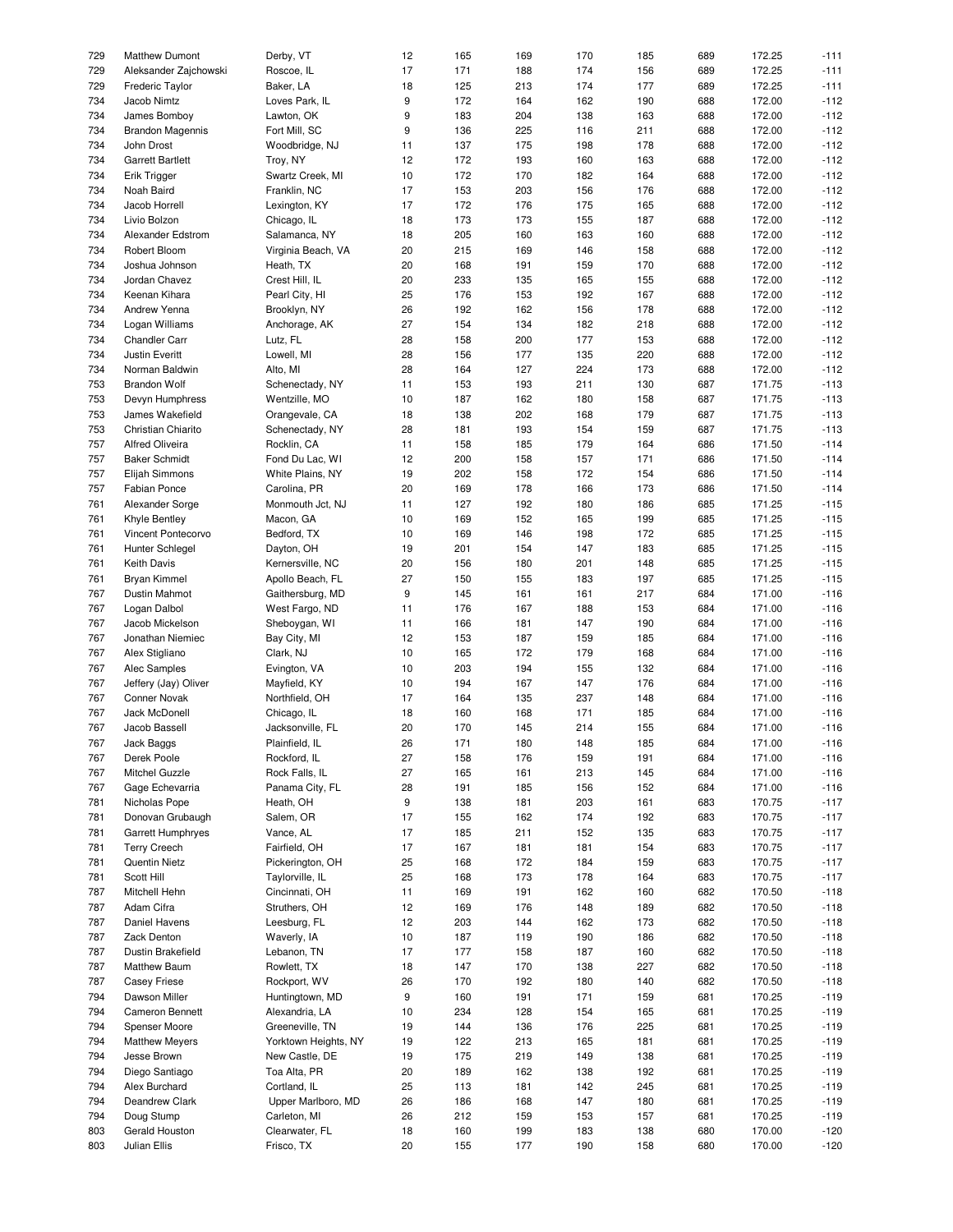| 729        | <b>Matthew Dumont</b>          | Derby, VT                    | 12       | 165        | 169        | 170        | 185        | 689        | 172.25           | $-111$           |
|------------|--------------------------------|------------------------------|----------|------------|------------|------------|------------|------------|------------------|------------------|
| 729        | Aleksander Zajchowski          | Roscoe, IL                   | 17       | 171        | 188        | 174        | 156        | 689        | 172.25           | $-111$           |
|            |                                |                              |          |            |            |            |            |            |                  |                  |
| 729        | Frederic Taylor                | Baker, LA                    | 18       | 125        | 213        | 174        | 177        | 689        | 172.25           | $-111$           |
| 734        | Jacob Nimtz                    | Loves Park, IL               | 9        | 172        | 164        | 162        | 190        | 688        | 172.00           | $-112$           |
| 734        | James Bomboy                   | Lawton, OK                   | 9        | 183        | 204        | 138        | 163        | 688        | 172.00           | $-112$           |
| 734        | <b>Brandon Magennis</b>        | Fort Mill, SC                | 9        | 136        | 225        | 116        | 211        | 688        | 172.00           | $-112$           |
| 734        | John Drost                     | Woodbridge, NJ               | 11       | 137        | 175        | 198        | 178        | 688        | 172.00           | $-112$           |
|            |                                |                              |          |            |            |            |            |            |                  |                  |
| 734        | <b>Garrett Bartlett</b>        | Troy, NY                     | 12       | 172        | 193        | 160        | 163        | 688        | 172.00           | $-112$           |
| 734        | Erik Trigger                   | Swartz Creek, MI             | 10       | 172        | 170        | 182        | 164        | 688        | 172.00           | $-112$           |
| 734        | Noah Baird                     | Franklin, NC                 | 17       | 153        | 203        | 156        | 176        | 688        | 172.00           | $-112$           |
| 734        | Jacob Horrell                  | Lexington, KY                | 17       | 172        | 176        | 175        | 165        | 688        | 172.00           | $-112$           |
|            | Livio Bolzon                   |                              |          |            |            |            |            |            |                  | $-112$           |
| 734        |                                | Chicago, IL                  | 18       | 173        | 173        | 155        | 187        | 688        | 172.00           |                  |
| 734        | Alexander Edstrom              | Salamanca, NY                | 18       | 205        | 160        | 163        | 160        | 688        | 172.00           | $-112$           |
| 734        | Robert Bloom                   | Virginia Beach, VA           | 20       | 215        | 169        | 146        | 158        | 688        | 172.00           | $-112$           |
| 734        | Joshua Johnson                 | Heath, TX                    | 20       | 168        | 191        | 159        | 170        | 688        | 172.00           | $-112$           |
| 734        | Jordan Chavez                  | Crest Hill, IL               | 20       | 233        | 135        | 165        | 155        | 688        | 172.00           | $-112$           |
|            |                                |                              |          |            |            |            |            |            |                  |                  |
| 734        | Keenan Kihara                  | Pearl City, HI               | 25       | 176        | 153        | 192        | 167        | 688        | 172.00           | $-112$           |
| 734        | Andrew Yenna                   | Brooklyn, NY                 | 26       | 192        | 162        | 156        | 178        | 688        | 172.00           | $-112$           |
| 734        | Logan Williams                 | Anchorage, AK                | 27       | 154        | 134        | 182        | 218        | 688        | 172.00           | $-112$           |
| 734        | <b>Chandler Carr</b>           | Lutz, FL                     | 28       | 158        | 200        | 177        | 153        | 688        | 172.00           | $-112$           |
| 734        | Justin Everitt                 | Lowell, MI                   | 28       |            | 177        | 135        | 220        | 688        | 172.00           | $-112$           |
|            |                                |                              |          | 156        |            |            |            |            |                  |                  |
| 734        | Norman Baldwin                 | Alto, MI                     | 28       | 164        | 127        | 224        | 173        | 688        | 172.00           | $-112$           |
| 753        | <b>Brandon Wolf</b>            | Schenectady, NY              | 11       | 153        | 193        | 211        | 130        | 687        | 171.75           | $-113$           |
| 753        | Devyn Humphress                | Wentzille, MO                | 10       | 187        | 162        | 180        | 158        | 687        | 171.75           | $-113$           |
| 753        | James Wakefield                | Orangevale, CA               | 18       | 138        | 202        | 168        | 179        | 687        | 171.75           | $-113$           |
|            |                                |                              |          |            |            |            |            |            |                  |                  |
| 753        | Christian Chiarito             | Schenectady, NY              | 28       | 181        | 193        | 154        | 159        | 687        | 171.75           | $-113$           |
| 757        | Alfred Oliveira                | Rocklin, CA                  | 11       | 158        | 185        | 179        | 164        | 686        | 171.50           | $-114$           |
| 757        | <b>Baker Schmidt</b>           | Fond Du Lac, WI              | 12       | 200        | 158        | 157        | 171        | 686        | 171.50           | $-114$           |
| 757        | Elijah Simmons                 | White Plains, NY             | 19       | 202        | 158        | 172        | 154        | 686        | 171.50           | $-114$           |
|            |                                |                              |          |            |            |            |            |            |                  |                  |
| 757        | Fabian Ponce                   | Carolina, PR                 | 20       | 169        | 178        | 166        | 173        | 686        | 171.50           | $-114$           |
| 761        | Alexander Sorge                | Monmouth Jct, NJ             | 11       | 127        | 192        | 180        | 186        | 685        | 171.25           | $-115$           |
| 761        | Khyle Bentley                  | Macon, GA                    | 10       | 169        | 152        | 165        | 199        | 685        | 171.25           | $-115$           |
| 761        | Vincent Pontecorvo             | Bedford, TX                  | 10       | 169        | 146        | 198        | 172        | 685        | 171.25           | $-115$           |
| 761        | Hunter Schlegel                | Dayton, OH                   | 19       | 201        | 154        | 147        | 183        | 685        | 171.25           | $-115$           |
|            |                                |                              |          |            |            |            |            |            |                  |                  |
| 761        | Keith Davis                    | Kernersville, NC             | 20       | 156        | 180        | 201        | 148        | 685        | 171.25           | $-115$           |
| 761        | <b>Bryan Kimmel</b>            | Apollo Beach, FL             | 27       | 150        | 155        | 183        | 197        | 685        | 171.25           | $-115$           |
| 767        | Dustin Mahmot                  | Gaithersburg, MD             | 9        | 145        | 161        | 161        | 217        | 684        | 171.00           | $-116$           |
| 767        | Logan Dalbol                   | West Fargo, ND               | 11       | 176        | 167        | 188        | 153        | 684        | 171.00           | $-116$           |
| 767        | Jacob Mickelson                | Sheboygan, WI                | 11       | 166        | 181        | 147        | 190        | 684        | 171.00           | $-116$           |
|            |                                |                              |          |            |            |            |            |            |                  |                  |
| 767        | Jonathan Niemiec               | Bay City, MI                 | 12       | 153        | 187        | 159        | 185        | 684        | 171.00           | $-116$           |
| 767        | Alex Stigliano                 | Clark, NJ                    | 10       | 165        | 172        | 179        | 168        | 684        | 171.00           | $-116$           |
| 767        | Alec Samples                   | Evington, VA                 | 10       | 203        | 194        | 155        | 132        | 684        | 171.00           | $-116$           |
| 767        | Jeffery (Jay) Oliver           | Mayfield, KY                 | 10       | 194        | 167        | 147        | 176        | 684        | 171.00           | $-116$           |
|            |                                |                              |          |            |            |            |            |            |                  |                  |
| 767        | Conner Novak                   | Northfield, OH               | 17       | 164        | 135        | 237        | 148        | 684        | 171.00           | $-116$           |
| 767        | Jack McDonell                  | Chicago, IL                  | 18       | 160        | 168        | 171        | 185        | 684        | 171.00           | $-116$           |
| 767        | Jacob Bassell                  | Jacksonville, FL             | 20       | 170        | 145        | 214        | 155        | 684        | 171.00           | $-116$           |
| 767        | Jack Baggs                     | Plainfield, IL               | 26       | 171        | 180        | 148        | 185        | 684        | 171.00           | $-116$           |
| 767        | Derek Poole                    | Rockford, IL                 | 27       | 158        | 176        | 159        | 191        | 684        | 171.00           | $-116$           |
|            |                                |                              |          |            |            |            |            |            |                  |                  |
| 767        | Mitchel Guzzle                 | Rock Falls, IL               | 27       | 165        | 161        | 213        | 145        | 684        | 171.00           | $-116$           |
| 767        | Gage Echevarria                | Panama City, FL              | 28       | 191        | 185        | 156        | 152        | 684        | 171.00           | $-116$           |
| 781        | Nicholas Pope                  | Heath, OH                    | 9        | 138        | 181        | 203        | 161        | 683        | 170.75           | $-117$           |
| 781        | Donovan Grubaugh               | Salem, OR                    | 17       | 155        | 162        | 174        | 192        | 683        | 170.75           | $-117$           |
|            | <b>Garrett Humphryes</b>       | Vance, AL                    |          |            |            |            |            |            |                  |                  |
| 781        |                                |                              | 17       | 185        | 211        | 152        | 135        | 683        | 170.75           | $-117$           |
| 781        | <b>Terry Creech</b>            | Fairfield, OH                | 17       | 167        | 181        | 181        | 154        | 683        | 170.75           | $-117$           |
| 781        | Quentin Nietz                  | Pickerington, OH             | 25       | 168        | 172        | 184        | 159        | 683        | 170.75           | $-117$           |
| 781        | Scott Hill                     | Taylorville, IL              | 25       | 168        | 173        | 178        | 164        | 683        | 170.75           | $-117$           |
| 787        | Mitchell Hehn                  | Cincinnati, OH               | 11       | 169        | 191        | 162        | 160        | 682        | 170.50           | $-118$           |
|            |                                |                              |          |            |            |            |            |            |                  |                  |
| 787        | Adam Cifra                     | Struthers, OH                | 12       | 169        | 176        | 148        | 189        | 682        | 170.50           | $-118$           |
| 787        | Daniel Havens                  | Leesburg, FL                 | 12       | 203        | 144        | 162        | 173        | 682        | 170.50           | $-118$           |
| 787        | Zack Denton                    | Waverly, IA                  | 10       | 187        | 119        | 190        | 186        | 682        | 170.50           | $-118$           |
| 787        | Dustin Brakefield              | Lebanon, TN                  | 17       | 177        | 158        | 187        | 160        | 682        | 170.50           | $-118$           |
| 787        | <b>Matthew Baum</b>            | Rowlett, TX                  | 18       | 147        | 170        | 138        | 227        | 682        | 170.50           | $-118$           |
|            |                                |                              |          |            |            |            |            |            |                  |                  |
| 787        | <b>Casey Friese</b>            | Rockport, WV                 | 26       | 170        | 192        | 180        | 140        | 682        | 170.50           | $-118$           |
| 794        | Dawson Miller                  | Huntingtown, MD              | 9        | 160        | 191        | 171        | 159        | 681        | 170.25           | $-119$           |
| 794        | <b>Cameron Bennett</b>         | Alexandria, LA               | 10       | 234        | 128        | 154        | 165        | 681        | 170.25           | $-119$           |
| 794        | Spenser Moore                  | Greeneville, TN              | 19       | 144        | 136        | 176        | 225        | 681        | 170.25           | $-119$           |
| 794        | <b>Matthew Meyers</b>          | Yorktown Heights, NY         |          | 122        | 213        | 165        |            | 681        | 170.25           | $-119$           |
|            |                                |                              | 19       |            |            |            | 181        |            |                  |                  |
|            | Jesse Brown                    | New Castle, DE               | 19       | 175        | 219        | 149        | 138        | 681        | 170.25           | $-119$           |
| 794        |                                |                              | 20       | 189        | 162        | 138        | 192        | 681        | 170.25           | $-119$           |
| 794        | Diego Santiago                 | Toa Alta, PR                 |          |            |            |            |            |            |                  |                  |
| 794        | Alex Burchard                  | Cortland, IL                 | 25       | 113        | 181        | 142        | 245        | 681        | 170.25           | $-119$           |
|            |                                |                              |          |            |            |            |            |            |                  |                  |
| 794        | Deandrew Clark                 | Upper Marlboro, MD           | 26       | 186        | 168        | 147        | 180        | 681        | 170.25           | $-119$           |
| 794        | Doug Stump                     | Carleton, MI                 | 26       | 212        | 159        | 153        | 157        | 681        | 170.25           | $-119$           |
| 803<br>803 | Gerald Houston<br>Julian Ellis | Clearwater, FL<br>Frisco, TX | 18<br>20 | 160<br>155 | 199<br>177 | 183<br>190 | 138<br>158 | 680<br>680 | 170.00<br>170.00 | $-120$<br>$-120$ |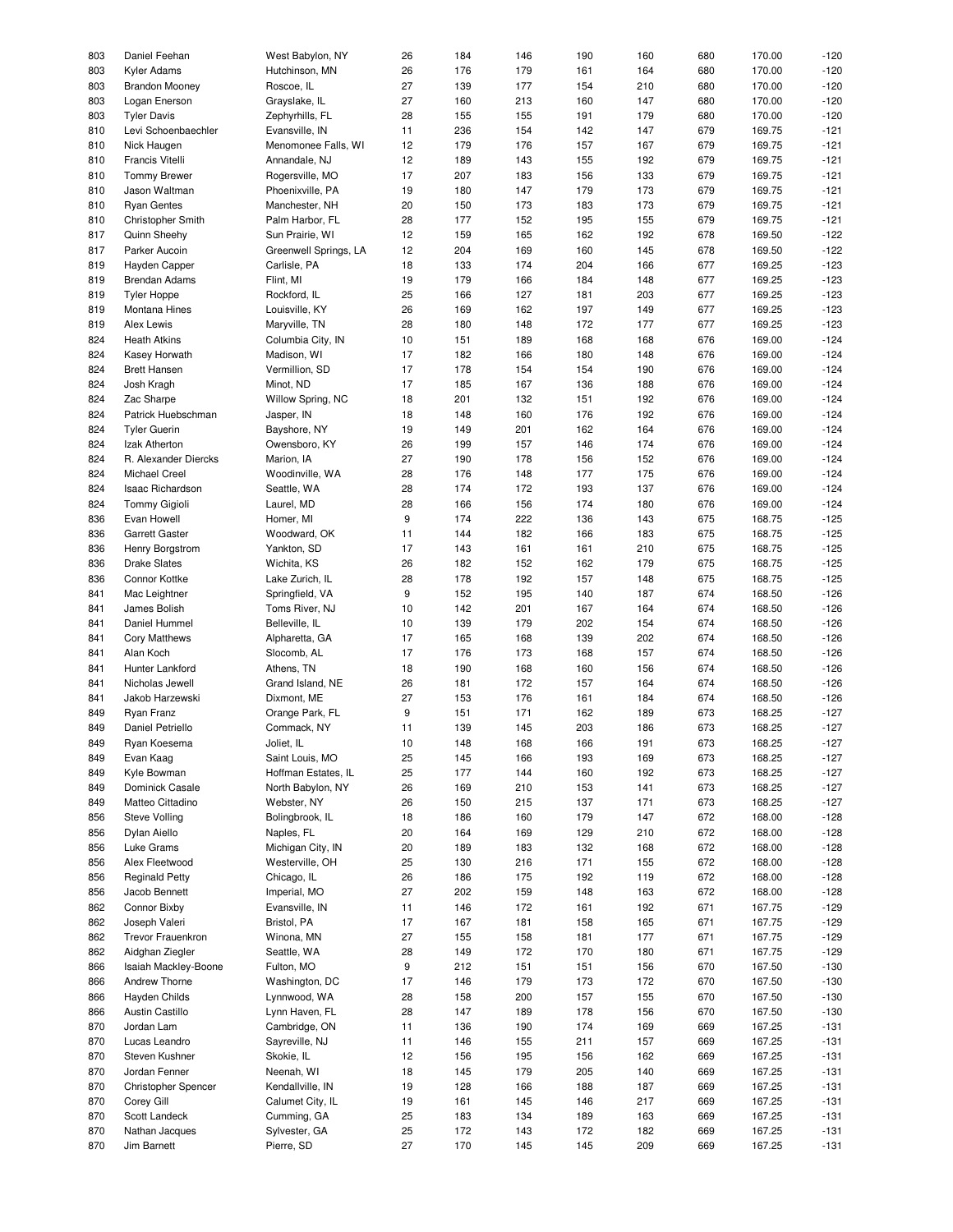| 803 | Daniel Feehan         | West Babylon, NY      | 26 | 184 | 146 | 190 | 160 | 680 | 170.00 | $-120$ |
|-----|-----------------------|-----------------------|----|-----|-----|-----|-----|-----|--------|--------|
| 803 | Kyler Adams           | Hutchinson, MN        | 26 | 176 | 179 | 161 | 164 | 680 | 170.00 | $-120$ |
|     |                       |                       |    |     |     |     |     |     |        |        |
| 803 | <b>Brandon Mooney</b> | Roscoe, IL            | 27 | 139 | 177 | 154 | 210 | 680 | 170.00 | $-120$ |
| 803 | Logan Enerson         | Grayslake, IL         | 27 | 160 | 213 | 160 | 147 | 680 | 170.00 | $-120$ |
|     |                       |                       |    |     |     |     |     |     |        |        |
| 803 | <b>Tyler Davis</b>    | Zephyrhills, FL       | 28 | 155 | 155 | 191 | 179 | 680 | 170.00 | $-120$ |
| 810 | Levi Schoenbaechler   | Evansville, IN        | 11 | 236 | 154 | 142 | 147 | 679 | 169.75 | $-121$ |
| 810 | Nick Haugen           | Menomonee Falls, WI   | 12 | 179 | 176 | 157 | 167 | 679 | 169.75 | $-121$ |
| 810 | Francis Vitelli       | Annandale, NJ         | 12 | 189 | 143 | 155 | 192 | 679 | 169.75 | $-121$ |
|     |                       |                       |    |     |     |     |     |     |        |        |
| 810 | <b>Tommy Brewer</b>   | Rogersville, MO       | 17 | 207 | 183 | 156 | 133 | 679 | 169.75 | $-121$ |
| 810 | Jason Waltman         | Phoenixville, PA      | 19 | 180 | 147 | 179 | 173 | 679 | 169.75 | $-121$ |
| 810 | <b>Ryan Gentes</b>    | Manchester, NH        | 20 | 150 | 173 | 183 | 173 | 679 | 169.75 | $-121$ |
|     |                       |                       |    |     |     |     |     |     |        |        |
| 810 | Christopher Smith     | Palm Harbor, FL       | 28 | 177 | 152 | 195 | 155 | 679 | 169.75 | $-121$ |
| 817 | Quinn Sheehy          | Sun Prairie, WI       | 12 | 159 | 165 | 162 | 192 | 678 | 169.50 | $-122$ |
| 817 | Parker Aucoin         | Greenwell Springs, LA | 12 | 204 | 169 | 160 | 145 | 678 | 169.50 | $-122$ |
|     |                       |                       |    |     |     |     |     |     |        |        |
| 819 | Hayden Capper         | Carlisle, PA          | 18 | 133 | 174 | 204 | 166 | 677 | 169.25 | $-123$ |
| 819 | <b>Brendan Adams</b>  | Flint, MI             | 19 | 179 | 166 | 184 | 148 | 677 | 169.25 | $-123$ |
| 819 | <b>Tyler Hoppe</b>    | Rockford, IL          | 25 | 166 | 127 | 181 | 203 | 677 | 169.25 | $-123$ |
| 819 | Montana Hines         | Louisville, KY        | 26 | 169 | 162 | 197 | 149 | 677 | 169.25 | $-123$ |
|     |                       |                       |    |     |     |     |     |     |        |        |
| 819 | Alex Lewis            | Maryville, TN         | 28 | 180 | 148 | 172 | 177 | 677 | 169.25 | $-123$ |
| 824 | <b>Heath Atkins</b>   | Columbia City, IN     | 10 | 151 | 189 | 168 | 168 | 676 | 169.00 | $-124$ |
| 824 | Kasey Horwath         | Madison, WI           | 17 | 182 | 166 | 180 | 148 | 676 | 169.00 | $-124$ |
|     |                       |                       |    |     |     |     |     |     |        |        |
| 824 | <b>Brett Hansen</b>   | Vermillion, SD        | 17 | 178 | 154 | 154 | 190 | 676 | 169.00 | $-124$ |
| 824 | Josh Kragh            | Minot, ND             | 17 | 185 | 167 | 136 | 188 | 676 | 169.00 | $-124$ |
| 824 | Zac Sharpe            | Willow Spring, NC     | 18 | 201 | 132 | 151 | 192 | 676 | 169.00 | $-124$ |
|     |                       |                       |    |     |     |     |     |     |        |        |
| 824 | Patrick Huebschman    | Jasper, IN            | 18 | 148 | 160 | 176 | 192 | 676 | 169.00 | $-124$ |
| 824 | <b>Tyler Guerin</b>   | Bayshore, NY          | 19 | 149 | 201 | 162 | 164 | 676 | 169.00 | $-124$ |
| 824 | Izak Atherton         | Owensboro, KY         | 26 | 199 | 157 | 146 | 174 | 676 | 169.00 | $-124$ |
|     |                       |                       | 27 |     |     |     |     |     |        | $-124$ |
| 824 | R. Alexander Diercks  | Marion, IA            |    | 190 | 178 | 156 | 152 | 676 | 169.00 |        |
| 824 | Michael Creel         | Woodinville, WA       | 28 | 176 | 148 | 177 | 175 | 676 | 169.00 | $-124$ |
| 824 | Isaac Richardson      | Seattle, WA           | 28 | 174 | 172 | 193 | 137 | 676 | 169.00 | $-124$ |
| 824 | <b>Tommy Gigioli</b>  | Laurel, MD            | 28 | 166 | 156 | 174 | 180 | 676 | 169.00 | $-124$ |
|     |                       |                       |    |     |     |     |     |     |        |        |
| 836 | Evan Howell           | Homer, MI             | 9  | 174 | 222 | 136 | 143 | 675 | 168.75 | $-125$ |
| 836 | <b>Garrett Gaster</b> | Woodward, OK          | 11 | 144 | 182 | 166 | 183 | 675 | 168.75 | $-125$ |
| 836 | Henry Borgstrom       | Yankton, SD           | 17 | 143 | 161 | 161 | 210 | 675 | 168.75 | $-125$ |
|     |                       |                       |    |     |     |     |     |     |        |        |
| 836 | <b>Drake Slates</b>   | Wichita, KS           | 26 | 182 | 152 | 162 | 179 | 675 | 168.75 | $-125$ |
| 836 | Connor Kottke         | Lake Zurich, IL       | 28 | 178 | 192 | 157 | 148 | 675 | 168.75 | $-125$ |
| 841 | Mac Leightner         | Springfield, VA       | 9  | 152 | 195 | 140 | 187 | 674 | 168.50 | $-126$ |
| 841 |                       | Toms River, NJ        | 10 | 142 | 201 | 167 | 164 | 674 | 168.50 | $-126$ |
|     | James Bolish          |                       |    |     |     |     |     |     |        |        |
| 841 | Daniel Hummel         | Belleville, IL        | 10 | 139 | 179 | 202 | 154 | 674 | 168.50 | $-126$ |
| 841 | <b>Cory Matthews</b>  | Alpharetta, GA        | 17 | 165 | 168 | 139 | 202 | 674 | 168.50 | $-126$ |
| 841 | Alan Koch             | Slocomb, AL           | 17 | 176 | 173 | 168 | 157 | 674 | 168.50 | $-126$ |
|     |                       |                       |    |     |     |     |     |     |        |        |
| 841 | Hunter Lankford       | Athens, TN            | 18 | 190 | 168 | 160 | 156 | 674 | 168.50 | $-126$ |
| 841 | Nicholas Jewell       | Grand Island, NE      | 26 | 181 | 172 | 157 | 164 | 674 | 168.50 | $-126$ |
| 841 | Jakob Harzewski       | Dixmont, ME           | 27 | 153 | 176 | 161 | 184 | 674 | 168.50 | $-126$ |
|     |                       |                       |    |     |     |     |     |     |        |        |
| 849 | Ryan Franz            | Orange Park, FL       | 9  | 151 | 171 | 162 | 189 | 673 | 168.25 | $-127$ |
| 849 | Daniel Petriello      | Commack, NY           | 11 | 139 | 145 | 203 | 186 | 673 | 168.25 | $-127$ |
| 849 | Ryan Koesema          | Joliet, IL            | 10 | 148 | 168 | 166 | 191 | 673 | 168.25 | $-127$ |
|     |                       |                       |    |     |     |     |     |     |        |        |
| 849 | Evan Kaag             | Saint Louis, MO       | 25 | 145 | 166 | 193 | 169 | 673 | 168.25 | $-127$ |
| 849 | Kyle Bowman           | Hoffman Estates, IL   | 25 | 177 | 144 | 160 | 192 | 673 | 168.25 | $-127$ |
| 849 | Dominick Casale       | North Babylon, NY     | 26 | 169 | 210 | 153 | 141 | 673 | 168.25 | $-127$ |
| 849 | Matteo Cittadino      | Webster, NY           | 26 | 150 | 215 | 137 | 171 | 673 | 168.25 | $-127$ |
|     |                       |                       |    |     |     |     |     |     |        |        |
| 856 | Steve Volling         | Bolingbrook, IL       | 18 | 186 | 160 | 179 | 147 | 672 | 168.00 | $-128$ |
| 856 | Dylan Aiello          | Naples, FL            | 20 | 164 | 169 | 129 | 210 | 672 | 168.00 | $-128$ |
| 856 | Luke Grams            | Michigan City, IN     | 20 | 189 | 183 | 132 | 168 | 672 | 168.00 | $-128$ |
|     |                       |                       |    |     |     |     |     |     |        |        |
| 856 | Alex Fleetwood        | Westerville, OH       | 25 | 130 | 216 | 171 | 155 | 672 | 168.00 | $-128$ |
| 856 | <b>Reginald Petty</b> | Chicago, IL           | 26 | 186 | 175 | 192 | 119 | 672 | 168.00 | $-128$ |
| 856 | Jacob Bennett         | Imperial, MO          | 27 | 202 | 159 | 148 | 163 | 672 | 168.00 | $-128$ |
|     |                       |                       |    |     |     |     |     |     |        |        |
| 862 | Connor Bixby          | Evansville, IN        | 11 | 146 | 172 | 161 | 192 | 671 | 167.75 | $-129$ |
| 862 | Joseph Valeri         | Bristol, PA           | 17 | 167 | 181 | 158 | 165 | 671 | 167.75 | $-129$ |
| 862 | Trevor Frauenkron     | Winona, MN            | 27 | 155 | 158 | 181 | 177 | 671 | 167.75 | $-129$ |
| 862 | Aidghan Ziegler       | Seattle, WA           | 28 | 149 | 172 | 170 | 180 | 671 | 167.75 | $-129$ |
|     |                       |                       |    |     |     |     |     |     |        |        |
| 866 | Isaiah Mackley-Boone  | Fulton, MO            | 9  | 212 | 151 | 151 | 156 | 670 | 167.50 | $-130$ |
| 866 | Andrew Thorne         | Washington, DC        | 17 | 146 | 179 | 173 | 172 | 670 | 167.50 | $-130$ |
| 866 | Hayden Childs         | Lynnwood, WA          | 28 | 158 | 200 | 157 | 155 | 670 | 167.50 | $-130$ |
|     |                       |                       |    |     |     |     |     |     |        |        |
| 866 | Austin Castillo       | Lynn Haven, FL        | 28 | 147 | 189 | 178 | 156 | 670 | 167.50 | $-130$ |
| 870 | Jordan Lam            | Cambridge, ON         | 11 | 136 | 190 | 174 | 169 | 669 | 167.25 | $-131$ |
| 870 | Lucas Leandro         | Sayreville, NJ        | 11 | 146 | 155 | 211 | 157 | 669 | 167.25 | $-131$ |
|     |                       |                       |    |     |     |     |     |     |        |        |
| 870 | Steven Kushner        | Skokie, IL            | 12 | 156 | 195 | 156 | 162 | 669 | 167.25 | $-131$ |
| 870 | Jordan Fenner         | Neenah, WI            | 18 | 145 | 179 | 205 | 140 | 669 | 167.25 | $-131$ |
| 870 | Christopher Spencer   | Kendallville, IN      | 19 | 128 | 166 | 188 | 187 | 669 | 167.25 | $-131$ |
| 870 | Corey Gill            | Calumet City, IL      | 19 | 161 | 145 | 146 | 217 | 669 | 167.25 | $-131$ |
|     |                       |                       |    |     |     |     |     |     |        |        |
| 870 | Scott Landeck         | Cumming, GA           | 25 | 183 | 134 | 189 | 163 | 669 | 167.25 | $-131$ |
| 870 | Nathan Jacques        | Sylvester, GA         | 25 | 172 | 143 | 172 | 182 | 669 | 167.25 | $-131$ |
| 870 | Jim Barnett           | Pierre, SD            | 27 | 170 | 145 | 145 | 209 | 669 | 167.25 | $-131$ |
|     |                       |                       |    |     |     |     |     |     |        |        |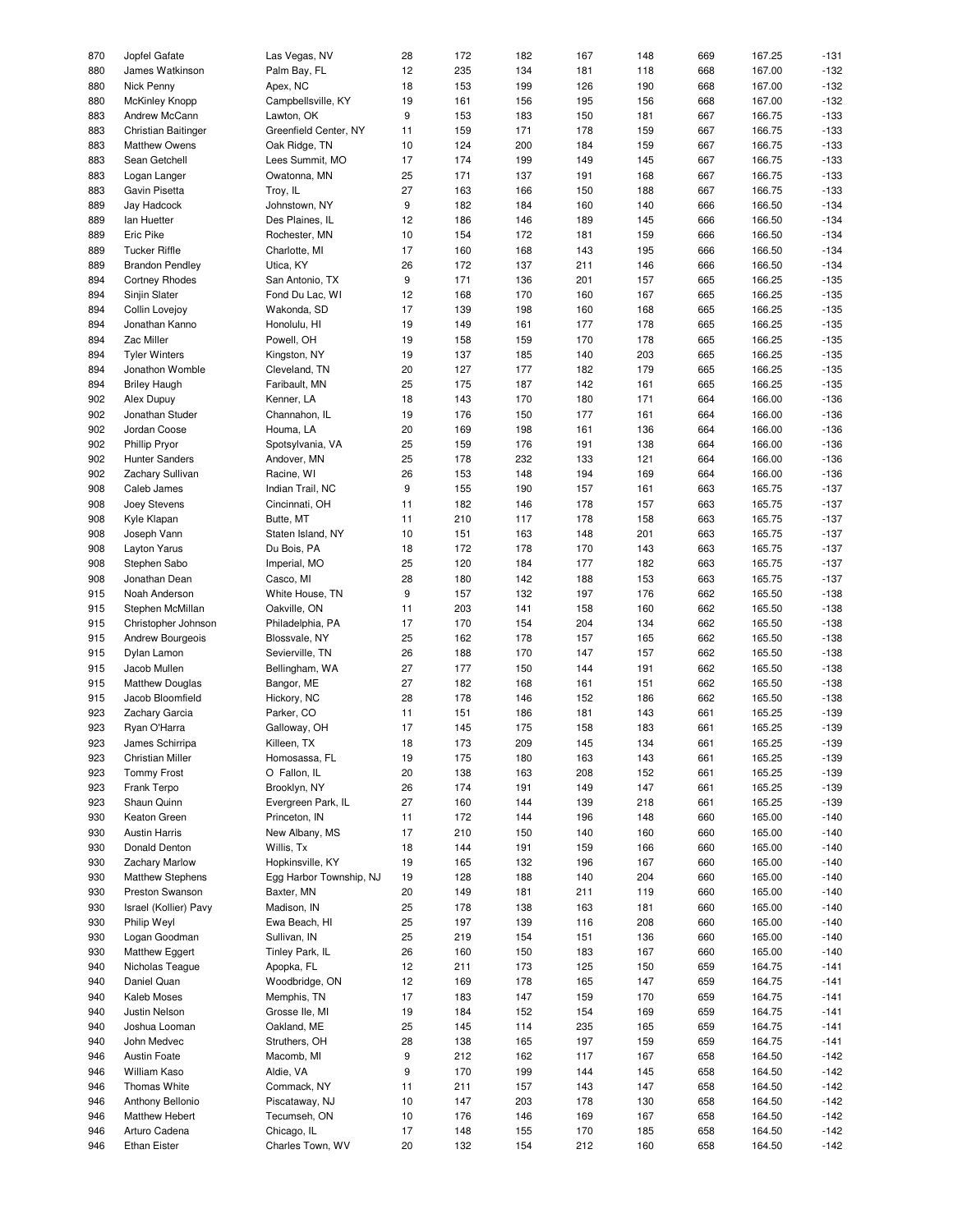| 870 | Jopfel Gafate           | Las Vegas, NV           | 28               | 172 | 182 | 167 | 148 | 669 | 167.25 | $-131$ |
|-----|-------------------------|-------------------------|------------------|-----|-----|-----|-----|-----|--------|--------|
| 880 | James Watkinson         | Palm Bay, FL            | 12               | 235 | 134 | 181 | 118 | 668 | 167.00 | $-132$ |
|     |                         |                         |                  |     |     |     |     |     |        |        |
| 880 | Nick Penny              | Apex, NC                | 18               | 153 | 199 | 126 | 190 | 668 | 167.00 | $-132$ |
| 880 | McKinley Knopp          | Campbellsville, KY      | 19               | 161 | 156 | 195 | 156 | 668 | 167.00 | $-132$ |
| 883 | Andrew McCann           | Lawton, OK              | $\boldsymbol{9}$ | 153 | 183 | 150 | 181 | 667 | 166.75 | $-133$ |
|     |                         |                         |                  |     |     |     |     |     |        |        |
| 883 | Christian Baitinger     | Greenfield Center, NY   | 11               | 159 | 171 | 178 | 159 | 667 | 166.75 | $-133$ |
| 883 | <b>Matthew Owens</b>    | Oak Ridge, TN           | 10               | 124 | 200 | 184 | 159 | 667 | 166.75 | $-133$ |
| 883 | Sean Getchell           | Lees Summit, MO         | 17               | 174 | 199 | 149 | 145 | 667 | 166.75 | $-133$ |
|     |                         |                         |                  |     |     |     |     |     |        |        |
| 883 | Logan Langer            | Owatonna, MN            | 25               | 171 | 137 | 191 | 168 | 667 | 166.75 | $-133$ |
| 883 | Gavin Pisetta           | Troy, IL                | 27               | 163 | 166 | 150 | 188 | 667 | 166.75 | $-133$ |
| 889 | Jay Hadcock             | Johnstown, NY           | $\boldsymbol{9}$ | 182 | 184 | 160 | 140 | 666 | 166.50 | $-134$ |
| 889 | lan Huetter             | Des Plaines, IL         | 12               | 186 | 146 | 189 | 145 | 666 | 166.50 | $-134$ |
|     |                         |                         |                  |     |     |     |     |     |        |        |
| 889 | Eric Pike               | Rochester, MN           | 10               | 154 | 172 | 181 | 159 | 666 | 166.50 | $-134$ |
| 889 | <b>Tucker Riffle</b>    | Charlotte, MI           | 17               | 160 | 168 | 143 | 195 | 666 | 166.50 | $-134$ |
| 889 | <b>Brandon Pendley</b>  | Utica, KY               | 26               | 172 | 137 | 211 | 146 | 666 | 166.50 | $-134$ |
| 894 |                         |                         | $\boldsymbol{9}$ | 171 |     | 201 | 157 |     | 166.25 | $-135$ |
|     | <b>Cortney Rhodes</b>   | San Antonio, TX         |                  |     | 136 |     |     | 665 |        |        |
| 894 | Sinjin Slater           | Fond Du Lac, WI         | 12               | 168 | 170 | 160 | 167 | 665 | 166.25 | $-135$ |
| 894 | Collin Lovejoy          | Wakonda, SD             | 17               | 139 | 198 | 160 | 168 | 665 | 166.25 | $-135$ |
| 894 | Jonathan Kanno          | Honolulu, HI            | 19               | 149 | 161 | 177 | 178 | 665 | 166.25 | $-135$ |
|     |                         |                         |                  |     |     |     |     |     |        |        |
| 894 | Zac Miller              | Powell, OH              | 19               | 158 | 159 | 170 | 178 | 665 | 166.25 | $-135$ |
| 894 | <b>Tyler Winters</b>    | Kingston, NY            | 19               | 137 | 185 | 140 | 203 | 665 | 166.25 | $-135$ |
| 894 | Jonathon Womble         | Cleveland, TN           | 20               | 127 | 177 | 182 | 179 | 665 | 166.25 | $-135$ |
|     | <b>Briley Haugh</b>     |                         |                  |     |     |     |     |     |        | $-135$ |
| 894 |                         | Faribault, MN           | 25               | 175 | 187 | 142 | 161 | 665 | 166.25 |        |
| 902 | Alex Dupuy              | Kenner, LA              | 18               | 143 | 170 | 180 | 171 | 664 | 166.00 | $-136$ |
| 902 | Jonathan Studer         | Channahon, IL           | 19               | 176 | 150 | 177 | 161 | 664 | 166.00 | $-136$ |
| 902 | Jordan Coose            | Houma, LA               | 20               | 169 | 198 | 161 | 136 | 664 | 166.00 | $-136$ |
|     |                         |                         |                  |     |     |     |     |     |        |        |
| 902 | <b>Phillip Pryor</b>    | Spotsylvania, VA        | 25               | 159 | 176 | 191 | 138 | 664 | 166.00 | $-136$ |
| 902 | Hunter Sanders          | Andover, MN             | 25               | 178 | 232 | 133 | 121 | 664 | 166.00 | $-136$ |
| 902 | Zachary Sullivan        | Racine, WI              | 26               | 153 | 148 | 194 | 169 | 664 | 166.00 | $-136$ |
|     |                         |                         |                  |     |     |     |     |     |        |        |
| 908 | Caleb James             | Indian Trail, NC        | $\boldsymbol{9}$ | 155 | 190 | 157 | 161 | 663 | 165.75 | $-137$ |
| 908 | Joey Stevens            | Cincinnati, OH          | 11               | 182 | 146 | 178 | 157 | 663 | 165.75 | $-137$ |
| 908 | Kyle Klapan             | Butte, MT               | 11               | 210 | 117 | 178 | 158 | 663 | 165.75 | $-137$ |
| 908 | Joseph Vann             | Staten Island, NY       | 10               | 151 | 163 | 148 | 201 | 663 | 165.75 | $-137$ |
|     |                         |                         |                  |     |     |     |     |     |        |        |
| 908 | Layton Yarus            | Du Bois, PA             | 18               | 172 | 178 | 170 | 143 | 663 | 165.75 | $-137$ |
| 908 | Stephen Sabo            | Imperial, MO            | 25               | 120 | 184 | 177 | 182 | 663 | 165.75 | $-137$ |
| 908 | Jonathan Dean           | Casco, MI               | 28               | 180 | 142 | 188 | 153 | 663 | 165.75 | $-137$ |
| 915 | Noah Anderson           | White House, TN         | $\boldsymbol{9}$ | 157 | 132 | 197 | 176 | 662 | 165.50 | $-138$ |
|     |                         |                         |                  |     |     |     |     |     |        |        |
| 915 | Stephen McMillan        | Oakville, ON            | 11               | 203 | 141 | 158 | 160 | 662 | 165.50 | $-138$ |
| 915 | Christopher Johnson     | Philadelphia, PA        | 17               | 170 | 154 | 204 | 134 | 662 | 165.50 | $-138$ |
| 915 | Andrew Bourgeois        | Blossvale, NY           | 25               | 162 | 178 | 157 | 165 | 662 | 165.50 | $-138$ |
|     |                         |                         |                  |     |     |     |     |     |        |        |
| 915 | Dylan Lamon             | Sevierville, TN         | 26               | 188 | 170 | 147 | 157 | 662 | 165.50 | $-138$ |
| 915 | Jacob Mullen            | Bellingham, WA          | 27               | 177 | 150 | 144 | 191 | 662 | 165.50 | $-138$ |
| 915 | <b>Matthew Douglas</b>  | Bangor, ME              | 27               | 182 | 168 | 161 | 151 | 662 | 165.50 | $-138$ |
| 915 | Jacob Bloomfield        | Hickory, NC             | 28               | 178 | 146 | 152 | 186 | 662 | 165.50 | $-138$ |
|     |                         |                         |                  |     |     |     |     |     |        |        |
| 923 | Zachary Garcia          | Parker, CO              | 11               | 151 | 186 | 181 | 143 | 661 | 165.25 | $-139$ |
| 923 | Ryan O'Harra            | Galloway, OH            | 17               | 145 | 175 | 158 | 183 | 661 | 165.25 | $-139$ |
| 923 | James Schirripa         | Killeen, TX             | 18               | 173 | 209 | 145 | 134 | 661 | 165.25 | $-139$ |
|     |                         |                         |                  |     |     |     |     |     |        |        |
| 923 | Christian Miller        | Homosassa, FL           | 19               | 175 | 180 | 163 | 143 | 661 | 165.25 | $-139$ |
| 923 | <b>Tommy Frost</b>      | O Fallon, IL            | 20               | 138 | 163 | 208 | 152 | 661 | 165.25 | $-139$ |
| 923 | Frank Terpo             | Brooklyn, NY            | 26               | 174 | 191 | 149 | 147 | 661 | 165.25 | $-139$ |
| 923 | Shaun Quinn             | Evergreen Park, IL      | 27               | 160 | 144 | 139 | 218 | 661 | 165.25 | $-139$ |
|     |                         |                         |                  |     |     |     |     |     |        |        |
| 930 | Keaton Green            | Princeton, IN           | 11               | 172 | 144 | 196 | 148 | 660 | 165.00 | $-140$ |
| 930 | <b>Austin Harris</b>    | New Albany, MS          | 17               | 210 | 150 | 140 | 160 | 660 | 165.00 | $-140$ |
| 930 | Donald Denton           | Willis, Tx              | 18               | 144 | 191 | 159 | 166 | 660 | 165.00 | $-140$ |
| 930 | <b>Zachary Marlow</b>   | Hopkinsville, KY        | 19               | 165 | 132 | 196 | 167 | 660 | 165.00 | $-140$ |
|     |                         |                         |                  |     |     |     |     |     |        |        |
| 930 | <b>Matthew Stephens</b> | Egg Harbor Township, NJ | 19               | 128 | 188 | 140 | 204 | 660 | 165.00 | $-140$ |
| 930 | Preston Swanson         | Baxter, MN              | 20               | 149 | 181 | 211 | 119 | 660 | 165.00 | $-140$ |
| 930 | Israel (Kollier) Pavy   | Madison, IN             | 25               | 178 | 138 | 163 | 181 | 660 | 165.00 | $-140$ |
| 930 | Philip Weyl             | Ewa Beach, HI           | 25               | 197 | 139 | 116 |     |     | 165.00 | $-140$ |
|     |                         |                         |                  |     |     |     | 208 | 660 |        |        |
| 930 | Logan Goodman           | Sullivan, IN            | 25               | 219 | 154 | 151 | 136 | 660 | 165.00 | $-140$ |
| 930 | <b>Matthew Eggert</b>   | Tinley Park, IL         | 26               | 160 | 150 | 183 | 167 | 660 | 165.00 | $-140$ |
| 940 | Nicholas Teague         | Apopka, FL              | 12               | 211 | 173 | 125 | 150 | 659 | 164.75 | $-141$ |
|     |                         |                         |                  |     |     |     |     |     |        |        |
| 940 | Daniel Quan             | Woodbridge, ON          | 12               | 169 | 178 | 165 | 147 | 659 | 164.75 | $-141$ |
| 940 | Kaleb Moses             | Memphis, TN             | 17               | 183 | 147 | 159 | 170 | 659 | 164.75 | $-141$ |
| 940 | Justin Nelson           | Grosse Ile, MI          | 19               | 184 | 152 | 154 | 169 | 659 | 164.75 | $-141$ |
| 940 | Joshua Looman           | Oakland, ME             | 25               | 145 | 114 | 235 | 165 | 659 | 164.75 | $-141$ |
|     |                         |                         |                  |     |     |     |     |     |        |        |
| 940 | John Medvec             | Struthers, OH           | 28               | 138 | 165 | 197 | 159 | 659 | 164.75 | $-141$ |
| 946 | Austin Foate            | Macomb, MI              | 9                | 212 | 162 | 117 | 167 | 658 | 164.50 | $-142$ |
| 946 | William Kaso            | Aldie, VA               | 9                | 170 | 199 | 144 | 145 | 658 | 164.50 | $-142$ |
| 946 | Thomas White            | Commack, NY             | 11               | 211 | 157 | 143 | 147 | 658 | 164.50 | $-142$ |
|     |                         |                         |                  |     |     |     |     |     |        |        |
| 946 | Anthony Bellonio        | Piscataway, NJ          | 10               | 147 | 203 | 178 | 130 | 658 | 164.50 | $-142$ |
| 946 | Matthew Hebert          | Tecumseh, ON            | 10               | 176 | 146 | 169 | 167 | 658 | 164.50 | $-142$ |
| 946 | Arturo Cadena           | Chicago, IL             | 17               | 148 | 155 | 170 | 185 | 658 | 164.50 | $-142$ |
| 946 | <b>Ethan Eister</b>     | Charles Town, WV        | 20               | 132 | 154 | 212 | 160 | 658 |        | $-142$ |
|     |                         |                         |                  |     |     |     |     |     | 164.50 |        |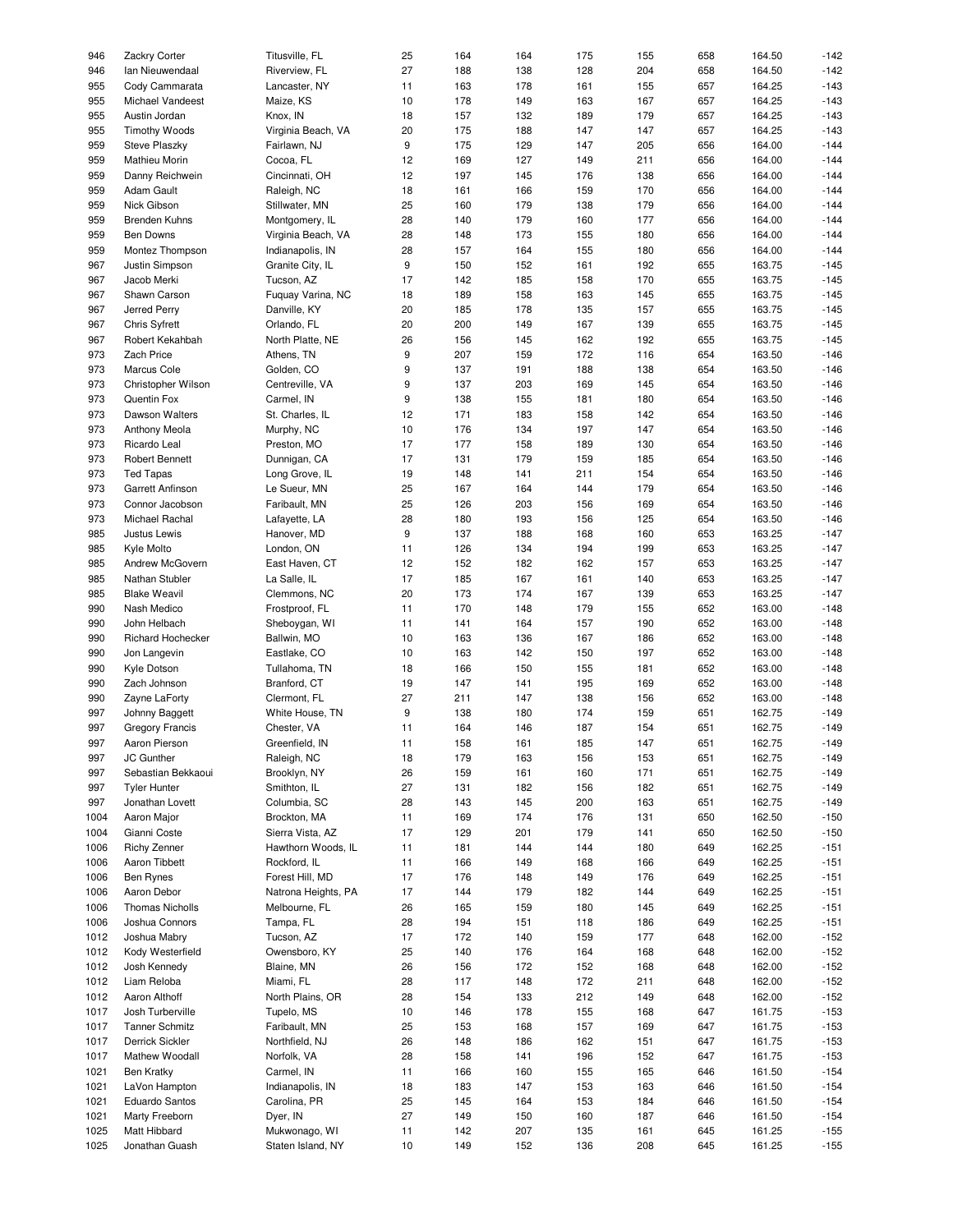| 946  | Zackry Corter          | Titusville, FL      | 25 | 164 | 164 | 175 | 155 | 658 | 164.50 | $-142$ |
|------|------------------------|---------------------|----|-----|-----|-----|-----|-----|--------|--------|
| 946  | Ian Nieuwendaal        | Riverview, FL       | 27 | 188 | 138 | 128 | 204 | 658 | 164.50 | $-142$ |
|      |                        |                     |    |     |     |     |     |     |        |        |
| 955  | Cody Cammarata         | Lancaster, NY       | 11 | 163 | 178 | 161 | 155 | 657 | 164.25 | $-143$ |
| 955  | Michael Vandeest       | Maize, KS           | 10 | 178 | 149 | 163 | 167 | 657 | 164.25 | $-143$ |
| 955  |                        |                     | 18 |     |     |     | 179 |     |        |        |
|      | Austin Jordan          | Knox, IN            |    | 157 | 132 | 189 |     | 657 | 164.25 | $-143$ |
| 955  | <b>Timothy Woods</b>   | Virginia Beach, VA  | 20 | 175 | 188 | 147 | 147 | 657 | 164.25 | $-143$ |
| 959  | Steve Plaszky          | Fairlawn, NJ        | 9  | 175 | 129 | 147 | 205 | 656 | 164.00 | $-144$ |
| 959  | <b>Mathieu Morin</b>   |                     | 12 | 169 | 127 | 149 | 211 | 656 | 164.00 | $-144$ |
|      |                        | Cocoa, FL           |    |     |     |     |     |     |        |        |
| 959  | Danny Reichwein        | Cincinnati, OH      | 12 | 197 | 145 | 176 | 138 | 656 | 164.00 | $-144$ |
| 959  | Adam Gault             | Raleigh, NC         | 18 | 161 | 166 | 159 | 170 | 656 | 164.00 | $-144$ |
| 959  | Nick Gibson            | Stillwater, MN      | 25 | 160 | 179 | 138 | 179 | 656 | 164.00 | $-144$ |
|      |                        |                     |    |     |     |     |     |     |        |        |
| 959  | <b>Brenden Kuhns</b>   | Montgomery, IL      | 28 | 140 | 179 | 160 | 177 | 656 | 164.00 | $-144$ |
| 959  | Ben Downs              | Virginia Beach, VA  | 28 | 148 | 173 | 155 | 180 | 656 | 164.00 | $-144$ |
| 959  | Montez Thompson        |                     | 28 | 157 | 164 | 155 | 180 | 656 | 164.00 | $-144$ |
|      |                        | Indianapolis, IN    |    |     |     |     |     |     |        |        |
| 967  | Justin Simpson         | Granite City, IL    | 9  | 150 | 152 | 161 | 192 | 655 | 163.75 | $-145$ |
| 967  | Jacob Merki            | Tucson, AZ          | 17 | 142 | 185 | 158 | 170 | 655 | 163.75 | $-145$ |
| 967  | Shawn Carson           | Fuquay Varina, NC   | 18 | 189 | 158 | 163 | 145 | 655 | 163.75 | $-145$ |
|      |                        |                     |    |     |     |     |     |     |        |        |
| 967  | Jerred Perry           | Danville, KY        | 20 | 185 | 178 | 135 | 157 | 655 | 163.75 | $-145$ |
| 967  | <b>Chris Syfrett</b>   | Orlando, FL         | 20 | 200 | 149 | 167 | 139 | 655 | 163.75 | $-145$ |
| 967  |                        |                     |    |     |     |     | 192 |     | 163.75 | $-145$ |
|      | Robert Kekahbah        | North Platte, NE    | 26 | 156 | 145 | 162 |     | 655 |        |        |
| 973  | Zach Price             | Athens, TN          | 9  | 207 | 159 | 172 | 116 | 654 | 163.50 | $-146$ |
| 973  | Marcus Cole            | Golden, CO          | 9  | 137 | 191 | 188 | 138 | 654 | 163.50 | $-146$ |
|      |                        |                     |    |     |     |     |     |     |        |        |
| 973  | Christopher Wilson     | Centreville, VA     | 9  | 137 | 203 | 169 | 145 | 654 | 163.50 | $-146$ |
| 973  | Quentin Fox            | Carmel, IN          | 9  | 138 | 155 | 181 | 180 | 654 | 163.50 | $-146$ |
| 973  | Dawson Walters         | St. Charles, IL     | 12 | 171 | 183 | 158 | 142 | 654 | 163.50 | $-146$ |
|      |                        |                     |    |     |     |     |     |     |        |        |
| 973  | Anthony Meola          | Murphy, NC          | 10 | 176 | 134 | 197 | 147 | 654 | 163.50 | $-146$ |
| 973  | Ricardo Leal           | Preston, MO         | 17 | 177 | 158 | 189 | 130 | 654 | 163.50 | $-146$ |
| 973  | Robert Bennett         | Dunnigan, CA        | 17 | 131 | 179 | 159 | 185 | 654 | 163.50 | $-146$ |
|      |                        |                     |    |     |     |     |     |     |        |        |
| 973  | <b>Ted Tapas</b>       | Long Grove, IL      | 19 | 148 | 141 | 211 | 154 | 654 | 163.50 | $-146$ |
| 973  | Garrett Anfinson       | Le Sueur, MN        | 25 | 167 | 164 | 144 | 179 | 654 | 163.50 | $-146$ |
| 973  | Connor Jacobson        | Faribault, MN       | 25 | 126 | 203 | 156 | 169 | 654 | 163.50 | $-146$ |
|      |                        |                     |    |     |     |     |     |     |        |        |
| 973  | Michael Rachal         | Lafayette, LA       | 28 | 180 | 193 | 156 | 125 | 654 | 163.50 | $-146$ |
| 985  | Justus Lewis           | Hanover, MD         | 9  | 137 | 188 | 168 | 160 | 653 | 163.25 | $-147$ |
| 985  | Kyle Molto             | London, ON          | 11 | 126 | 134 | 194 | 199 | 653 | 163.25 | $-147$ |
|      |                        |                     |    |     |     |     |     |     |        |        |
| 985  | Andrew McGovern        | East Haven, CT      | 12 | 152 | 182 | 162 | 157 | 653 | 163.25 | $-147$ |
| 985  | Nathan Stubler         | La Salle, IL        | 17 | 185 | 167 | 161 | 140 | 653 | 163.25 | $-147$ |
| 985  | <b>Blake Weavil</b>    | Clemmons, NC        | 20 | 173 | 174 | 167 | 139 | 653 | 163.25 | $-147$ |
|      |                        |                     |    |     |     |     |     |     |        |        |
| 990  | Nash Medico            | Frostproof, FL      | 11 | 170 | 148 | 179 | 155 | 652 | 163.00 | $-148$ |
| 990  | John Helbach           | Sheboygan, WI       | 11 | 141 | 164 | 157 | 190 | 652 | 163.00 | $-148$ |
| 990  | Richard Hochecker      | Ballwin, MO         | 10 | 163 | 136 | 167 | 186 | 652 | 163.00 | $-148$ |
|      |                        |                     |    |     |     |     |     |     |        |        |
| 990  | Jon Langevin           | Eastlake, CO        | 10 | 163 | 142 | 150 | 197 | 652 | 163.00 | $-148$ |
| 990  | Kyle Dotson            | Tullahoma, TN       | 18 | 166 | 150 | 155 | 181 | 652 | 163.00 | $-148$ |
| 990  | Zach Johnson           | Branford, CT        | 19 | 147 | 141 | 195 | 169 | 652 | 163.00 | $-148$ |
|      |                        |                     |    |     |     |     |     |     |        |        |
| 990  | Zayne LaForty          | Clermont, FL        | 27 | 211 | 147 | 138 | 156 | 652 | 163.00 | $-148$ |
| 997  | Johnny Baggett         | White House, TN     | 9  | 138 | 180 | 174 | 159 | 651 | 162.75 | $-149$ |
| 997  | <b>Gregory Francis</b> | Chester, VA         | 11 | 164 | 146 | 187 | 154 | 651 | 162.75 | $-149$ |
|      |                        |                     |    |     |     |     |     |     |        |        |
| 997  | Aaron Pierson          | Greenfield, IN      | 11 | 158 | 161 | 185 | 147 | 651 | 162.75 | $-149$ |
| 997  | JC Gunther             | Raleigh, NC         | 18 | 179 | 163 | 156 | 153 | 651 | 162.75 | $-149$ |
| 997  | Sebastian Bekkaoui     | Brooklyn, NY        | 26 | 159 | 161 | 160 | 171 | 651 | 162.75 | $-149$ |
|      |                        |                     |    |     |     |     |     |     |        |        |
| 997  | <b>Tyler Hunter</b>    | Smithton, IL        | 27 | 131 | 182 | 156 | 182 | 651 | 162.75 | $-149$ |
| 997  | Jonathan Lovett        | Columbia, SC        | 28 | 143 | 145 | 200 | 163 | 651 | 162.75 | $-149$ |
| 1004 | Aaron Major            | Brockton, MA        | 11 | 169 | 174 | 176 | 131 | 650 | 162.50 | $-150$ |
|      |                        |                     |    |     |     |     |     |     |        |        |
| 1004 | Gianni Coste           | Sierra Vista, AZ    | 17 | 129 | 201 | 179 | 141 | 650 | 162.50 | $-150$ |
| 1006 | <b>Richy Zenner</b>    | Hawthorn Woods, IL  | 11 | 181 | 144 | 144 | 180 | 649 | 162.25 | $-151$ |
| 1006 | Aaron Tibbett          | Rockford, IL        | 11 | 166 | 149 | 168 | 166 | 649 | 162.25 | $-151$ |
|      |                        |                     |    |     |     |     |     |     |        |        |
| 1006 | <b>Ben Rynes</b>       | Forest Hill, MD     | 17 | 176 | 148 | 149 | 176 | 649 | 162.25 | $-151$ |
| 1006 | Aaron Debor            | Natrona Heights, PA | 17 | 144 | 179 | 182 | 144 | 649 | 162.25 | $-151$ |
| 1006 | <b>Thomas Nicholls</b> | Melbourne, FL       | 26 | 165 | 159 | 180 | 145 | 649 | 162.25 | $-151$ |
|      |                        |                     |    |     |     |     |     |     |        |        |
| 1006 | Joshua Connors         | Tampa, FL           | 28 | 194 | 151 | 118 | 186 | 649 | 162.25 | $-151$ |
| 1012 | Joshua Mabry           | Tucson, AZ          | 17 | 172 | 140 | 159 | 177 | 648 | 162.00 | $-152$ |
| 1012 | Kody Westerfield       | Owensboro, KY       | 25 | 140 | 176 | 164 | 168 | 648 | 162.00 | $-152$ |
|      |                        |                     |    |     |     |     |     |     |        |        |
| 1012 | Josh Kennedy           | Blaine, MN          | 26 | 156 | 172 | 152 | 168 | 648 | 162.00 | $-152$ |
| 1012 | Liam Reloba            | Miami, FL           | 28 | 117 | 148 | 172 | 211 | 648 | 162.00 | $-152$ |
| 1012 | Aaron Althoff          | North Plains, OR    | 28 | 154 | 133 | 212 | 149 | 648 | 162.00 | $-152$ |
|      |                        |                     |    |     |     |     |     |     |        |        |
| 1017 | Josh Turberville       | Tupelo, MS          | 10 | 146 | 178 | 155 | 168 | 647 | 161.75 | $-153$ |
| 1017 | <b>Tanner Schmitz</b>  | Faribault, MN       | 25 | 153 | 168 | 157 | 169 | 647 | 161.75 | $-153$ |
| 1017 | Derrick Sickler        | Northfield, NJ      | 26 | 148 | 186 | 162 | 151 | 647 | 161.75 | $-153$ |
|      |                        |                     |    |     |     |     |     |     |        |        |
| 1017 | Mathew Woodall         | Norfolk, VA         | 28 | 158 | 141 | 196 | 152 | 647 | 161.75 | $-153$ |
| 1021 | <b>Ben Kratky</b>      | Carmel, IN          | 11 | 166 | 160 | 155 | 165 | 646 | 161.50 | $-154$ |
| 1021 | LaVon Hampton          | Indianapolis, IN    | 18 | 183 | 147 | 153 | 163 | 646 | 161.50 | $-154$ |
|      |                        |                     |    |     |     |     |     |     |        |        |
| 1021 | <b>Eduardo Santos</b>  | Carolina, PR        | 25 | 145 | 164 | 153 | 184 | 646 | 161.50 | $-154$ |
| 1021 | Marty Freeborn         | Dyer, IN            | 27 | 149 | 150 | 160 | 187 | 646 | 161.50 | $-154$ |
| 1025 | Matt Hibbard           | Mukwonago, WI       | 11 | 142 | 207 | 135 | 161 | 645 | 161.25 | $-155$ |
|      |                        | Staten Island, NY   |    | 149 |     |     |     |     |        | $-155$ |
| 1025 | Jonathan Guash         |                     | 10 |     | 152 | 136 | 208 | 645 | 161.25 |        |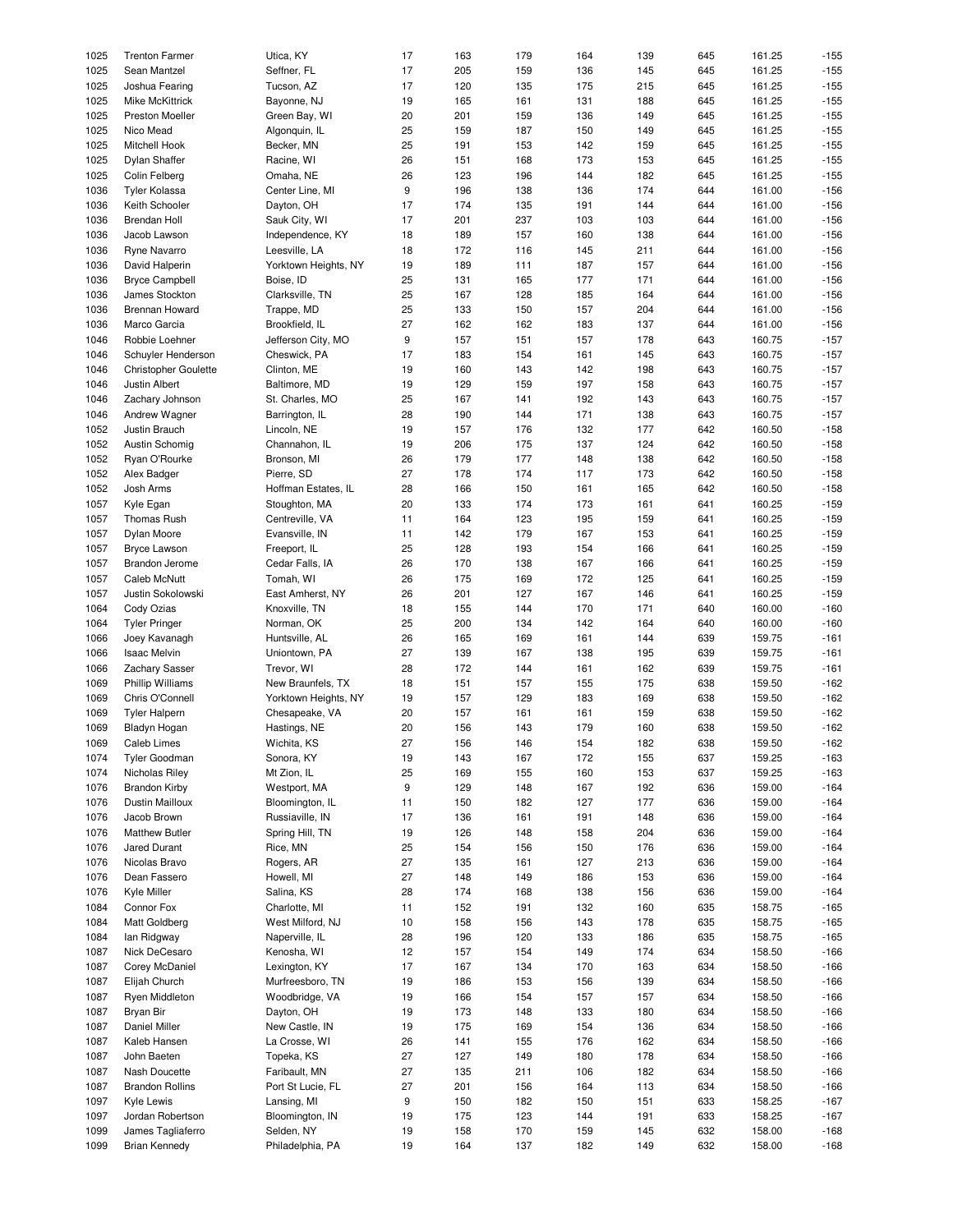| 1025 | <b>Trenton Farmer</b>       | Utica, KY            | 17               | 163 | 179 | 164 | 139 | 645 | 161.25 | $-155$ |
|------|-----------------------------|----------------------|------------------|-----|-----|-----|-----|-----|--------|--------|
| 1025 | Sean Mantzel                | Seffner, FL          | 17               | 205 | 159 | 136 | 145 | 645 | 161.25 | $-155$ |
|      |                             |                      |                  |     |     |     |     |     |        |        |
| 1025 | Joshua Fearing              | Tucson, AZ           | 17               | 120 | 135 | 175 | 215 | 645 | 161.25 | $-155$ |
| 1025 | <b>Mike McKittrick</b>      | Bayonne, NJ          | 19               | 165 | 161 | 131 | 188 | 645 | 161.25 | $-155$ |
| 1025 | <b>Preston Moeller</b>      | Green Bay, WI        | 20               | 201 | 159 | 136 | 149 | 645 | 161.25 | $-155$ |
| 1025 | Nico Mead                   | Algonquin, IL        | 25               | 159 | 187 | 150 | 149 | 645 | 161.25 | $-155$ |
| 1025 | Mitchell Hook               | Becker, MN           | 25               | 191 | 153 | 142 | 159 | 645 | 161.25 | $-155$ |
|      |                             |                      |                  |     |     |     |     |     |        |        |
| 1025 | Dylan Shaffer               | Racine, WI           | 26               | 151 | 168 | 173 | 153 | 645 | 161.25 | $-155$ |
| 1025 | Colin Felberg               | Omaha, NE            | 26               | 123 | 196 | 144 | 182 | 645 | 161.25 | $-155$ |
| 1036 | <b>Tyler Kolassa</b>        | Center Line, MI      | 9                | 196 | 138 | 136 | 174 | 644 | 161.00 | $-156$ |
| 1036 | Keith Schooler              | Dayton, OH           | 17               | 174 | 135 | 191 | 144 | 644 | 161.00 | $-156$ |
| 1036 | <b>Brendan Holl</b>         | Sauk City, WI        | 17               | 201 | 237 | 103 | 103 | 644 | 161.00 | $-156$ |
|      |                             |                      |                  |     |     |     |     |     |        |        |
| 1036 | Jacob Lawson                | Independence, KY     | 18               | 189 | 157 | 160 | 138 | 644 | 161.00 | $-156$ |
| 1036 | Ryne Navarro                | Leesville, LA        | 18               | 172 | 116 | 145 | 211 | 644 | 161.00 | $-156$ |
| 1036 | David Halperin              | Yorktown Heights, NY | 19               | 189 | 111 | 187 | 157 | 644 | 161.00 | $-156$ |
| 1036 | <b>Bryce Campbell</b>       | Boise, ID            | 25               | 131 | 165 | 177 | 171 | 644 | 161.00 | $-156$ |
|      |                             |                      |                  |     |     |     |     |     |        |        |
| 1036 | James Stockton              | Clarksville, TN      | 25               | 167 | 128 | 185 | 164 | 644 | 161.00 | $-156$ |
| 1036 | Brennan Howard              | Trappe, MD           | 25               | 133 | 150 | 157 | 204 | 644 | 161.00 | $-156$ |
| 1036 | Marco Garcia                | Brookfield, IL       | 27               | 162 | 162 | 183 | 137 | 644 | 161.00 | $-156$ |
| 1046 | Robbie Loehner              | Jefferson City, MO   | 9                | 157 | 151 | 157 | 178 | 643 | 160.75 | $-157$ |
| 1046 | Schuyler Henderson          | Cheswick, PA         | 17               | 183 | 154 | 161 | 145 | 643 | 160.75 | $-157$ |
|      |                             |                      |                  |     |     |     |     |     |        |        |
| 1046 | <b>Christopher Goulette</b> | Clinton, ME          | 19               | 160 | 143 | 142 | 198 | 643 | 160.75 | $-157$ |
| 1046 | Justin Albert               | Baltimore, MD        | 19               | 129 | 159 | 197 | 158 | 643 | 160.75 | $-157$ |
| 1046 | Zachary Johnson             | St. Charles, MO      | 25               | 167 | 141 | 192 | 143 | 643 | 160.75 | $-157$ |
| 1046 | Andrew Wagner               | Barrington, IL       | 28               | 190 | 144 | 171 | 138 | 643 | 160.75 | $-157$ |
|      |                             |                      |                  |     |     |     |     |     |        |        |
| 1052 | Justin Brauch               | Lincoln, NE          | 19               | 157 | 176 | 132 | 177 | 642 | 160.50 | $-158$ |
| 1052 | Austin Schomig              | Channahon, IL        | 19               | 206 | 175 | 137 | 124 | 642 | 160.50 | $-158$ |
| 1052 | Ryan O'Rourke               | Bronson, MI          | 26               | 179 | 177 | 148 | 138 | 642 | 160.50 | $-158$ |
| 1052 | Alex Badger                 | Pierre, SD           | 27               | 178 | 174 | 117 | 173 | 642 | 160.50 | $-158$ |
| 1052 | Josh Arms                   | Hoffman Estates, IL  | 28               | 166 | 150 | 161 | 165 | 642 | 160.50 | $-158$ |
|      |                             |                      |                  |     |     |     |     |     |        |        |
| 1057 | Kyle Egan                   | Stoughton, MA        | 20               | 133 | 174 | 173 | 161 | 641 | 160.25 | $-159$ |
| 1057 | Thomas Rush                 | Centreville, VA      | 11               | 164 | 123 | 195 | 159 | 641 | 160.25 | $-159$ |
| 1057 | Dylan Moore                 | Evansville, IN       | 11               | 142 | 179 | 167 | 153 | 641 | 160.25 | $-159$ |
| 1057 | <b>Bryce Lawson</b>         | Freeport, IL         | 25               | 128 | 193 | 154 | 166 | 641 | 160.25 | $-159$ |
|      |                             |                      |                  |     |     |     |     |     |        |        |
| 1057 | Brandon Jerome              | Cedar Falls, IA      | 26               | 170 | 138 | 167 | 166 | 641 | 160.25 | $-159$ |
| 1057 | Caleb McNutt                | Tomah, WI            | 26               | 175 | 169 | 172 | 125 | 641 | 160.25 | $-159$ |
| 1057 | Justin Sokolowski           | East Amherst, NY     | 26               | 201 | 127 | 167 | 146 | 641 | 160.25 | $-159$ |
| 1064 | Cody Ozias                  | Knoxville, TN        | 18               | 155 | 144 | 170 | 171 | 640 | 160.00 | $-160$ |
| 1064 | <b>Tyler Pringer</b>        | Norman, OK           | 25               | 200 | 134 | 142 | 164 | 640 | 160.00 | $-160$ |
|      |                             |                      |                  |     |     |     |     |     |        |        |
| 1066 | Joey Kavanagh               | Huntsville, AL       | 26               | 165 | 169 | 161 | 144 | 639 | 159.75 | $-161$ |
| 1066 | <b>Isaac Melvin</b>         | Uniontown, PA        | 27               | 139 | 167 | 138 | 195 | 639 | 159.75 | $-161$ |
| 1066 | Zachary Sasser              | Trevor, WI           | 28               | 172 | 144 | 161 | 162 | 639 | 159.75 | $-161$ |
| 1069 | <b>Phillip Williams</b>     | New Braunfels, TX    | 18               | 151 | 157 | 155 | 175 | 638 | 159.50 | $-162$ |
|      |                             |                      |                  |     |     |     |     |     |        |        |
| 1069 | Chris O'Connell             | Yorktown Heights, NY | 19               | 157 | 129 | 183 | 169 | 638 | 159.50 | $-162$ |
| 1069 | <b>Tyler Halpern</b>        | Chesapeake, VA       | 20               | 157 | 161 | 161 | 159 | 638 | 159.50 | $-162$ |
| 1069 | <b>Bladyn Hogan</b>         | Hastings, NE         | 20               | 156 | 143 | 179 | 160 | 638 | 159.50 | $-162$ |
| 1069 | Caleb Limes                 | Wichita, KS          | 27               | 156 | 146 | 154 | 182 | 638 | 159.50 | $-162$ |
| 1074 |                             |                      | 19               |     |     | 172 |     |     | 159.25 | $-163$ |
|      | <b>Tyler Goodman</b>        | Sonora, KY           |                  | 143 | 167 |     | 155 | 637 |        |        |
| 1074 | Nicholas Riley              | Mt Zion, IL          | 25               | 169 | 155 | 160 | 153 | 637 | 159.25 | $-163$ |
| 1076 | <b>Brandon Kirby</b>        | Westport, MA         | $\boldsymbol{9}$ | 129 | 148 | 167 | 192 | 636 | 159.00 | $-164$ |
| 1076 | Dustin Mailloux             | Bloomington, IL      | 11               | 150 | 182 | 127 | 177 | 636 | 159.00 | $-164$ |
| 1076 | Jacob Brown                 | Russiaville, IN      | 17               | 136 | 161 | 191 | 148 | 636 | 159.00 | $-164$ |
|      |                             |                      |                  |     |     |     |     |     |        |        |
| 1076 | <b>Matthew Butler</b>       | Spring Hill, TN      | 19               | 126 | 148 | 158 | 204 | 636 | 159.00 | $-164$ |
| 1076 | Jared Durant                | Rice, MN             | 25               | 154 | 156 | 150 | 176 | 636 | 159.00 | $-164$ |
| 1076 | Nicolas Bravo               | Rogers, AR           | 27               | 135 | 161 | 127 | 213 | 636 | 159.00 | $-164$ |
| 1076 | Dean Fassero                | Howell, MI           | 27               | 148 | 149 | 186 | 153 | 636 | 159.00 | $-164$ |
|      |                             |                      |                  |     |     |     |     |     |        |        |
| 1076 | Kyle Miller                 | Salina, KS           | 28               | 174 | 168 | 138 | 156 | 636 | 159.00 | $-164$ |
| 1084 | Connor Fox                  | Charlotte, MI        | 11               | 152 | 191 | 132 | 160 | 635 | 158.75 | $-165$ |
| 1084 | Matt Goldberg               | West Milford, NJ     | 10               | 158 | 156 | 143 | 178 | 635 | 158.75 | $-165$ |
| 1084 | lan Ridgway                 | Naperville, IL       | 28               | 196 | 120 | 133 | 186 | 635 | 158.75 | $-165$ |
| 1087 | Nick DeCesaro               | Kenosha, WI          | 12               | 157 | 154 | 149 | 174 | 634 | 158.50 | $-166$ |
|      |                             |                      |                  |     |     |     |     |     |        |        |
| 1087 | Corey McDaniel              | Lexington, KY        | 17               | 167 | 134 | 170 | 163 | 634 | 158.50 | $-166$ |
| 1087 | Elijah Church               | Murfreesboro, TN     | 19               | 186 | 153 | 156 | 139 | 634 | 158.50 | $-166$ |
| 1087 | Ryen Middleton              | Woodbridge, VA       | 19               | 166 | 154 | 157 | 157 | 634 | 158.50 | $-166$ |
| 1087 | Bryan Bir                   | Dayton, OH           | 19               | 173 | 148 | 133 | 180 | 634 | 158.50 | $-166$ |
| 1087 | Daniel Miller               | New Castle, IN       |                  |     | 169 |     |     |     | 158.50 | $-166$ |
|      |                             |                      | 19               | 175 |     | 154 | 136 | 634 |        |        |
| 1087 | Kaleb Hansen                | La Crosse, WI        | 26               | 141 | 155 | 176 | 162 | 634 | 158.50 | $-166$ |
| 1087 | John Baeten                 | Topeka, KS           | 27               | 127 | 149 | 180 | 178 | 634 | 158.50 | $-166$ |
| 1087 | Nash Doucette               | Faribault, MN        | 27               | 135 | 211 | 106 | 182 | 634 | 158.50 | $-166$ |
| 1087 | <b>Brandon Rollins</b>      | Port St Lucie, FL    | 27               | 201 | 156 | 164 | 113 | 634 | 158.50 | $-166$ |
| 1097 | <b>Kyle Lewis</b>           |                      | 9                |     |     | 150 |     |     | 158.25 | $-167$ |
|      |                             | Lansing, MI          |                  | 150 | 182 |     | 151 | 633 |        |        |
| 1097 | Jordan Robertson            | Bloomington, IN      | 19               | 175 | 123 | 144 | 191 | 633 | 158.25 | $-167$ |
| 1099 | James Tagliaferro           | Selden, NY           | 19               | 158 | 170 | 159 | 145 | 632 | 158.00 | $-168$ |
| 1099 | <b>Brian Kennedy</b>        | Philadelphia, PA     | 19               | 164 | 137 | 182 | 149 | 632 | 158.00 | $-168$ |
|      |                             |                      |                  |     |     |     |     |     |        |        |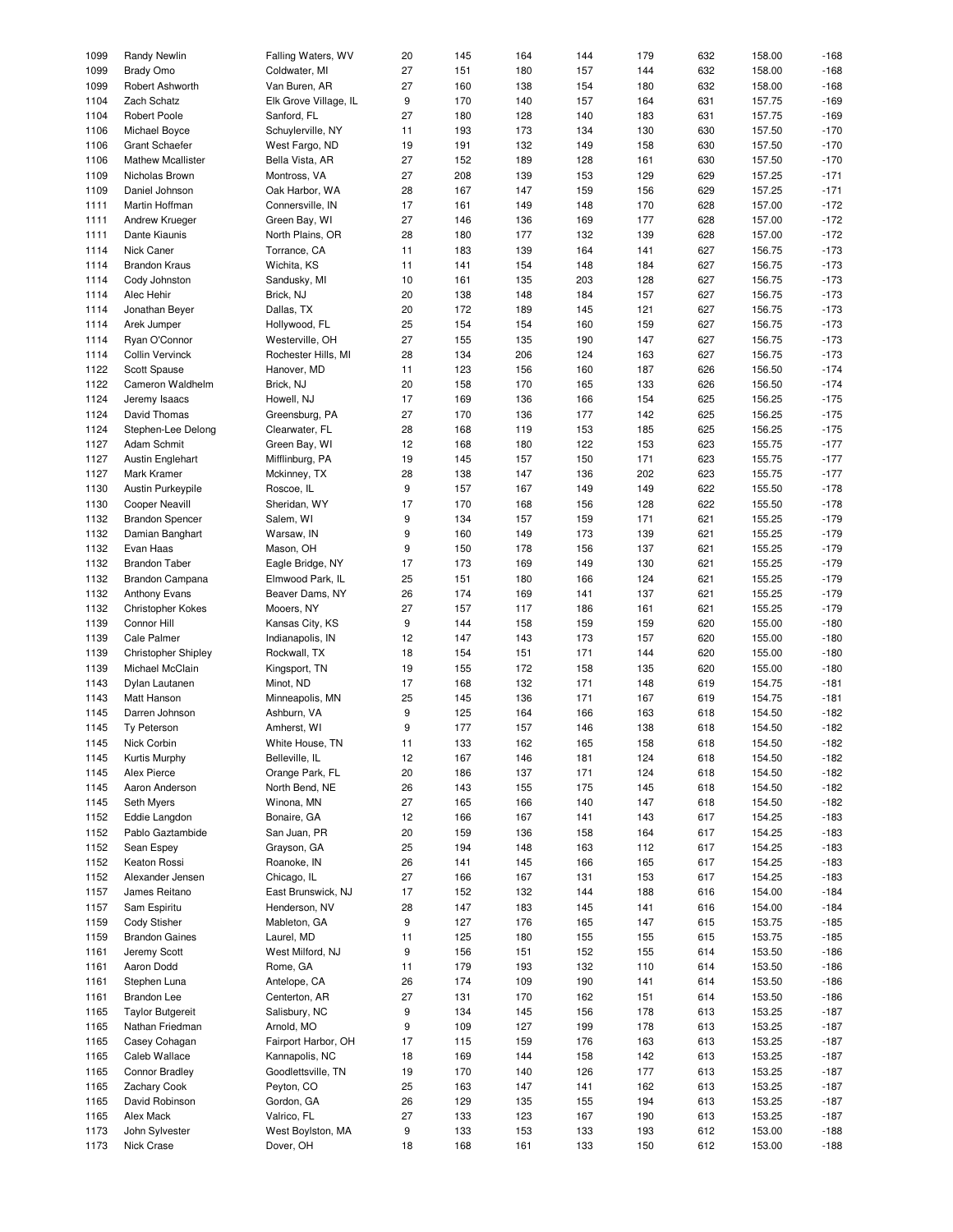| 1099 | <b>Randy Newlin</b>        | Falling Waters, WV    | 20 | 145        | 164 | 144 | 179 | 632 | 158.00 | $-168$ |
|------|----------------------------|-----------------------|----|------------|-----|-----|-----|-----|--------|--------|
| 1099 | <b>Brady Omo</b>           | Coldwater, MI         | 27 | 151        | 180 | 157 | 144 | 632 | 158.00 | $-168$ |
|      |                            |                       |    |            |     |     |     |     |        |        |
| 1099 | Robert Ashworth            | Van Buren, AR         | 27 | 160        | 138 | 154 | 180 | 632 | 158.00 | $-168$ |
| 1104 | Zach Schatz                | Elk Grove Village, IL | 9  | 170        | 140 | 157 | 164 | 631 | 157.75 | $-169$ |
| 1104 | Robert Poole               | Sanford, FL           | 27 | 180        | 128 | 140 | 183 | 631 | 157.75 | $-169$ |
| 1106 | Michael Boyce              | Schuylerville, NY     | 11 | 193        | 173 | 134 | 130 | 630 | 157.50 | $-170$ |
| 1106 | <b>Grant Schaefer</b>      | West Fargo, ND        | 19 | 191        | 132 | 149 | 158 | 630 | 157.50 | $-170$ |
|      |                            |                       |    |            |     |     |     |     |        |        |
| 1106 | <b>Mathew Mcallister</b>   | Bella Vista, AR       | 27 | 152        | 189 | 128 | 161 | 630 | 157.50 | $-170$ |
| 1109 | Nicholas Brown             | Montross, VA          | 27 | 208        | 139 | 153 | 129 | 629 | 157.25 | $-171$ |
| 1109 | Daniel Johnson             | Oak Harbor, WA        | 28 | 167        | 147 | 159 | 156 | 629 | 157.25 | $-171$ |
| 1111 | Martin Hoffman             | Connersville, IN      | 17 | 161        | 149 | 148 | 170 | 628 | 157.00 | $-172$ |
| 1111 | Andrew Krueger             | Green Bay, WI         | 27 | 146        | 136 | 169 | 177 | 628 | 157.00 | $-172$ |
|      |                            |                       |    |            |     |     |     |     |        |        |
| 1111 | Dante Kiaunis              | North Plains, OR      | 28 | 180        | 177 | 132 | 139 | 628 | 157.00 | $-172$ |
| 1114 | Nick Caner                 | Torrance, CA          | 11 | 183        | 139 | 164 | 141 | 627 | 156.75 | $-173$ |
| 1114 | <b>Brandon Kraus</b>       | Wichita, KS           | 11 | 141        | 154 | 148 | 184 | 627 | 156.75 | $-173$ |
| 1114 | Cody Johnston              | Sandusky, MI          | 10 | 161        | 135 | 203 | 128 | 627 | 156.75 | $-173$ |
| 1114 | Alec Hehir                 | Brick, NJ             | 20 | 138        | 148 | 184 | 157 | 627 | 156.75 | $-173$ |
|      |                            |                       |    |            |     |     |     |     |        |        |
| 1114 | Jonathan Beyer             | Dallas, TX            | 20 | 172        | 189 | 145 | 121 | 627 | 156.75 | $-173$ |
| 1114 | Arek Jumper                | Hollywood, FL         | 25 | 154        | 154 | 160 | 159 | 627 | 156.75 | $-173$ |
| 1114 | Ryan O'Connor              | Westerville, OH       | 27 | 155        | 135 | 190 | 147 | 627 | 156.75 | $-173$ |
| 1114 | <b>Collin Vervinck</b>     | Rochester Hills, MI   | 28 | 134        | 206 | 124 | 163 | 627 | 156.75 | $-173$ |
| 1122 | Scott Spause               | Hanover, MD           | 11 | 123        | 156 | 160 | 187 | 626 | 156.50 | $-174$ |
|      |                            |                       |    |            |     |     |     |     |        |        |
| 1122 | Cameron Waldhelm           | Brick, NJ             | 20 | 158        | 170 | 165 | 133 | 626 | 156.50 | $-174$ |
| 1124 | Jeremy Isaacs              | Howell, NJ            | 17 | 169        | 136 | 166 | 154 | 625 | 156.25 | $-175$ |
| 1124 | David Thomas               | Greensburg, PA        | 27 | 170        | 136 | 177 | 142 | 625 | 156.25 | $-175$ |
| 1124 | Stephen-Lee Delong         | Clearwater, FL        | 28 | 168        | 119 | 153 | 185 | 625 | 156.25 | $-175$ |
| 1127 | Adam Schmit                |                       | 12 | 168        |     | 122 | 153 | 623 | 155.75 | $-177$ |
|      |                            | Green Bay, WI         |    |            | 180 |     |     |     |        |        |
| 1127 | <b>Austin Englehart</b>    | Mifflinburg, PA       | 19 | 145        | 157 | 150 | 171 | 623 | 155.75 | $-177$ |
| 1127 | Mark Kramer                | Mckinney, TX          | 28 | 138        | 147 | 136 | 202 | 623 | 155.75 | $-177$ |
| 1130 | Austin Purkeypile          | Roscoe, IL            | 9  | 157        | 167 | 149 | 149 | 622 | 155.50 | $-178$ |
| 1130 | <b>Cooper Neavill</b>      | Sheridan, WY          | 17 | 170        | 168 | 156 | 128 | 622 | 155.50 | $-178$ |
| 1132 |                            |                       | 9  | 134        | 157 | 159 | 171 | 621 | 155.25 | $-179$ |
|      | <b>Brandon Spencer</b>     | Salem, WI             |    |            |     |     |     |     |        |        |
| 1132 | Damian Banghart            | Warsaw, IN            | 9  | 160        | 149 | 173 | 139 | 621 | 155.25 | $-179$ |
| 1132 | Evan Haas                  | Mason, OH             | 9  | 150        | 178 | 156 | 137 | 621 | 155.25 | $-179$ |
| 1132 | <b>Brandon Taber</b>       | Eagle Bridge, NY      | 17 | 173        | 169 | 149 | 130 | 621 | 155.25 | $-179$ |
| 1132 | Brandon Campana            | Elmwood Park, IL      | 25 | 151        | 180 | 166 | 124 | 621 | 155.25 | $-179$ |
| 1132 | <b>Anthony Evans</b>       | Beaver Dams, NY       | 26 | 174        | 169 | 141 | 137 | 621 | 155.25 | $-179$ |
|      |                            |                       |    |            |     |     |     |     |        |        |
| 1132 | <b>Christopher Kokes</b>   | Mooers, NY            | 27 | 157        | 117 | 186 | 161 | 621 | 155.25 | $-179$ |
| 1139 | Connor Hill                | Kansas City, KS       | 9  | 144        | 158 | 159 | 159 | 620 | 155.00 | $-180$ |
| 1139 | Cale Palmer                | Indianapolis, IN      | 12 | 147        | 143 | 173 | 157 | 620 | 155.00 | $-180$ |
| 1139 | <b>Christopher Shipley</b> | Rockwall, TX          | 18 | 154        | 151 | 171 | 144 | 620 | 155.00 | $-180$ |
| 1139 | Michael McClain            |                       | 19 | 155        | 172 | 158 | 135 | 620 | 155.00 | $-180$ |
|      |                            | Kingsport, TN         |    |            |     |     |     |     |        |        |
| 1143 | Dylan Lautanen             | Minot, ND             | 17 | 168        | 132 | 171 | 148 | 619 | 154.75 | $-181$ |
| 1143 | Matt Hanson                | Minneapolis, MN       | 25 | 145        | 136 | 171 | 167 | 619 | 154.75 | $-181$ |
| 1145 | Darren Johnson             | Ashburn, VA           | 9  | 125        | 164 | 166 | 163 | 618 | 154.50 | $-182$ |
| 1145 | Ty Peterson                | Amherst, WI           | 9  | 177        | 157 | 146 | 138 | 618 | 154.50 | $-182$ |
| 1145 | Nick Corbin                |                       | 11 | 133        | 162 | 165 | 158 | 618 | 154.50 | $-182$ |
|      |                            | White House, TN       |    |            |     |     |     |     |        |        |
| 1145 | Kurtis Murphy              | Belleville, IL        | 12 | 167        | 146 | 181 | 124 | 618 | 154.50 | $-182$ |
| 1145 | Alex Pierce                | Orange Park, FL       | 20 | 186        | 137 | 171 | 124 | 618 | 154.50 | $-182$ |
| 1145 | Aaron Anderson             | North Bend, NE        | 26 | 143        | 155 | 175 | 145 | 618 | 154.50 | $-182$ |
| 1145 | Seth Myers                 | Winona, MN            | 27 | 165        | 166 | 140 | 147 | 618 | 154.50 | $-182$ |
|      |                            |                       |    |            |     |     |     |     |        |        |
| 1152 | Eddie Langdon              | Bonaire, GA           | 12 | 166        | 167 | 141 | 143 | 617 | 154.25 | $-183$ |
| 1152 | Pablo Gaztambide           | San Juan, PR          | 20 | 159        | 136 | 158 | 164 | 617 | 154.25 | $-183$ |
| 1152 | Sean Espey                 | Grayson, GA           | 25 | 194        | 148 | 163 | 112 | 617 | 154.25 | $-183$ |
| 1152 | Keaton Rossi               | Roanoke, IN           | 26 | 141        | 145 | 166 | 165 | 617 | 154.25 | $-183$ |
| 1152 | Alexander Jensen           | Chicago, IL           | 27 | 166        | 167 | 131 | 153 | 617 | 154.25 | $-183$ |
| 1157 | James Reitano              | East Brunswick, NJ    | 17 | 152        | 132 | 144 | 188 | 616 | 154.00 | $-184$ |
|      |                            |                       |    |            |     |     |     |     |        |        |
| 1157 | Sam Espiritu               | Henderson, NV         | 28 | 147        | 183 | 145 | 141 | 616 | 154.00 | $-184$ |
| 1159 | Cody Stisher               | Mableton, GA          | 9  | 127        | 176 | 165 | 147 | 615 | 153.75 | $-185$ |
| 1159 | <b>Brandon Gaines</b>      | Laurel, MD            | 11 | 125        | 180 | 155 | 155 | 615 | 153.75 | $-185$ |
| 1161 | Jeremy Scott               | West Milford, NJ      | 9  | 156        | 151 | 152 | 155 | 614 | 153.50 | $-186$ |
|      |                            |                       |    | 179        |     |     |     |     |        |        |
| 1161 | Aaron Dodd                 | Rome, GA              | 11 |            | 193 | 132 | 110 | 614 | 153.50 | $-186$ |
| 1161 | Stephen Luna               | Antelope, CA          | 26 | 174        | 109 | 190 | 141 | 614 | 153.50 | $-186$ |
| 1161 | <b>Brandon Lee</b>         | Centerton, AR         | 27 | 131        | 170 | 162 | 151 | 614 | 153.50 | $-186$ |
| 1165 | <b>Taylor Butgereit</b>    | Salisbury, NC         | 9  | 134        | 145 | 156 | 178 | 613 | 153.25 | $-187$ |
| 1165 | Nathan Friedman            | Arnold, MO            | 9  | 109        | 127 | 199 | 178 | 613 | 153.25 | $-187$ |
| 1165 |                            |                       | 17 |            |     |     | 163 |     | 153.25 | $-187$ |
|      | Casey Cohagan              | Fairport Harbor, OH   |    | 115        | 159 | 176 |     | 613 |        |        |
| 1165 | Caleb Wallace              | Kannapolis, NC        | 18 | 169        | 144 | 158 | 142 | 613 | 153.25 | $-187$ |
| 1165 | <b>Connor Bradley</b>      | Goodlettsville, TN    | 19 | 170        | 140 | 126 | 177 | 613 | 153.25 | $-187$ |
| 1165 | <b>Zachary Cook</b>        | Peyton, CO            | 25 | 163        | 147 | 141 | 162 | 613 | 153.25 | $-187$ |
| 1165 | David Robinson             | Gordon, GA            | 26 | 129        | 135 | 155 | 194 | 613 | 153.25 | $-187$ |
| 1165 | Alex Mack                  | Valrico, FL           | 27 | 133        | 123 | 167 | 190 | 613 | 153.25 | $-187$ |
|      |                            |                       |    |            |     |     |     |     |        |        |
| 1173 | John Sylvester             | West Boylston, MA     | 9  | 133<br>168 | 153 | 133 | 193 | 612 | 153.00 | $-188$ |
| 1173 | Nick Crase                 | Dover, OH             | 18 |            | 161 | 133 | 150 | 612 | 153.00 | $-188$ |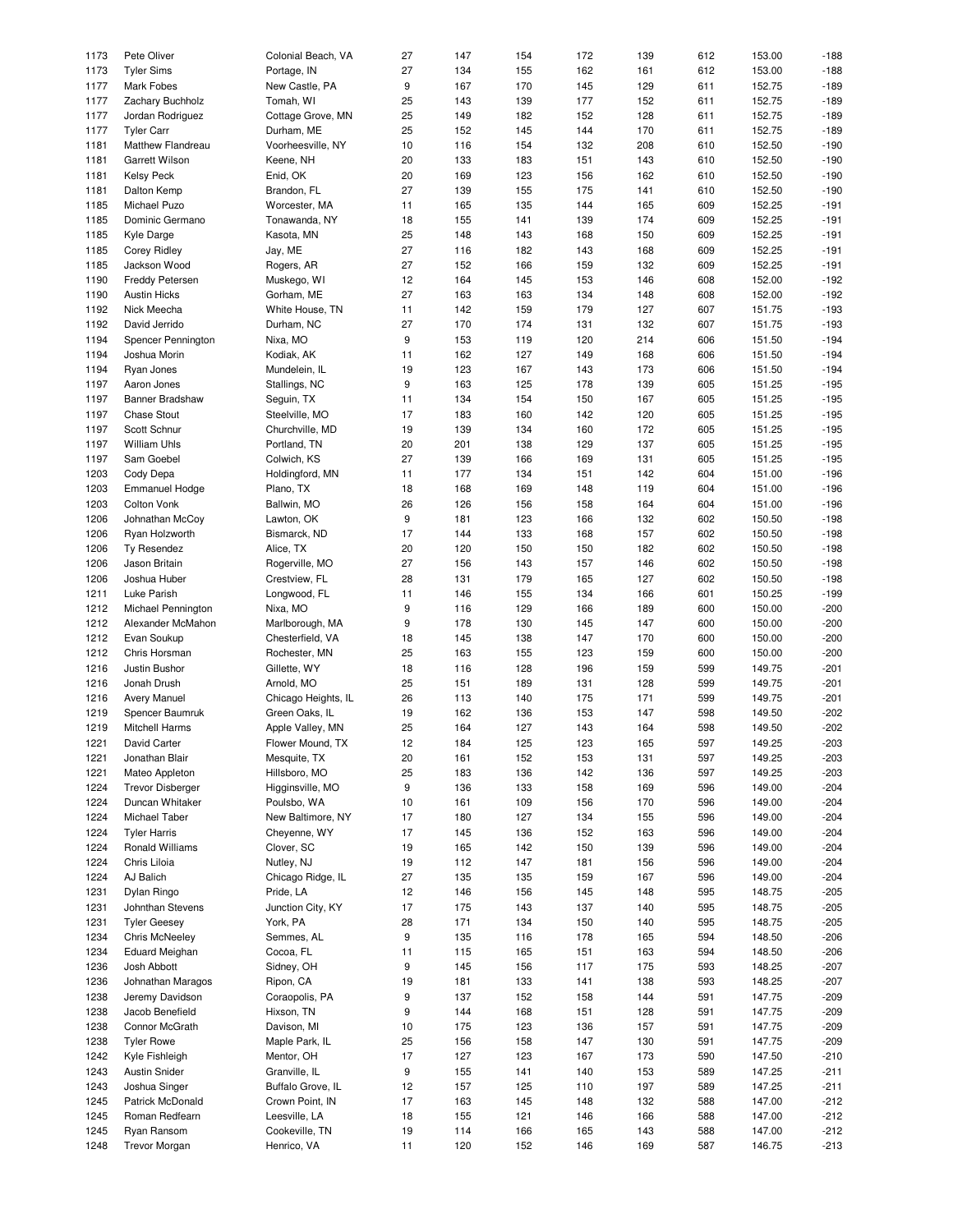| 1173 | Pete Oliver             | Colonial Beach, VA  | 27 | 147 | 154 | 172 | 139 | 612 | 153.00 | $-188$ |
|------|-------------------------|---------------------|----|-----|-----|-----|-----|-----|--------|--------|
|      |                         |                     |    |     |     |     |     |     |        |        |
| 1173 | <b>Tyler Sims</b>       | Portage, IN         | 27 | 134 | 155 | 162 | 161 | 612 | 153.00 | $-188$ |
| 1177 | <b>Mark Fobes</b>       | New Castle, PA      | 9  | 167 | 170 | 145 | 129 | 611 | 152.75 | $-189$ |
| 1177 | Zachary Buchholz        | Tomah, WI           | 25 | 143 | 139 | 177 | 152 | 611 | 152.75 | $-189$ |
|      |                         |                     |    |     |     |     |     |     |        |        |
| 1177 | Jordan Rodriguez        | Cottage Grove, MN   | 25 | 149 | 182 | 152 | 128 | 611 | 152.75 | $-189$ |
| 1177 | <b>Tyler Carr</b>       | Durham, ME          | 25 | 152 | 145 | 144 | 170 | 611 | 152.75 | $-189$ |
| 1181 | Matthew Flandreau       | Voorheesville, NY   | 10 | 116 | 154 | 132 | 208 | 610 | 152.50 | $-190$ |
|      |                         |                     |    |     |     |     |     |     |        |        |
| 1181 | Garrett Wilson          | Keene, NH           | 20 | 133 | 183 | 151 | 143 | 610 | 152.50 | $-190$ |
| 1181 | <b>Kelsy Peck</b>       | Enid, OK            | 20 | 169 | 123 | 156 | 162 | 610 | 152.50 | $-190$ |
| 1181 | Dalton Kemp             | Brandon, FL         | 27 | 139 | 155 | 175 | 141 | 610 | 152.50 | $-190$ |
|      |                         |                     |    |     |     |     |     |     |        |        |
| 1185 | Michael Puzo            | Worcester, MA       | 11 | 165 | 135 | 144 | 165 | 609 | 152.25 | $-191$ |
| 1185 | Dominic Germano         | Tonawanda, NY       | 18 | 155 | 141 | 139 | 174 | 609 | 152.25 | $-191$ |
| 1185 | Kyle Darge              | Kasota, MN          | 25 | 148 | 143 | 168 | 150 | 609 | 152.25 | $-191$ |
|      |                         |                     |    |     |     |     |     |     |        |        |
| 1185 | <b>Corey Ridley</b>     | Jay, ME             | 27 | 116 | 182 | 143 | 168 | 609 | 152.25 | $-191$ |
| 1185 | Jackson Wood            | Rogers, AR          | 27 | 152 | 166 | 159 | 132 | 609 | 152.25 | $-191$ |
| 1190 | <b>Freddy Petersen</b>  | Muskego, WI         | 12 | 164 | 145 | 153 | 146 | 608 | 152.00 | $-192$ |
|      |                         |                     |    |     |     |     |     |     |        |        |
| 1190 | <b>Austin Hicks</b>     | Gorham, ME          | 27 | 163 | 163 | 134 | 148 | 608 | 152.00 | $-192$ |
| 1192 | Nick Meecha             | White House, TN     | 11 | 142 | 159 | 179 | 127 | 607 | 151.75 | $-193$ |
| 1192 | David Jerrido           | Durham, NC          | 27 | 170 | 174 | 131 | 132 | 607 | 151.75 | $-193$ |
|      |                         |                     |    |     |     |     |     |     |        |        |
| 1194 | Spencer Pennington      | Nixa, MO            | 9  | 153 | 119 | 120 | 214 | 606 | 151.50 | $-194$ |
| 1194 | Joshua Morin            | Kodiak, AK          | 11 | 162 | 127 | 149 | 168 | 606 | 151.50 | $-194$ |
| 1194 | Ryan Jones              | Mundelein, IL       | 19 | 123 | 167 | 143 | 173 | 606 | 151.50 | $-194$ |
|      |                         |                     |    |     |     |     |     |     |        |        |
| 1197 | Aaron Jones             | Stallings, NC       | 9  | 163 | 125 | 178 | 139 | 605 | 151.25 | $-195$ |
| 1197 | Banner Bradshaw         | Seguin, TX          | 11 | 134 | 154 | 150 | 167 | 605 | 151.25 | $-195$ |
| 1197 | Chase Stout             | Steelville, MO      | 17 | 183 | 160 | 142 | 120 | 605 | 151.25 | $-195$ |
|      |                         |                     |    |     |     |     |     |     |        |        |
| 1197 | Scott Schnur            | Churchville, MD     | 19 | 139 | 134 | 160 | 172 | 605 | 151.25 | $-195$ |
| 1197 | <b>William Uhls</b>     | Portland, TN        | 20 | 201 | 138 | 129 | 137 | 605 | 151.25 | $-195$ |
|      | Sam Goebel              | Colwich, KS         | 27 |     |     |     |     |     |        | $-195$ |
| 1197 |                         |                     |    | 139 | 166 | 169 | 131 | 605 | 151.25 |        |
| 1203 | Cody Depa               | Holdingford, MN     | 11 | 177 | 134 | 151 | 142 | 604 | 151.00 | $-196$ |
| 1203 | <b>Emmanuel Hodge</b>   | Plano, TX           | 18 | 168 | 169 | 148 | 119 | 604 | 151.00 | $-196$ |
| 1203 | Colton Vonk             | Ballwin, MO         | 26 | 126 | 156 | 158 | 164 | 604 | 151.00 | $-196$ |
|      |                         |                     |    |     |     |     |     |     |        |        |
| 1206 | Johnathan McCoy         | Lawton, OK          | 9  | 181 | 123 | 166 | 132 | 602 | 150.50 | $-198$ |
| 1206 | Ryan Holzworth          | Bismarck, ND        | 17 | 144 | 133 | 168 | 157 | 602 | 150.50 | $-198$ |
| 1206 | Ty Resendez             | Alice, TX           | 20 | 120 | 150 | 150 | 182 | 602 | 150.50 | $-198$ |
|      |                         |                     |    |     |     |     |     |     |        |        |
| 1206 | Jason Britain           | Rogerville, MO      | 27 | 156 | 143 | 157 | 146 | 602 | 150.50 | $-198$ |
| 1206 | Joshua Huber            | Crestview, FL       | 28 | 131 | 179 | 165 | 127 | 602 | 150.50 | $-198$ |
| 1211 | Luke Parish             | Longwood, FL        | 11 | 146 | 155 | 134 | 166 | 601 | 150.25 | $-199$ |
|      |                         |                     |    |     |     |     |     |     |        |        |
| 1212 | Michael Pennington      | Nixa, MO            | 9  | 116 | 129 | 166 | 189 | 600 | 150.00 | $-200$ |
| 1212 | Alexander McMahon       | Marlborough, MA     | 9  | 178 | 130 | 145 | 147 | 600 | 150.00 | $-200$ |
| 1212 | Evan Soukup             | Chesterfield, VA    | 18 | 145 | 138 | 147 | 170 | 600 | 150.00 | $-200$ |
|      |                         |                     |    |     |     |     |     |     |        |        |
| 1212 | Chris Horsman           | Rochester, MN       | 25 | 163 | 155 | 123 | 159 | 600 | 150.00 | $-200$ |
| 1216 | Justin Bushor           | Gillette, WY        | 18 | 116 | 128 | 196 | 159 | 599 | 149.75 | $-201$ |
| 1216 | Jonah Drush             | Arnold, MO          | 25 | 151 | 189 | 131 | 128 | 599 | 149.75 | $-201$ |
|      |                         |                     |    |     |     |     |     |     |        |        |
| 1216 | Avery Manuel            | Chicago Heights, IL | 26 | 113 | 140 | 175 | 171 | 599 | 149.75 | $-201$ |
| 1219 | Spencer Baumruk         | Green Oaks, IL      | 19 | 162 | 136 | 153 | 147 | 598 | 149.50 | $-202$ |
| 1219 | <b>Mitchell Harms</b>   | Apple Valley, MN    | 25 | 164 | 127 | 143 | 164 | 598 | 149.50 | $-202$ |
|      |                         |                     |    |     |     |     |     |     |        |        |
| 1221 | David Carter            | Flower Mound, TX    | 12 | 184 | 125 | 123 | 165 | 597 | 149.25 | $-203$ |
| 1221 | Jonathan Blair          | Mesquite, TX        | 20 | 161 | 152 | 153 | 131 | 597 | 149.25 | $-203$ |
| 1221 | Mateo Appleton          | Hillsboro, MO       | 25 | 183 | 136 | 142 | 136 | 597 | 149.25 | $-203$ |
|      |                         |                     |    |     |     |     |     |     |        |        |
| 1224 | <b>Trevor Disberger</b> | Higginsville, MO    | 9  | 136 | 133 | 158 | 169 | 596 | 149.00 | $-204$ |
| 1224 | Duncan Whitaker         | Poulsbo, WA         | 10 | 161 | 109 | 156 | 170 | 596 | 149.00 | $-204$ |
| 1224 | Michael Taber           | New Baltimore, NY   | 17 | 180 | 127 | 134 | 155 | 596 | 149.00 | $-204$ |
|      |                         |                     |    |     |     |     |     |     |        |        |
| 1224 | <b>Tyler Harris</b>     | Cheyenne, WY        | 17 | 145 | 136 | 152 | 163 | 596 | 149.00 | $-204$ |
| 1224 | Ronald Williams         | Clover, SC          | 19 | 165 | 142 | 150 | 139 | 596 | 149.00 | $-204$ |
| 1224 | Chris Liloia            | Nutley, NJ          | 19 | 112 | 147 | 181 | 156 | 596 | 149.00 | $-204$ |
|      |                         |                     |    |     |     |     |     |     |        |        |
| 1224 | AJ Balich               | Chicago Ridge, IL   | 27 | 135 | 135 | 159 | 167 | 596 | 149.00 | $-204$ |
| 1231 | Dylan Ringo             | Pride, LA           | 12 | 146 | 156 | 145 | 148 | 595 | 148.75 | $-205$ |
| 1231 | Johnthan Stevens        | Junction City, KY   | 17 | 175 | 143 | 137 | 140 | 595 | 148.75 | $-205$ |
|      |                         |                     |    |     |     |     |     |     |        |        |
| 1231 | <b>Tyler Geesey</b>     | York, PA            | 28 | 171 | 134 | 150 | 140 | 595 | 148.75 | $-205$ |
| 1234 | <b>Chris McNeeley</b>   | Semmes, AL          | 9  | 135 | 116 | 178 | 165 | 594 | 148.50 | $-206$ |
| 1234 | <b>Eduard Meighan</b>   | Cocoa, FL           | 11 | 115 | 165 | 151 | 163 | 594 | 148.50 | $-206$ |
|      |                         |                     |    |     |     |     |     |     |        |        |
| 1236 | Josh Abbott             | Sidney, OH          | 9  | 145 | 156 | 117 | 175 | 593 | 148.25 | $-207$ |
| 1236 | Johnathan Maragos       | Ripon, CA           | 19 | 181 | 133 | 141 | 138 | 593 | 148.25 | $-207$ |
| 1238 | Jeremy Davidson         | Coraopolis, PA      | 9  | 137 | 152 | 158 | 144 | 591 | 147.75 | $-209$ |
|      |                         |                     |    |     |     |     |     |     |        |        |
| 1238 | Jacob Benefield         | Hixson, TN          | 9  | 144 | 168 | 151 | 128 | 591 | 147.75 | $-209$ |
| 1238 | Connor McGrath          | Davison, MI         | 10 | 175 | 123 | 136 | 157 | 591 | 147.75 | $-209$ |
| 1238 | <b>Tyler Rowe</b>       | Maple Park, IL      | 25 | 156 | 158 | 147 | 130 | 591 | 147.75 | $-209$ |
| 1242 | Kyle Fishleigh          | Mentor, OH          | 17 | 127 | 123 | 167 | 173 | 590 | 147.50 | $-210$ |
|      |                         |                     |    |     |     |     |     |     |        |        |
| 1243 | <b>Austin Snider</b>    | Granville, IL       | 9  | 155 | 141 | 140 | 153 | 589 | 147.25 | $-211$ |
| 1243 | Joshua Singer           | Buffalo Grove, IL   | 12 | 157 | 125 | 110 | 197 | 589 | 147.25 | $-211$ |
| 1245 | Patrick McDonald        | Crown Point, IN     | 17 | 163 | 145 | 148 | 132 | 588 | 147.00 | $-212$ |
|      |                         |                     |    |     |     |     |     |     |        |        |
| 1245 | Roman Redfearn          | Leesville, LA       | 18 | 155 | 121 | 146 | 166 | 588 | 147.00 | $-212$ |
| 1245 | Ryan Ransom             | Cookeville, TN      | 19 | 114 | 166 | 165 | 143 | 588 | 147.00 | $-212$ |
| 1248 | <b>Trevor Morgan</b>    | Henrico, VA         | 11 | 120 | 152 | 146 | 169 | 587 | 146.75 | $-213$ |
|      |                         |                     |    |     |     |     |     |     |        |        |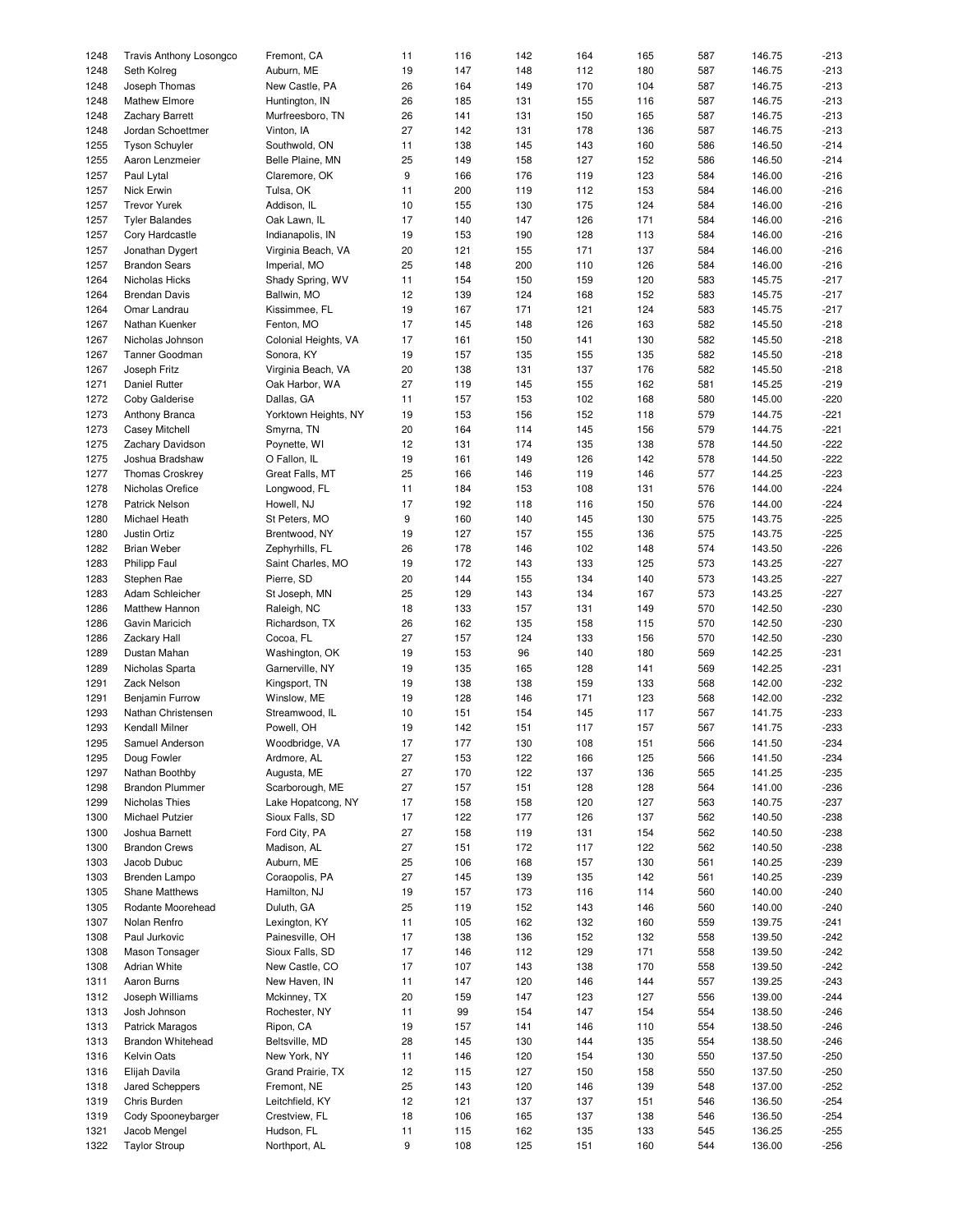| 1248 | <b>Travis Anthony Losongco</b> | Fremont, CA          | 11 | 116 | 142 | 164 | 165 | 587 | 146.75 | $-213$ |
|------|--------------------------------|----------------------|----|-----|-----|-----|-----|-----|--------|--------|
|      |                                |                      |    |     |     |     |     |     |        |        |
| 1248 | Seth Kolreg                    | Auburn, ME           | 19 | 147 | 148 | 112 | 180 | 587 | 146.75 | $-213$ |
| 1248 | Joseph Thomas                  | New Castle, PA       | 26 | 164 | 149 | 170 | 104 | 587 | 146.75 | $-213$ |
| 1248 | Mathew Elmore                  | Huntington, IN       | 26 | 185 | 131 | 155 | 116 | 587 | 146.75 | $-213$ |
|      |                                |                      |    |     |     |     |     |     |        |        |
| 1248 | <b>Zachary Barrett</b>         | Murfreesboro, TN     | 26 | 141 | 131 | 150 | 165 | 587 | 146.75 | $-213$ |
| 1248 | Jordan Schoettmer              | Vinton, IA           | 27 | 142 | 131 | 178 | 136 | 587 | 146.75 | $-213$ |
| 1255 | <b>Tyson Schuyler</b>          | Southwold, ON        | 11 | 138 | 145 | 143 | 160 | 586 | 146.50 | $-214$ |
| 1255 |                                |                      | 25 | 149 |     |     |     |     |        | $-214$ |
|      | Aaron Lenzmeier                | Belle Plaine, MN     |    |     | 158 | 127 | 152 | 586 | 146.50 |        |
| 1257 | Paul Lytal                     | Claremore, OK        | 9  | 166 | 176 | 119 | 123 | 584 | 146.00 | $-216$ |
| 1257 | Nick Erwin                     | Tulsa, OK            | 11 | 200 | 119 | 112 | 153 | 584 | 146.00 | $-216$ |
|      | <b>Trevor Yurek</b>            |                      |    | 155 |     |     |     |     |        | $-216$ |
| 1257 |                                | Addison, IL          | 10 |     | 130 | 175 | 124 | 584 | 146.00 |        |
| 1257 | <b>Tyler Balandes</b>          | Oak Lawn, IL         | 17 | 140 | 147 | 126 | 171 | 584 | 146.00 | $-216$ |
| 1257 | Cory Hardcastle                | Indianapolis, IN     | 19 | 153 | 190 | 128 | 113 | 584 | 146.00 | $-216$ |
|      |                                |                      |    |     |     |     |     |     |        | $-216$ |
| 1257 | Jonathan Dygert                | Virginia Beach, VA   | 20 | 121 | 155 | 171 | 137 | 584 | 146.00 |        |
| 1257 | <b>Brandon Sears</b>           | Imperial, MO         | 25 | 148 | 200 | 110 | 126 | 584 | 146.00 | $-216$ |
| 1264 | Nicholas Hicks                 | Shady Spring, WV     | 11 | 154 | 150 | 159 | 120 | 583 | 145.75 | $-217$ |
| 1264 | <b>Brendan Davis</b>           | Ballwin, MO          | 12 | 139 | 124 | 168 | 152 | 583 | 145.75 | $-217$ |
|      |                                |                      |    |     |     |     |     |     |        |        |
| 1264 | Omar Landrau                   | Kissimmee, FL        | 19 | 167 | 171 | 121 | 124 | 583 | 145.75 | $-217$ |
| 1267 | Nathan Kuenker                 | Fenton, MO           | 17 | 145 | 148 | 126 | 163 | 582 | 145.50 | $-218$ |
| 1267 | Nicholas Johnson               | Colonial Heights, VA | 17 | 161 | 150 | 141 | 130 | 582 | 145.50 | $-218$ |
|      |                                |                      |    |     |     |     |     |     |        |        |
| 1267 | Tanner Goodman                 | Sonora, KY           | 19 | 157 | 135 | 155 | 135 | 582 | 145.50 | $-218$ |
| 1267 | Joseph Fritz                   | Virginia Beach, VA   | 20 | 138 | 131 | 137 | 176 | 582 | 145.50 | $-218$ |
| 1271 | <b>Daniel Rutter</b>           | Oak Harbor, WA       | 27 | 119 | 145 | 155 | 162 | 581 | 145.25 | $-219$ |
|      |                                |                      |    |     |     |     |     |     |        |        |
| 1272 | Coby Galderise                 | Dallas, GA           | 11 | 157 | 153 | 102 | 168 | 580 | 145.00 | $-220$ |
| 1273 | Anthony Branca                 | Yorktown Heights, NY | 19 | 153 | 156 | 152 | 118 | 579 | 144.75 | $-221$ |
| 1273 | <b>Casey Mitchell</b>          | Smyrna, TN           | 20 | 164 | 114 | 145 | 156 | 579 | 144.75 | $-221$ |
|      |                                |                      |    |     |     |     |     |     |        |        |
| 1275 | Zachary Davidson               | Poynette, WI         | 12 | 131 | 174 | 135 | 138 | 578 | 144.50 | $-222$ |
| 1275 | Joshua Bradshaw                | O Fallon, IL         | 19 | 161 | 149 | 126 | 142 | 578 | 144.50 | $-222$ |
| 1277 | <b>Thomas Croskrey</b>         | Great Falls, MT      | 25 | 166 | 146 | 119 | 146 | 577 | 144.25 | $-223$ |
|      |                                |                      |    |     |     |     |     |     |        |        |
| 1278 | Nicholas Orefice               | Longwood, FL         | 11 | 184 | 153 | 108 | 131 | 576 | 144.00 | $-224$ |
| 1278 | <b>Patrick Nelson</b>          | Howell, NJ           | 17 | 192 | 118 | 116 | 150 | 576 | 144.00 | $-224$ |
| 1280 | Michael Heath                  | St Peters, MO        | 9  | 160 | 140 | 145 | 130 | 575 | 143.75 | $-225$ |
|      |                                |                      |    |     |     |     |     |     |        |        |
| 1280 | Justin Ortiz                   | Brentwood, NY        | 19 | 127 | 157 | 155 | 136 | 575 | 143.75 | $-225$ |
| 1282 | <b>Brian Weber</b>             | Zephyrhills, FL      | 26 | 178 | 146 | 102 | 148 | 574 | 143.50 | $-226$ |
| 1283 | Philipp Faul                   | Saint Charles, MO    | 19 | 172 | 143 | 133 | 125 | 573 | 143.25 | $-227$ |
|      |                                |                      |    |     |     |     |     |     |        |        |
| 1283 | Stephen Rae                    | Pierre, SD           | 20 | 144 | 155 | 134 | 140 | 573 | 143.25 | $-227$ |
| 1283 | Adam Schleicher                | St Joseph, MN        | 25 | 129 | 143 | 134 | 167 | 573 | 143.25 | $-227$ |
| 1286 | <b>Matthew Hannon</b>          | Raleigh, NC          | 18 | 133 | 157 | 131 | 149 | 570 | 142.50 | $-230$ |
|      |                                |                      |    |     |     |     |     |     |        |        |
| 1286 | Gavin Maricich                 | Richardson, TX       | 26 | 162 | 135 | 158 | 115 | 570 | 142.50 | $-230$ |
| 1286 | <b>Zackary Hall</b>            | Cocoa, FL            | 27 | 157 | 124 | 133 | 156 | 570 | 142.50 | $-230$ |
| 1289 | Dustan Mahan                   | Washington, OK       | 19 | 153 | 96  | 140 | 180 | 569 | 142.25 | $-231$ |
|      |                                |                      |    |     |     |     |     |     |        |        |
| 1289 | Nicholas Sparta                | Garnerville, NY      | 19 | 135 | 165 | 128 | 141 | 569 | 142.25 | $-231$ |
| 1291 | Zack Nelson                    | Kingsport, TN        | 19 | 138 | 138 | 159 | 133 | 568 | 142.00 | $-232$ |
| 1291 | <b>Benjamin Furrow</b>         | Winslow, ME          | 19 | 128 | 146 | 171 | 123 | 568 | 142.00 | $-232$ |
|      |                                |                      |    |     |     |     |     |     |        |        |
| 1293 | Nathan Christensen             | Streamwood, IL       | 10 | 151 | 154 | 145 | 117 | 567 | 141.75 | $-233$ |
| 1293 | Kendall Milner                 | Powell, OH           | 19 | 142 | 151 | 117 | 157 | 567 | 141.75 | $-233$ |
| 1295 | Samuel Anderson                | Woodbridge, VA       | 17 | 177 | 130 | 108 | 151 | 566 | 141.50 | $-234$ |
|      |                                |                      |    |     |     |     |     |     |        |        |
| 1295 | Doug Fowler                    | Ardmore, AL          | 27 | 153 | 122 | 166 | 125 | 566 | 141.50 | $-234$ |
| 1297 | Nathan Boothby                 | Augusta, ME          | 27 | 170 | 122 | 137 | 136 | 565 | 141.25 | $-235$ |
| 1298 | <b>Brandon Plummer</b>         | Scarborough, ME      | 27 | 157 | 151 | 128 | 128 | 564 | 141.00 | $-236$ |
|      |                                |                      |    |     |     |     |     |     |        |        |
| 1299 | Nicholas Thies                 | Lake Hopatcong, NY   | 17 | 158 | 158 | 120 | 127 | 563 | 140.75 | $-237$ |
| 1300 | Michael Putzier                | Sioux Falls, SD      | 17 | 122 | 177 | 126 | 137 | 562 | 140.50 | $-238$ |
| 1300 | Joshua Barnett                 | Ford City, PA        | 27 | 158 | 119 | 131 | 154 | 562 | 140.50 | $-238$ |
|      |                                |                      |    |     |     |     |     |     |        |        |
| 1300 | <b>Brandon Crews</b>           | Madison, AL          | 27 | 151 | 172 | 117 | 122 | 562 | 140.50 | $-238$ |
| 1303 | Jacob Dubuc                    | Auburn, ME           | 25 | 106 | 168 | 157 | 130 | 561 | 140.25 | $-239$ |
| 1303 | Brenden Lampo                  | Coraopolis, PA       | 27 | 145 | 139 | 135 | 142 | 561 | 140.25 | $-239$ |
|      |                                |                      |    |     |     |     |     |     |        |        |
| 1305 | Shane Matthews                 | Hamilton, NJ         | 19 | 157 | 173 | 116 | 114 | 560 | 140.00 | $-240$ |
| 1305 | Rodante Moorehead              | Duluth, GA           | 25 | 119 | 152 | 143 | 146 | 560 | 140.00 | $-240$ |
| 1307 | Nolan Renfro                   | Lexington, KY        | 11 | 105 | 162 | 132 | 160 | 559 | 139.75 | $-241$ |
|      |                                |                      |    |     |     |     |     |     |        |        |
| 1308 | Paul Jurkovic                  | Painesville, OH      | 17 | 138 | 136 | 152 | 132 | 558 | 139.50 | $-242$ |
| 1308 | Mason Tonsager                 | Sioux Falls, SD      | 17 | 146 | 112 | 129 | 171 | 558 | 139.50 | $-242$ |
| 1308 | <b>Adrian White</b>            | New Castle, CO       | 17 | 107 | 143 | 138 | 170 | 558 | 139.50 | $-242$ |
|      |                                |                      |    |     |     |     |     |     |        |        |
| 1311 | Aaron Burns                    | New Haven, IN        | 11 | 147 | 120 | 146 | 144 | 557 | 139.25 | $-243$ |
| 1312 | Joseph Williams                | Mckinney, TX         | 20 | 159 | 147 | 123 | 127 | 556 | 139.00 | $-244$ |
| 1313 | Josh Johnson                   | Rochester, NY        | 11 | 99  | 154 | 147 | 154 | 554 | 138.50 | $-246$ |
|      |                                |                      |    |     |     |     |     |     |        |        |
| 1313 | <b>Patrick Maragos</b>         | Ripon, CA            | 19 | 157 | 141 | 146 | 110 | 554 | 138.50 | $-246$ |
| 1313 | Brandon Whitehead              | Beltsville, MD       | 28 | 145 | 130 | 144 | 135 | 554 | 138.50 | $-246$ |
| 1316 | <b>Kelvin Oats</b>             | New York, NY         | 11 | 146 | 120 | 154 | 130 | 550 | 137.50 | $-250$ |
|      |                                |                      |    |     |     |     |     |     |        |        |
| 1316 | Elijah Davila                  | Grand Prairie, TX    | 12 | 115 | 127 | 150 | 158 | 550 | 137.50 | $-250$ |
| 1318 | Jared Scheppers                | Fremont, NE          | 25 | 143 | 120 | 146 | 139 | 548 | 137.00 | $-252$ |
| 1319 | Chris Burden                   | Leitchfield, KY      | 12 | 121 | 137 | 137 | 151 | 546 | 136.50 | $-254$ |
|      |                                |                      |    |     |     |     |     |     |        |        |
| 1319 | Cody Spooneybarger             | Crestview, FL        | 18 | 106 | 165 | 137 | 138 | 546 | 136.50 | $-254$ |
| 1321 | Jacob Mengel                   | Hudson, FL           | 11 | 115 | 162 | 135 | 133 | 545 | 136.25 | $-255$ |
| 1322 | <b>Taylor Stroup</b>           | Northport, AL        | 9  | 108 | 125 | 151 | 160 | 544 | 136.00 | $-256$ |
|      |                                |                      |    |     |     |     |     |     |        |        |